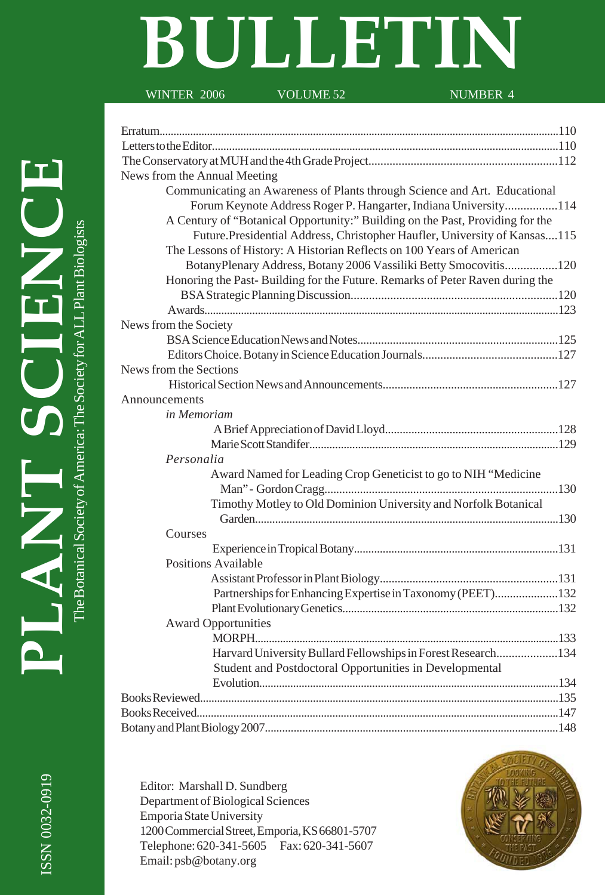# **BULLETIN**

WINTER 2006 VOLUME 52 NUMBER 4

| News from the Annual Meeting                                                  |  |
|-------------------------------------------------------------------------------|--|
| Communicating an Awareness of Plants through Science and Art. Educational     |  |
| Forum Keynote Address Roger P. Hangarter, Indiana University114               |  |
| A Century of "Botanical Opportunity:" Building on the Past, Providing for the |  |
| Future.Presidential Address, Christopher Haufler, University of Kansas115     |  |
| The Lessons of History: A Historian Reflects on 100 Years of American         |  |
| BotanyPlenary Address, Botany 2006 Vassiliki Betty Smocovitis120              |  |
| Honoring the Past-Building for the Future. Remarks of Peter Raven during the  |  |
|                                                                               |  |
|                                                                               |  |
| News from the Society                                                         |  |
|                                                                               |  |
|                                                                               |  |
| News from the Sections                                                        |  |
|                                                                               |  |
| Announcements                                                                 |  |
| in Memoriam                                                                   |  |
|                                                                               |  |
|                                                                               |  |
| Personalia                                                                    |  |
| Award Named for Leading Crop Geneticist to go to NIH "Medicine                |  |
|                                                                               |  |
| Timothy Motley to Old Dominion University and Norfolk Botanical               |  |
|                                                                               |  |
| Courses                                                                       |  |
|                                                                               |  |
| <b>Positions Available</b>                                                    |  |
|                                                                               |  |
| Partnerships for Enhancing Expertise in Taxonomy (PEET)132                    |  |
|                                                                               |  |
| <b>Award Opportunities</b>                                                    |  |
|                                                                               |  |
| Harvard University Bullard Fellowships in Forest Research134                  |  |
| Student and Postdoctoral Opportunities in Developmental                       |  |
|                                                                               |  |
|                                                                               |  |
|                                                                               |  |
|                                                                               |  |

Editor: Marshall D. Sundberg Department of Biological Sciences Emporia State University 1200 Commercial Street, Emporia, KS 66801-5707 Telephone: 620-341-5605 Fax: 620-341-5607 Email: psb@botany.org

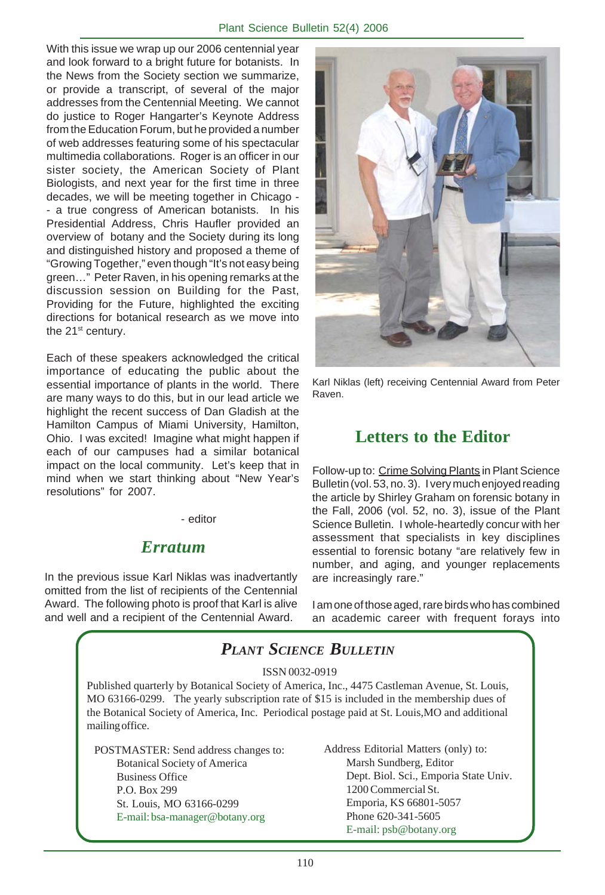#### Plant Science Bulletin 52(4) 2006

With this issue we wrap up our 2006 centennial year and look forward to a bright future for botanists. In the News from the Society section we summarize, or provide a transcript, of several of the major addresses from the Centennial Meeting. We cannot do justice to Roger Hangarter's Keynote Address from the Education Forum, but he provided a number of web addresses featuring some of his spectacular multimedia collaborations. Roger is an officer in our sister society, the American Society of Plant Biologists, and next year for the first time in three decades, we will be meeting together in Chicago - - a true congress of American botanists. In his Presidential Address, Chris Haufler provided an overview of botany and the Society during its long and distinguished history and proposed a theme of "Growing Together," even though "It's not easy being green…" Peter Raven, in his opening remarks at the discussion session on Building for the Past, Providing for the Future, highlighted the exciting directions for botanical research as we move into the 21<sup>st</sup> century.

Each of these speakers acknowledged the critical importance of educating the public about the essential importance of plants in the world. There are many ways to do this, but in our lead article we highlight the recent success of Dan Gladish at the Hamilton Campus of Miami University, Hamilton, Ohio. I was excited! Imagine what might happen if each of our campuses had a similar botanical impact on the local community. Let's keep that in mind when we start thinking about "New Year's resolutions" for 2007.

- editor

#### *Erratum*

In the previous issue Karl Niklas was inadvertantly omitted from the list of recipients of the Centennial Award. The following photo is proof that Karl is alive and well and a recipient of the Centennial Award.



Karl Niklas (left) receiving Centennial Award from Peter Raven.

## **Letters to the Editor**

Follow-up to: Crime Solving Plants in Plant Science Bulletin (vol. 53, no. 3). I very much enjoyed reading the article by Shirley Graham on forensic botany in the Fall, 2006 (vol. 52, no. 3), issue of the Plant Science Bulletin. I whole-heartedly concur with her assessment that specialists in key disciplines essential to forensic botany "are relatively few in number, and aging, and younger replacements are increasingly rare."

I am one of those aged, rare birds who has combined an academic career with frequent forays into

# *PLANT SCIENCE BULLETIN*

ISSN 0032-0919

Published quarterly by Botanical Society of America, Inc., 4475 Castleman Avenue, St. Louis, MO 63166-0299. The yearly subscription rate of \$15 is included in the membership dues of the Botanical Society of America, Inc. Periodical postage paid at St. Louis,MO and additional mailing office.

POSTMASTER: Send address changes to: Botanical Society of America Business Office P.O. Box 299 St. Louis, MO 63166-0299 E-mail: bsa-manager@botany.org

Address Editorial Matters (only) to: Marsh Sundberg, Editor Dept. Biol. Sci., Emporia State Univ. 1200 Commercial St. Emporia, KS 66801-5057 Phone 620-341-5605 E-mail: psb@botany.org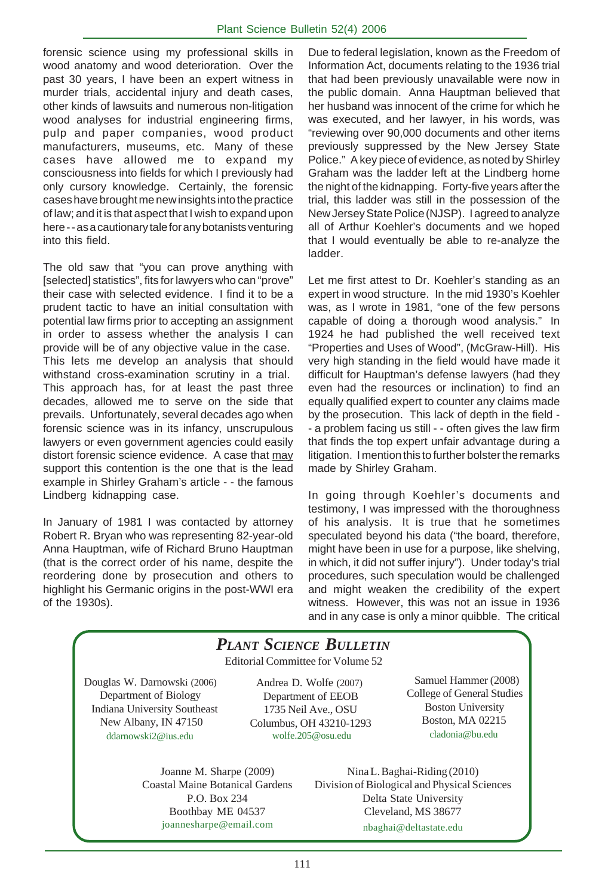forensic science using my professional skills in wood anatomy and wood deterioration. Over the past 30 years, I have been an expert witness in murder trials, accidental injury and death cases, other kinds of lawsuits and numerous non-litigation wood analyses for industrial engineering firms, pulp and paper companies, wood product manufacturers, museums, etc. Many of these cases have allowed me to expand my consciousness into fields for which I previously had only cursory knowledge. Certainly, the forensic cases have brought me new insights into the practice of law; and it is that aspect that I wish to expand upon here - - as a cautionary tale for any botanists venturing into this field.

The old saw that "you can prove anything with [selected] statistics", fits for lawyers who can "prove" their case with selected evidence. I find it to be a prudent tactic to have an initial consultation with potential law firms prior to accepting an assignment in order to assess whether the analysis I can provide will be of any objective value in the case. This lets me develop an analysis that should withstand cross-examination scrutiny in a trial. This approach has, for at least the past three decades, allowed me to serve on the side that prevails. Unfortunately, several decades ago when forensic science was in its infancy, unscrupulous lawyers or even government agencies could easily distort forensic science evidence. A case that may support this contention is the one that is the lead example in Shirley Graham's article - - the famous Lindberg kidnapping case.

In January of 1981 I was contacted by attorney Robert R. Bryan who was representing 82-year-old Anna Hauptman, wife of Richard Bruno Hauptman (that is the correct order of his name, despite the reordering done by prosecution and others to highlight his Germanic origins in the post-WWI era of the 1930s).

Due to federal legislation, known as the Freedom of Information Act, documents relating to the 1936 trial that had been previously unavailable were now in the public domain. Anna Hauptman believed that her husband was innocent of the crime for which he was executed, and her lawyer, in his words, was "reviewing over 90,000 documents and other items previously suppressed by the New Jersey State Police." A key piece of evidence, as noted by Shirley Graham was the ladder left at the Lindberg home the night of the kidnapping. Forty-five years after the trial, this ladder was still in the possession of the New Jersey State Police (NJSP). I agreed to analyze all of Arthur Koehler's documents and we hoped that I would eventually be able to re-analyze the ladder.

Let me first attest to Dr. Koehler's standing as an expert in wood structure. In the mid 1930's Koehler was, as I wrote in 1981, "one of the few persons capable of doing a thorough wood analysis." In 1924 he had published the well received text "Properties and Uses of Wood", (McGraw-Hill). His very high standing in the field would have made it difficult for Hauptman's defense lawyers (had they even had the resources or inclination) to find an equally qualified expert to counter any claims made by the prosecution. This lack of depth in the field - - a problem facing us still - - often gives the law firm that finds the top expert unfair advantage during a litigation. I mention this to further bolster the remarks made by Shirley Graham.

In going through Koehler's documents and testimony, I was impressed with the thoroughness of his analysis. It is true that he sometimes speculated beyond his data ("the board, therefore, might have been in use for a purpose, like shelving, in which, it did not suffer injury"). Under today's trial procedures, such speculation would be challenged and might weaken the credibility of the expert witness. However, this was not an issue in 1936 and in any case is only a minor quibble. The critical

## *PLANT SCIENCE BULLETIN*

Editorial Committee for Volume 52

 Douglas W. Darnowski (2006) Department of Biology Indiana University Southeast New Albany, IN 47150 ddarnowski2@ius.edu

Andrea D. Wolfe (2007) Department of EEOB 1735 Neil Ave., OSU Columbus, OH 43210-1293 wolfe.205@osu.edu

 Samuel Hammer (2008) College of General Studies Boston University Boston, MA 02215 cladonia@bu.edu

Joanne M. Sharpe (2009) Coastal Maine Botanical Gardens P.O. Box 234 Boothbay ME 04537 joannesharpe@email.com

Nina L. Baghai-Riding (2010) Division of Biological and Physical Sciences Delta State University Cleveland, MS 38677 nbaghai@deltastate.edu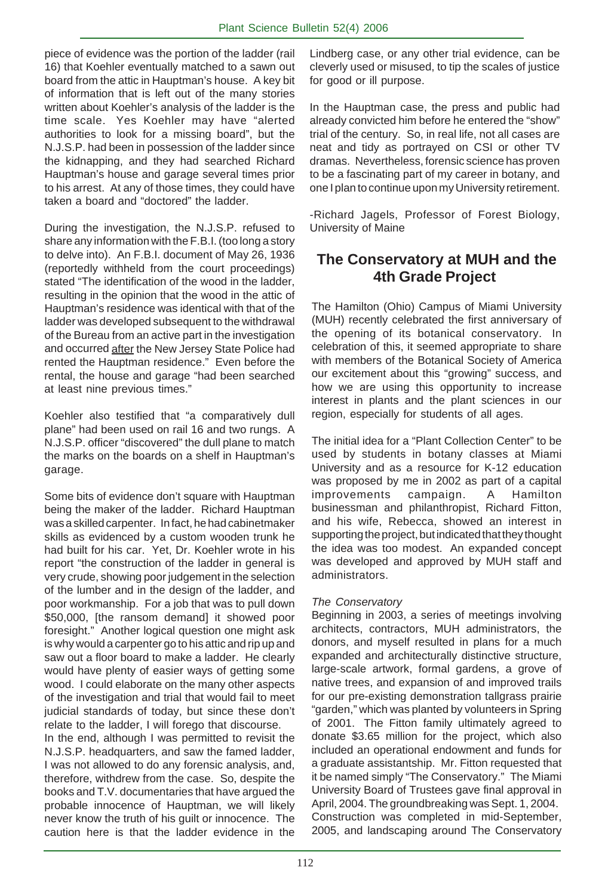piece of evidence was the portion of the ladder (rail 16) that Koehler eventually matched to a sawn out board from the attic in Hauptman's house. A key bit of information that is left out of the many stories written about Koehler's analysis of the ladder is the time scale. Yes Koehler may have "alerted authorities to look for a missing board", but the N.J.S.P. had been in possession of the ladder since the kidnapping, and they had searched Richard Hauptman's house and garage several times prior to his arrest. At any of those times, they could have taken a board and "doctored" the ladder.

During the investigation, the N.J.S.P. refused to share any information with the F.B.I. (too long a story to delve into). An F.B.I. document of May 26, 1936 (reportedly withheld from the court proceedings) stated "The identification of the wood in the ladder, resulting in the opinion that the wood in the attic of Hauptman's residence was identical with that of the ladder was developed subsequent to the withdrawal of the Bureau from an active part in the investigation and occurred after the New Jersey State Police had rented the Hauptman residence." Even before the rental, the house and garage "had been searched at least nine previous times."

Koehler also testified that "a comparatively dull plane" had been used on rail 16 and two rungs. A N.J.S.P. officer "discovered" the dull plane to match the marks on the boards on a shelf in Hauptman's garage.

Some bits of evidence don't square with Hauptman being the maker of the ladder. Richard Hauptman was a skilled carpenter. In fact, he had cabinetmaker skills as evidenced by a custom wooden trunk he had built for his car. Yet, Dr. Koehler wrote in his report "the construction of the ladder in general is very crude, showing poor judgement in the selection of the lumber and in the design of the ladder, and poor workmanship. For a job that was to pull down \$50,000, [the ransom demand] it showed poor foresight." Another logical question one might ask is why would a carpenter go to his attic and rip up and saw out a floor board to make a ladder. He clearly would have plenty of easier ways of getting some wood. I could elaborate on the many other aspects of the investigation and trial that would fail to meet judicial standards of today, but since these don't relate to the ladder, I will forego that discourse.

In the end, although I was permitted to revisit the N.J.S.P. headquarters, and saw the famed ladder, I was not allowed to do any forensic analysis, and, therefore, withdrew from the case. So, despite the books and T.V. documentaries that have argued the probable innocence of Hauptman, we will likely never know the truth of his guilt or innocence. The caution here is that the ladder evidence in the

Lindberg case, or any other trial evidence, can be cleverly used or misused, to tip the scales of justice for good or ill purpose.

In the Hauptman case, the press and public had already convicted him before he entered the "show" trial of the century. So, in real life, not all cases are neat and tidy as portrayed on CSI or other TV dramas. Nevertheless, forensic science has proven to be a fascinating part of my career in botany, and one I plan to continue upon my University retirement.

-Richard Jagels, Professor of Forest Biology, University of Maine

## **The Conservatory at MUH and the 4th Grade Project**

The Hamilton (Ohio) Campus of Miami University (MUH) recently celebrated the first anniversary of the opening of its botanical conservatory. In celebration of this, it seemed appropriate to share with members of the Botanical Society of America our excitement about this "growing" success, and how we are using this opportunity to increase interest in plants and the plant sciences in our region, especially for students of all ages.

The initial idea for a "Plant Collection Center" to be used by students in botany classes at Miami University and as a resource for K-12 education was proposed by me in 2002 as part of a capital improvements campaign. A Hamilton businessman and philanthropist, Richard Fitton, and his wife, Rebecca, showed an interest in supporting the project, but indicated that they thought the idea was too modest. An expanded concept was developed and approved by MUH staff and administrators.

#### *The Conservatory*

Beginning in 2003, a series of meetings involving architects, contractors, MUH administrators, the donors, and myself resulted in plans for a much expanded and architecturally distinctive structure, large-scale artwork, formal gardens, a grove of native trees, and expansion of and improved trails for our pre-existing demonstration tallgrass prairie "garden," which was planted by volunteers in Spring of 2001. The Fitton family ultimately agreed to donate \$3.65 million for the project, which also included an operational endowment and funds for a graduate assistantship. Mr. Fitton requested that it be named simply "The Conservatory." The Miami University Board of Trustees gave final approval in April, 2004. The groundbreaking was Sept. 1, 2004. Construction was completed in mid-September, 2005, and landscaping around The Conservatory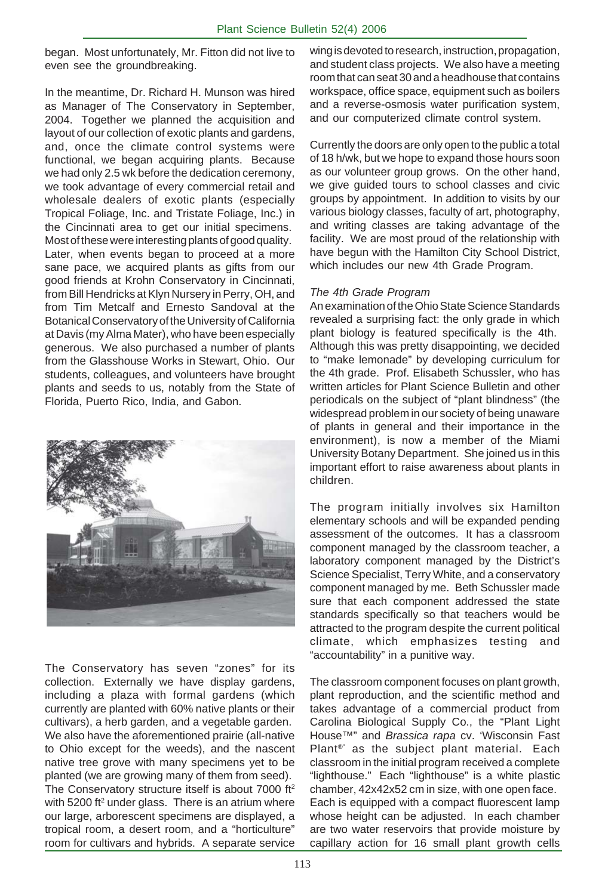began. Most unfortunately, Mr. Fitton did not live to even see the groundbreaking.

In the meantime, Dr. Richard H. Munson was hired as Manager of The Conservatory in September, 2004. Together we planned the acquisition and layout of our collection of exotic plants and gardens, and, once the climate control systems were functional, we began acquiring plants. Because we had only 2.5 wk before the dedication ceremony, we took advantage of every commercial retail and wholesale dealers of exotic plants (especially Tropical Foliage, Inc. and Tristate Foliage, Inc.) in the Cincinnati area to get our initial specimens. Most of these were interesting plants of good quality. Later, when events began to proceed at a more sane pace, we acquired plants as gifts from our good friends at Krohn Conservatory in Cincinnati, from Bill Hendricks at Klyn Nursery in Perry, OH, and from Tim Metcalf and Ernesto Sandoval at the Botanical Conservatory of the University of California at Davis (my Alma Mater), who have been especially generous. We also purchased a number of plants from the Glasshouse Works in Stewart, Ohio. Our students, colleagues, and volunteers have brought plants and seeds to us, notably from the State of Florida, Puerto Rico, India, and Gabon.



The Conservatory has seven "zones" for its collection. Externally we have display gardens, including a plaza with formal gardens (which currently are planted with 60% native plants or their cultivars), a herb garden, and a vegetable garden. We also have the aforementioned prairie (all-native to Ohio except for the weeds), and the nascent native tree grove with many specimens yet to be planted (we are growing many of them from seed). The Conservatory structure itself is about 7000 ft<sup>2</sup> with 5200 ft<sup>2</sup> under glass. There is an atrium where our large, arborescent specimens are displayed, a tropical room, a desert room, and a "horticulture" room for cultivars and hybrids. A separate service

wing is devoted to research, instruction, propagation, and student class projects. We also have a meeting room that can seat 30 and a headhouse that contains workspace, office space, equipment such as boilers and a reverse-osmosis water purification system, and our computerized climate control system.

Currently the doors are only open to the public a total of 18 h/wk, but we hope to expand those hours soon as our volunteer group grows. On the other hand, we give guided tours to school classes and civic groups by appointment. In addition to visits by our various biology classes, faculty of art, photography, and writing classes are taking advantage of the facility. We are most proud of the relationship with have begun with the Hamilton City School District, which includes our new 4th Grade Program.

#### *The 4th Grade Program*

An examination of the Ohio State Science Standards revealed a surprising fact: the only grade in which plant biology is featured specifically is the 4th. Although this was pretty disappointing, we decided to "make lemonade" by developing curriculum for the 4th grade. Prof. Elisabeth Schussler, who has written articles for Plant Science Bulletin and other periodicals on the subject of "plant blindness" (the widespread problem in our society of being unaware of plants in general and their importance in the environment), is now a member of the Miami University Botany Department. She joined us in this important effort to raise awareness about plants in children.

The program initially involves six Hamilton elementary schools and will be expanded pending assessment of the outcomes. It has a classroom component managed by the classroom teacher, a laboratory component managed by the District's Science Specialist, Terry White, and a conservatory component managed by me. Beth Schussler made sure that each component addressed the state standards specifically so that teachers would be attracted to the program despite the current political climate, which emphasizes testing and "accountability" in a punitive way.

The classroom component focuses on plant growth, plant reproduction, and the scientific method and takes advantage of a commercial product from Carolina Biological Supply Co., the "Plant Light House™" and *Brassica rapa* cv. 'Wisconsin Fast Plant<sup>®</sup>" as the subject plant material. Each classroom in the initial program received a complete "lighthouse." Each "lighthouse" is a white plastic chamber, 42x42x52 cm in size, with one open face. Each is equipped with a compact fluorescent lamp whose height can be adjusted. In each chamber are two water reservoirs that provide moisture by capillary action for 16 small plant growth cells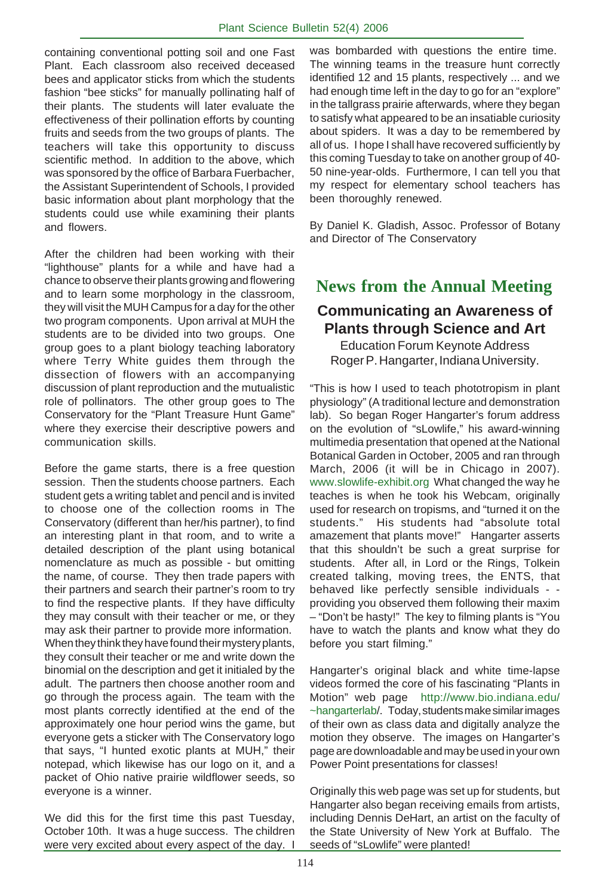containing conventional potting soil and one Fast Plant. Each classroom also received deceased bees and applicator sticks from which the students fashion "bee sticks" for manually pollinating half of their plants. The students will later evaluate the effectiveness of their pollination efforts by counting fruits and seeds from the two groups of plants. The teachers will take this opportunity to discuss scientific method. In addition to the above, which was sponsored by the office of Barbara Fuerbacher, the Assistant Superintendent of Schools, I provided basic information about plant morphology that the students could use while examining their plants and flowers.

After the children had been working with their "lighthouse" plants for a while and have had a chance to observe their plants growing and flowering and to learn some morphology in the classroom, they will visit the MUH Campus for a day for the other two program components. Upon arrival at MUH the students are to be divided into two groups. One group goes to a plant biology teaching laboratory where Terry White guides them through the dissection of flowers with an accompanying discussion of plant reproduction and the mutualistic role of pollinators. The other group goes to The Conservatory for the "Plant Treasure Hunt Game" where they exercise their descriptive powers and communication skills.

Before the game starts, there is a free question session. Then the students choose partners. Each student gets a writing tablet and pencil and is invited to choose one of the collection rooms in The Conservatory (different than her/his partner), to find an interesting plant in that room, and to write a detailed description of the plant using botanical nomenclature as much as possible - but omitting the name, of course. They then trade papers with their partners and search their partner's room to try to find the respective plants. If they have difficulty they may consult with their teacher or me, or they may ask their partner to provide more information. When they think they have found their mystery plants, they consult their teacher or me and write down the binomial on the description and get it initialed by the adult. The partners then choose another room and go through the process again. The team with the most plants correctly identified at the end of the approximately one hour period wins the game, but everyone gets a sticker with The Conservatory logo that says, "I hunted exotic plants at MUH," their notepad, which likewise has our logo on it, and a packet of Ohio native prairie wildflower seeds, so everyone is a winner.

We did this for the first time this past Tuesday, October 10th. It was a huge success. The children were very excited about every aspect of the day. I

was bombarded with questions the entire time. The winning teams in the treasure hunt correctly identified 12 and 15 plants, respectively ... and we had enough time left in the day to go for an "explore" in the tallgrass prairie afterwards, where they began to satisfy what appeared to be an insatiable curiosity about spiders. It was a day to be remembered by all of us. I hope I shall have recovered sufficiently by this coming Tuesday to take on another group of 40- 50 nine-year-olds. Furthermore, I can tell you that my respect for elementary school teachers has been thoroughly renewed.

By Daniel K. Gladish, Assoc. Professor of Botany and Director of The Conservatory

# **News from the Annual Meeting**

### **Communicating an Awareness of Plants through Science and Art**

Education Forum Keynote Address Roger P. Hangarter, Indiana University.

"This is how I used to teach phototropism in plant physiology" (A traditional lecture and demonstration lab). So began Roger Hangarter's forum address on the evolution of "sLowlife," his award-winning multimedia presentation that opened at the National Botanical Garden in October, 2005 and ran through March, 2006 (it will be in Chicago in 2007). www.slowlife-exhibit.org What changed the way he teaches is when he took his Webcam, originally used for research on tropisms, and "turned it on the students." His students had "absolute total amazement that plants move!" Hangarter asserts that this shouldn't be such a great surprise for students. After all, in Lord or the Rings, Tolkein created talking, moving trees, the ENTS, that behaved like perfectly sensible individuals - providing you observed them following their maxim – "Don't be hasty!" The key to filming plants is "You have to watch the plants and know what they do before you start filming."

Hangarter's original black and white time-lapse videos formed the core of his fascinating "Plants in Motion" web page http://www.bio.indiana.edu/ ~hangarterlab/. Today, students make similar images of their own as class data and digitally analyze the motion they observe. The images on Hangarter's page are downloadable and may be used in your own Power Point presentations for classes!

Originally this web page was set up for students, but Hangarter also began receiving emails from artists, including Dennis DeHart, an artist on the faculty of the State University of New York at Buffalo. The seeds of "sLowlife" were planted!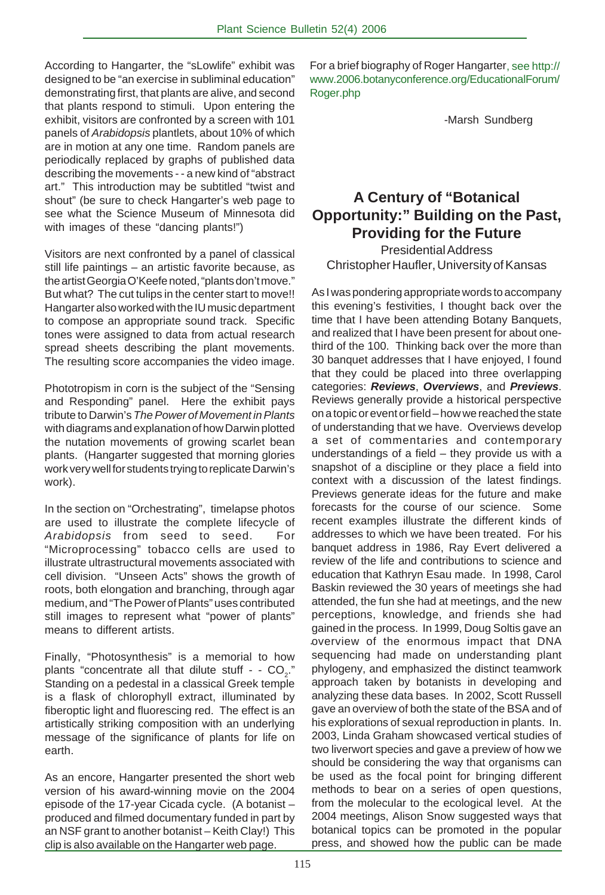According to Hangarter, the "sLowlife" exhibit was designed to be "an exercise in subliminal education" demonstrating first, that plants are alive, and second that plants respond to stimuli. Upon entering the exhibit, visitors are confronted by a screen with 101 panels of *Arabidopsis* plantlets, about 10% of which are in motion at any one time. Random panels are periodically replaced by graphs of published data describing the movements - - a new kind of "abstract art." This introduction may be subtitled "twist and shout" (be sure to check Hangarter's web page to see what the Science Museum of Minnesota did with images of these "dancing plants!")

Visitors are next confronted by a panel of classical still life paintings – an artistic favorite because, as the artist Georgia O'Keefe noted, "plants don't move." But what? The cut tulips in the center start to move!! Hangarter also worked with the IU music department to compose an appropriate sound track. Specific tones were assigned to data from actual research spread sheets describing the plant movements. The resulting score accompanies the video image.

Phototropism in corn is the subject of the "Sensing and Responding" panel. Here the exhibit pays tribute to Darwin's *The Power of Movement in Plants* with diagrams and explanation of how Darwin plotted the nutation movements of growing scarlet bean plants. (Hangarter suggested that morning glories work very well for students trying to replicate Darwin's work).

In the section on "Orchestrating", timelapse photos are used to illustrate the complete lifecycle of *Arabidopsis* from seed to seed. For "Microprocessing" tobacco cells are used to illustrate ultrastructural movements associated with cell division. "Unseen Acts" shows the growth of roots, both elongation and branching, through agar medium, and "The Power of Plants" uses contributed still images to represent what "power of plants" means to different artists.

Finally, "Photosynthesis" is a memorial to how plants "concentrate all that dilute stuff - -  $CO_2$ ." Standing on a pedestal in a classical Greek temple is a flask of chlorophyll extract, illuminated by fiberoptic light and fluorescing red. The effect is an artistically striking composition with an underlying message of the significance of plants for life on earth.

As an encore, Hangarter presented the short web version of his award-winning movie on the 2004 episode of the 17-year Cicada cycle. (A botanist – produced and filmed documentary funded in part by an NSF grant to another botanist – Keith Clay!) This clip is also available on the Hangarter web page.

For a brief biography of Roger Hangarter, see http:// www.2006.botanyconference.org/EducationalForum/ Roger.php

-Marsh Sundberg

# **A Century of "Botanical Opportunity:" Building on the Past, Providing for the Future**

Presidential Address Christopher Haufler, University of Kansas

. overview of the enormous impact that DNA As I was pondering appropriate words to accompany this evening's festivities, I thought back over the time that I have been attending Botany Banquets, and realized that I have been present for about onethird of the 100. Thinking back over the more than 30 banquet addresses that I have enjoyed, I found that they could be placed into three overlapping categories: *Reviews*, *Overviews*, and *Previews*. Reviews generally provide a historical perspective on a topic or event or field – how we reached the state of understanding that we have. Overviews develop a set of commentaries and contemporary understandings of a field – they provide us with a snapshot of a discipline or they place a field into context with a discussion of the latest findings. Previews generate ideas for the future and make forecasts for the course of our science. Some recent examples illustrate the different kinds of addresses to which we have been treated. For his banquet address in 1986, Ray Evert delivered a review of the life and contributions to science and education that Kathryn Esau made. In 1998, Carol Baskin reviewed the 30 years of meetings she had attended, the fun she had at meetings, and the new perceptions, knowledge, and friends she had gained in the process. In 1999, Doug Soltis gave an sequencing had made on understanding plant phylogeny, and emphasized the distinct teamwork approach taken by botanists in developing and analyzing these data bases. In 2002, Scott Russell gave an overview of both the state of the BSA and of his explorations of sexual reproduction in plants. In. 2003, Linda Graham showcased vertical studies of two liverwort species and gave a preview of how we should be considering the way that organisms can be used as the focal point for bringing different methods to bear on a series of open questions, from the molecular to the ecological level. At the 2004 meetings, Alison Snow suggested ways that botanical topics can be promoted in the popular press, and showed how the public can be made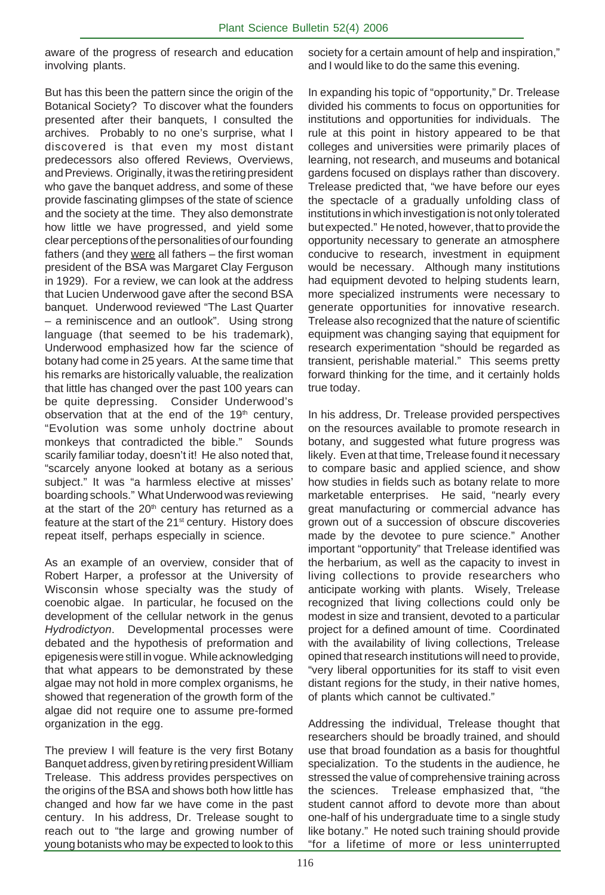aware of the progress of research and education involving plants.

But has this been the pattern since the origin of the Botanical Society? To discover what the founders presented after their banquets, I consulted the archives. Probably to no one's surprise, what I discovered is that even my most distant predecessors also offered Reviews, Overviews, and Previews. Originally, it was the retiring president who gave the banquet address, and some of these provide fascinating glimpses of the state of science and the society at the time. They also demonstrate how little we have progressed, and yield some clear perceptions of the personalities of our founding fathers (and they were all fathers – the first woman president of the BSA was Margaret Clay Ferguson in 1929). For a review, we can look at the address that Lucien Underwood gave after the second BSA banquet. Underwood reviewed "The Last Quarter – a reminiscence and an outlook". Using strong language (that seemed to be his trademark), Underwood emphasized how far the science of botany had come in 25 years. At the same time that his remarks are historically valuable, the realization that little has changed over the past 100 years can be quite depressing. Consider Underwood's observation that at the end of the  $19<sup>th</sup>$  century, "Evolution was some unholy doctrine about monkeys that contradicted the bible." Sounds scarily familiar today, doesn't it! He also noted that, "scarcely anyone looked at botany as a serious subject." It was "a harmless elective at misses' boarding schools." What Underwood was reviewing at the start of the 20<sup>th</sup> century has returned as a feature at the start of the 21<sup>st</sup> century. History does repeat itself, perhaps especially in science.

As an example of an overview, consider that of Robert Harper, a professor at the University of Wisconsin whose specialty was the study of coenobic algae. In particular, he focused on the development of the cellular network in the genus *Hydrodictyon*. Developmental processes were debated and the hypothesis of preformation and epigenesis were still in vogue. While acknowledging that what appears to be demonstrated by these algae may not hold in more complex organisms, he showed that regeneration of the growth form of the algae did not require one to assume pre-formed organization in the egg.

The preview I will feature is the very first Botany Banquet address, given by retiring president William Trelease. This address provides perspectives on the origins of the BSA and shows both how little has changed and how far we have come in the past century. In his address, Dr. Trelease sought to reach out to "the large and growing number of young botanists who may be expected to look to this

society for a certain amount of help and inspiration," and I would like to do the same this evening.

In expanding his topic of "opportunity," Dr. Trelease divided his comments to focus on opportunities for institutions and opportunities for individuals. The rule at this point in history appeared to be that colleges and universities were primarily places of learning, not research, and museums and botanical gardens focused on displays rather than discovery. Trelease predicted that, "we have before our eyes the spectacle of a gradually unfolding class of institutions in which investigation is not only tolerated but expected." He noted, however, that to provide the opportunity necessary to generate an atmosphere conducive to research, investment in equipment would be necessary. Although many institutions had equipment devoted to helping students learn, more specialized instruments were necessary to generate opportunities for innovative research. Trelease also recognized that the nature of scientific equipment was changing saying that equipment for research experimentation "should be regarded as transient, perishable material." This seems pretty forward thinking for the time, and it certainly holds true today.

In his address, Dr. Trelease provided perspectives on the resources available to promote research in botany, and suggested what future progress was likely. Even at that time, Trelease found it necessary to compare basic and applied science, and show how studies in fields such as botany relate to more marketable enterprises. He said, "nearly every great manufacturing or commercial advance has grown out of a succession of obscure discoveries made by the devotee to pure science." Another important "opportunity" that Trelease identified was the herbarium, as well as the capacity to invest in living collections to provide researchers who anticipate working with plants. Wisely, Trelease recognized that living collections could only be modest in size and transient, devoted to a particular project for a defined amount of time. Coordinated with the availability of living collections, Trelease opined that research institutions will need to provide, "very liberal opportunities for its staff to visit even distant regions for the study, in their native homes, of plants which cannot be cultivated."

Addressing the individual, Trelease thought that researchers should be broadly trained, and should use that broad foundation as a basis for thoughtful specialization. To the students in the audience, he stressed the value of comprehensive training across the sciences. Trelease emphasized that, "the student cannot afford to devote more than about one-half of his undergraduate time to a single study like botany." He noted such training should provide "for a lifetime of more or less uninterrupted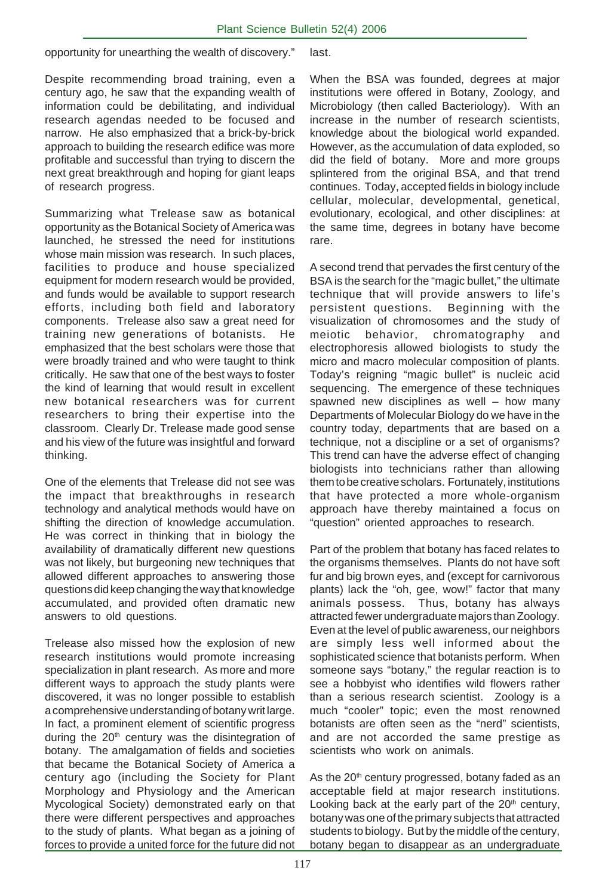opportunity for unearthing the wealth of discovery."

Despite recommending broad training, even a century ago, he saw that the expanding wealth of information could be debilitating, and individual research agendas needed to be focused and narrow. He also emphasized that a brick-by-brick approach to building the research edifice was more profitable and successful than trying to discern the next great breakthrough and hoping for giant leaps of research progress.

Summarizing what Trelease saw as botanical opportunity as the Botanical Society of America was launched, he stressed the need for institutions whose main mission was research. In such places, facilities to produce and house specialized equipment for modern research would be provided, and funds would be available to support research efforts, including both field and laboratory components. Trelease also saw a great need for training new generations of botanists. He emphasized that the best scholars were those that were broadly trained and who were taught to think critically. He saw that one of the best ways to foster the kind of learning that would result in excellent new botanical researchers was for current researchers to bring their expertise into the classroom. Clearly Dr. Trelease made good sense and his view of the future was insightful and forward thinking.

One of the elements that Trelease did not see was the impact that breakthroughs in research technology and analytical methods would have on shifting the direction of knowledge accumulation. He was correct in thinking that in biology the availability of dramatically different new questions was not likely, but burgeoning new techniques that allowed different approaches to answering those questions did keep changing the way that knowledge accumulated, and provided often dramatic new answers to old questions.

Trelease also missed how the explosion of new research institutions would promote increasing specialization in plant research. As more and more different ways to approach the study plants were discovered, it was no longer possible to establish a comprehensive understanding of botany writ large. In fact, a prominent element of scientific progress during the  $20<sup>th</sup>$  century was the disintegration of botany. The amalgamation of fields and societies that became the Botanical Society of America a century ago (including the Society for Plant Morphology and Physiology and the American Mycological Society) demonstrated early on that there were different perspectives and approaches to the study of plants. What began as a joining of forces to provide a united force for the future did not

last.

When the BSA was founded, degrees at major institutions were offered in Botany, Zoology, and Microbiology (then called Bacteriology). With an increase in the number of research scientists, knowledge about the biological world expanded. However, as the accumulation of data exploded, so did the field of botany. More and more groups splintered from the original BSA, and that trend continues. Today, accepted fields in biology include cellular, molecular, developmental, genetical, evolutionary, ecological, and other disciplines: at the same time, degrees in botany have become rare.

A second trend that pervades the first century of the BSA is the search for the "magic bullet," the ultimate technique that will provide answers to life's persistent questions. Beginning with the visualization of chromosomes and the study of meiotic behavior, chromatography and electrophoresis allowed biologists to study the micro and macro molecular composition of plants. Today's reigning "magic bullet" is nucleic acid sequencing. The emergence of these techniques spawned new disciplines as well – how many Departments of Molecular Biology do we have in the country today, departments that are based on a technique, not a discipline or a set of organisms? This trend can have the adverse effect of changing biologists into technicians rather than allowing them to be creative scholars. Fortunately, institutions that have protected a more whole-organism approach have thereby maintained a focus on "question" oriented approaches to research.

Part of the problem that botany has faced relates to the organisms themselves. Plants do not have soft fur and big brown eyes, and (except for carnivorous plants) lack the "oh, gee, wow!" factor that many animals possess. Thus, botany has always attracted fewer undergraduate majors than Zoology. Even at the level of public awareness, our neighbors are simply less well informed about the sophisticated science that botanists perform. When someone says "botany," the regular reaction is to see a hobbyist who identifies wild flowers rather than a serious research scientist. Zoology is a much "cooler" topic; even the most renowned botanists are often seen as the "nerd" scientists, and are not accorded the same prestige as scientists who work on animals.

As the 20<sup>th</sup> century progressed, botany faded as an acceptable field at major research institutions. Looking back at the early part of the  $20<sup>th</sup>$  century, botany was one of the primary subjects that attracted students to biology. But by the middle of the century, botany began to disappear as an undergraduate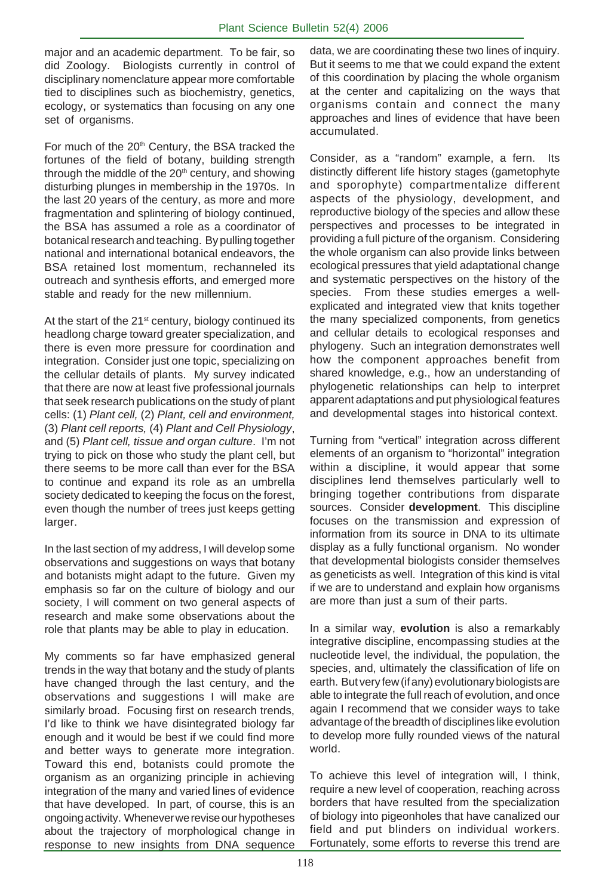major and an academic department. To be fair, so did Zoology. Biologists currently in control of disciplinary nomenclature appear more comfortable tied to disciplines such as biochemistry, genetics, ecology, or systematics than focusing on any one set of organisms.

For much of the 20<sup>th</sup> Century, the BSA tracked the fortunes of the field of botany, building strength through the middle of the 20<sup>th</sup> century, and showing disturbing plunges in membership in the 1970s. In the last 20 years of the century, as more and more fragmentation and splintering of biology continued, the BSA has assumed a role as a coordinator of botanical research and teaching. By pulling together national and international botanical endeavors, the BSA retained lost momentum, rechanneled its outreach and synthesis efforts, and emerged more stable and ready for the new millennium.

At the start of the 21<sup>st</sup> century, biology continued its headlong charge toward greater specialization, and there is even more pressure for coordination and integration. Consider just one topic, specializing on the cellular details of plants. My survey indicated that there are now at least five professional journals that seek research publications on the study of plant cells: (1) *Plant cell,* (2) *Plant, cell and environment,* (3) *Plant cell reports,* (4) *Plant and Cell Physiology*, and (5) *Plant cell, tissue and organ culture*. I'm not trying to pick on those who study the plant cell, but there seems to be more call than ever for the BSA to continue and expand its role as an umbrella society dedicated to keeping the focus on the forest, even though the number of trees just keeps getting larger.

In the last section of my address, I will develop some observations and suggestions on ways that botany and botanists might adapt to the future. Given my emphasis so far on the culture of biology and our society, I will comment on two general aspects of research and make some observations about the role that plants may be able to play in education.

My comments so far have emphasized general trends in the way that botany and the study of plants have changed through the last century, and the observations and suggestions I will make are similarly broad. Focusing first on research trends, I'd like to think we have disintegrated biology far enough and it would be best if we could find more and better ways to generate more integration. Toward this end, botanists could promote the organism as an organizing principle in achieving integration of the many and varied lines of evidence that have developed. In part, of course, this is an ongoing activity. Whenever we revise our hypotheses about the trajectory of morphological change in response to new insights from DNA sequence

data, we are coordinating these two lines of inquiry. But it seems to me that we could expand the extent of this coordination by placing the whole organism at the center and capitalizing on the ways that organisms contain and connect the many approaches and lines of evidence that have been accumulated.

Consider, as a "random" example, a fern. distinctly different life history stages (gametophyte and sporophyte) compartmentalize different aspects of the physiology, development, and reproductive biology of the species and allow these perspectives and processes to be integrated in providing a full picture of the organism. Considering the whole organism can also provide links between ecological pressures that yield adaptational change and systematic perspectives on the history of the species. From these studies emerges a wellexplicated and integrated view that knits together the many specialized components, from genetics and cellular details to ecological responses and phylogeny. Such an integration demonstrates well how the component approaches benefit from shared knowledge, e.g., how an understanding of phylogenetic relationships can help to interpret apparent adaptations and put physiological features and developmental stages into historical context.

Turning from "vertical" integration across different elements of an organism to "horizontal" integration within a discipline, it would appear that some disciplines lend themselves particularly well to bringing together contributions from disparate sources. Consider **development**. This discipline focuses on the transmission and expression of information from its source in DNA to its ultimate display as a fully functional organism. No wonder that developmental biologists consider themselves as geneticists as well. Integration of this kind is vital if we are to understand and explain how organisms are more than just a sum of their parts.

In a similar way, **evolution** is also a remarkably integrative discipline, encompassing studies at the nucleotide level, the individual, the population, the species, and, ultimately the classification of life on earth. But very few (if any) evolutionary biologists are able to integrate the full reach of evolution, and once again I recommend that we consider ways to take advantage of the breadth of disciplines like evolution to develop more fully rounded views of the natural world.

To achieve this level of integration will, I think, require a new level of cooperation, reaching across borders that have resulted from the specialization of biology into pigeonholes that have canalized our field and put blinders on individual workers. Fortunately, some efforts to reverse this trend are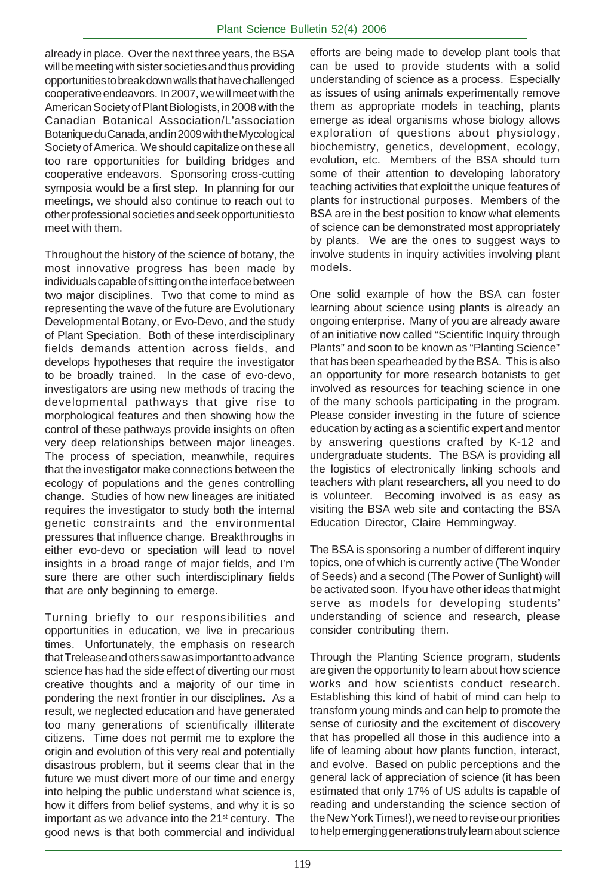already in place. Over the next three years, the BSA will be meeting with sister societies and thus providing opportunities to break down walls that have challenged cooperative endeavors. In 2007, we will meet with the American Society of Plant Biologists, in 2008 with the Canadian Botanical Association/L'association Botanique du Canada, and in 2009 with the Mycological Society of America. We should capitalize on these all too rare opportunities for building bridges and cooperative endeavors. Sponsoring cross-cutting symposia would be a first step. In planning for our meetings, we should also continue to reach out to other professional societies and seek opportunities to meet with them.

Throughout the history of the science of botany, the most innovative progress has been made by individuals capable of sitting on the interface between two major disciplines. Two that come to mind as representing the wave of the future are Evolutionary Developmental Botany, or Evo-Devo, and the study of Plant Speciation. Both of these interdisciplinary fields demands attention across fields, and develops hypotheses that require the investigator to be broadly trained. In the case of evo-devo, investigators are using new methods of tracing the developmental pathways that give rise to morphological features and then showing how the control of these pathways provide insights on often very deep relationships between major lineages. The process of speciation, meanwhile, requires that the investigator make connections between the ecology of populations and the genes controlling change. Studies of how new lineages are initiated requires the investigator to study both the internal genetic constraints and the environmental pressures that influence change. Breakthroughs in either evo-devo or speciation will lead to novel insights in a broad range of major fields, and I'm sure there are other such interdisciplinary fields that are only beginning to emerge.

Turning briefly to our responsibilities and opportunities in education, we live in precarious times. Unfortunately, the emphasis on research that Trelease and others saw as important to advance science has had the side effect of diverting our most creative thoughts and a majority of our time in pondering the next frontier in our disciplines. As a result, we neglected education and have generated too many generations of scientifically illiterate citizens. Time does not permit me to explore the origin and evolution of this very real and potentially disastrous problem, but it seems clear that in the future we must divert more of our time and energy into helping the public understand what science is, how it differs from belief systems, and why it is so important as we advance into the 21<sup>st</sup> century. The good news is that both commercial and individual

efforts are being made to develop plant tools that can be used to provide students with a solid understanding of science as a process. Especially as issues of using animals experimentally remove them as appropriate models in teaching, plants emerge as ideal organisms whose biology allows exploration of questions about physiology, biochemistry, genetics, development, ecology, evolution, etc. Members of the BSA should turn some of their attention to developing laboratory teaching activities that exploit the unique features of plants for instructional purposes. Members of the BSA are in the best position to know what elements of science can be demonstrated most appropriately by plants. We are the ones to suggest ways to involve students in inquiry activities involving plant models.

One solid example of how the BSA can foster learning about science using plants is already an ongoing enterprise. Many of you are already aware of an initiative now called "Scientific Inquiry through Plants" and soon to be known as "Planting Science" that has been spearheaded by the BSA. This is also an opportunity for more research botanists to get involved as resources for teaching science in one of the many schools participating in the program. Please consider investing in the future of science education by acting as a scientific expert and mentor by answering questions crafted by K-12 and undergraduate students. The BSA is providing all the logistics of electronically linking schools and teachers with plant researchers, all you need to do is volunteer. Becoming involved is as easy as visiting the BSA web site and contacting the BSA Education Director, Claire Hemmingway.

The BSA is sponsoring a number of different inquiry topics, one of which is currently active (The Wonder of Seeds) and a second (The Power of Sunlight) will be activated soon. If you have other ideas that might serve as models for developing students' understanding of science and research, please consider contributing them.

Through the Planting Science program, students are given the opportunity to learn about how science works and how scientists conduct research. Establishing this kind of habit of mind can help to transform young minds and can help to promote the sense of curiosity and the excitement of discovery that has propelled all those in this audience into a life of learning about how plants function, interact, and evolve. Based on public perceptions and the general lack of appreciation of science (it has been estimated that only 17% of US adults is capable of reading and understanding the science section of the New York Times!), we need to revise our priorities to help emerging generations truly learn about science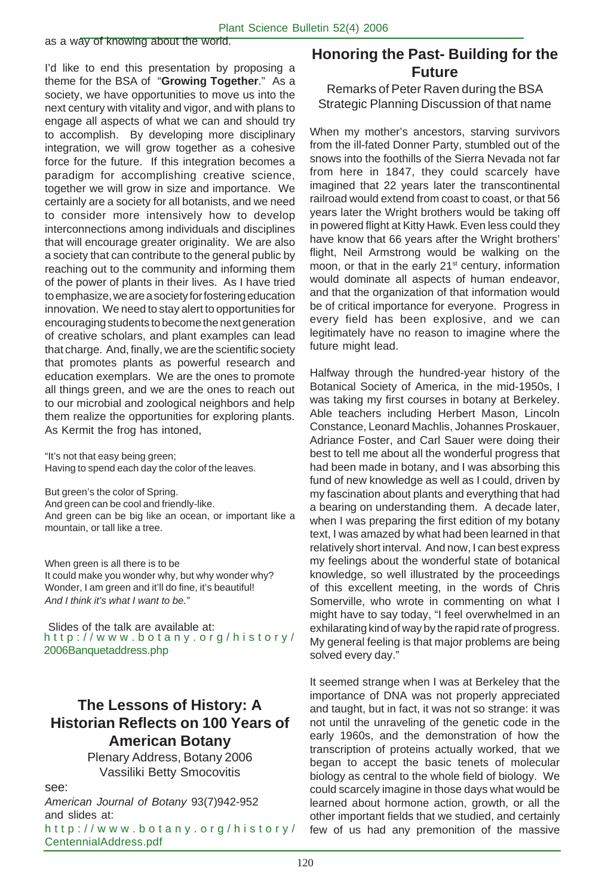I'd like to end this presentation by proposing a theme for the BSA of "**Growing Together**." As a society, we have opportunities to move us into the next century with vitality and vigor, and with plans to engage all aspects of what we can and should try to accomplish. By developing more disciplinary integration, we will grow together as a cohesive force for the future. If this integration becomes a paradigm for accomplishing creative science, together we will grow in size and importance. We certainly are a society for all botanists, and we need to consider more intensively how to develop interconnections among individuals and disciplines that will encourage greater originality. We are also a society that can contribute to the general public by reaching out to the community and informing them of the power of plants in their lives. As I have tried to emphasize, we are a society for fostering education innovation. We need to stay alert to opportunities for encouraging students to become the next generation of creative scholars, and plant examples can lead that charge. And, finally, we are the scientific society that promotes plants as powerful research and education exemplars. We are the ones to promote all things green, and we are the ones to reach out to our microbial and zoological neighbors and help them realize the opportunities for exploring plants. As Kermit the frog has intoned,

"It's not that easy being green; Having to spend each day the color of the leaves.

But green's the color of Spring. And green can be cool and friendly-like. And green can be big like an ocean, or important like a mountain, or tall like a tree.

When green is all there is to be It could make you wonder why, but why wonder why? Wonder, I am green and it'll do fine, it's beautiful! *And I think it's what I want to be."*

Slides of the talk are available at: http://www.botany.org/history/ 2006Banquetaddress.php

## **The Lessons of History: A Historian Reflects on 100 Years of American Botany**

Plenary Address, Botany 2006 Vassiliki Betty Smocovitis

see:

*American Journal of Botany* 93(7)942-952 and slides at: http://www.botany.org/history/ CentennialAddress.pdf

#### **Honoring the Past- Building for the Future**

Remarks of Peter Raven during the BSA Strategic Planning Discussion of that name

When my mother's ancestors, starving survivors from the ill-fated Donner Party, stumbled out of the snows into the foothills of the Sierra Nevada not far from here in 1847, they could scarcely have imagined that 22 years later the transcontinental railroad would extend from coast to coast, or that 56 years later the Wright brothers would be taking off in powered flight at Kitty Hawk. Even less could they have know that 66 years after the Wright brothers' flight, Neil Armstrong would be walking on the moon, or that in the early 21<sup>st</sup> century, information would dominate all aspects of human endeavor, and that the organization of that information would be of critical importance for everyone. Progress in every field has been explosive, and we can legitimately have no reason to imagine where the future might lead.

Halfway through the hundred-year history of the Botanical Society of America, in the mid-1950s, I was taking my first courses in botany at Berkeley. Able teachers including Herbert Mason, Lincoln Constance, Leonard Machlis, Johannes Proskauer, Adriance Foster, and Carl Sauer were doing their best to tell me about all the wonderful progress that had been made in botany, and I was absorbing this fund of new knowledge as well as I could, driven by my fascination about plants and everything that had a bearing on understanding them. A decade later, when I was preparing the first edition of my botany text, I was amazed by what had been learned in that relatively short interval. And now, I can best express my feelings about the wonderful state of botanical knowledge, so well illustrated by the proceedings of this excellent meeting, in the words of Chris Somerville, who wrote in commenting on what I might have to say today, "I feel overwhelmed in an exhilarating kind of way by the rapid rate of progress. My general feeling is that major problems are being solved every day."

It seemed strange when I was at Berkeley that the importance of DNA was not properly appreciated and taught, but in fact, it was not so strange: it was not until the unraveling of the genetic code in the early 1960s, and the demonstration of how the transcription of proteins actually worked, that we began to accept the basic tenets of molecular biology as central to the whole field of biology. We could scarcely imagine in those days what would be learned about hormone action, growth, or all the other important fields that we studied, and certainly few of us had any premonition of the massive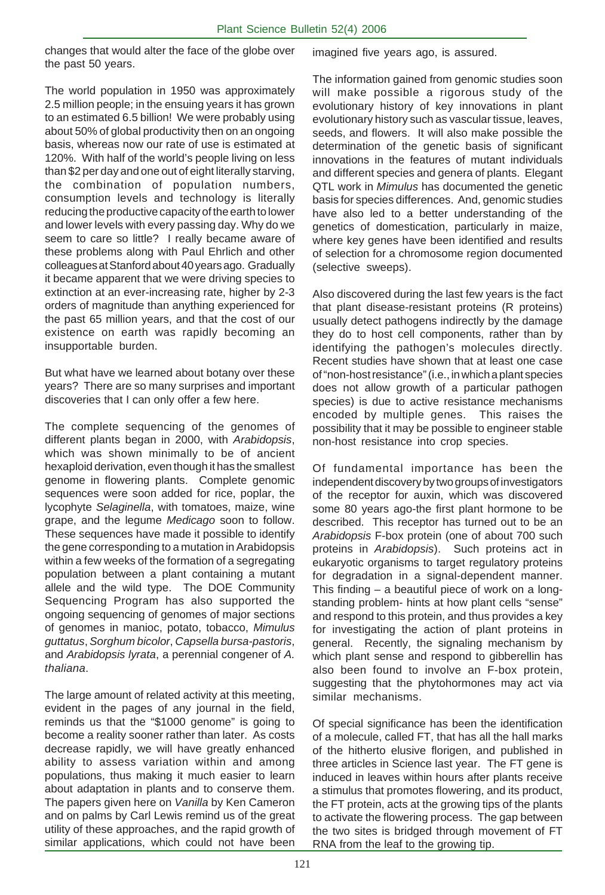changes that would alter the face of the globe over the past 50 years.

The world population in 1950 was approximately 2.5 million people; in the ensuing years it has grown to an estimated 6.5 billion! We were probably using about 50% of global productivity then on an ongoing basis, whereas now our rate of use is estimated at 120%. With half of the world's people living on less than \$2 per day and one out of eight literally starving, the combination of population numbers, consumption levels and technology is literally reducing the productive capacity of the earth to lower and lower levels with every passing day. Why do we seem to care so little? I really became aware of these problems along with Paul Ehrlich and other colleagues at Stanford about 40 years ago. Gradually it became apparent that we were driving species to extinction at an ever-increasing rate, higher by 2-3 orders of magnitude than anything experienced for the past 65 million years, and that the cost of our existence on earth was rapidly becoming an insupportable burden.

But what have we learned about botany over these years? There are so many surprises and important discoveries that I can only offer a few here.

The complete sequencing of the genomes of different plants began in 2000, with *Arabidopsis*, which was shown minimally to be of ancient hexaploid derivation, even though it has the smallest genome in flowering plants. Complete genomic sequences were soon added for rice, poplar, the lycophyte *Selaginella*, with tomatoes, maize, wine grape, and the legume *Medicago* soon to follow. These sequences have made it possible to identify the gene corresponding to a mutation in Arabidopsis within a few weeks of the formation of a segregating population between a plant containing a mutant allele and the wild type. The DOE Community Sequencing Program has also supported the ongoing sequencing of genomes of major sections of genomes in manioc, potato, tobacco, *Mimulus guttatus*, *Sorghum bicolor*, *Capsella bursa-pastoris*, and *Arabidopsis lyrata*, a perennial congener of *A. thaliana*.

The large amount of related activity at this meeting, evident in the pages of any journal in the field, reminds us that the "\$1000 genome" is going to become a reality sooner rather than later. As costs decrease rapidly, we will have greatly enhanced ability to assess variation within and among populations, thus making it much easier to learn about adaptation in plants and to conserve them. The papers given here on *Vanilla* by Ken Cameron and on palms by Carl Lewis remind us of the great utility of these approaches, and the rapid growth of similar applications, which could not have been

imagined five years ago, is assured.

The information gained from genomic studies soon will make possible a rigorous study of the evolutionary history of key innovations in plant evolutionary history such as vascular tissue, leaves, seeds, and flowers. It will also make possible the determination of the genetic basis of significant innovations in the features of mutant individuals and different species and genera of plants. Elegant QTL work in *Mimulus* has documented the genetic basis for species differences. And, genomic studies have also led to a better understanding of the genetics of domestication, particularly in maize, where key genes have been identified and results of selection for a chromosome region documented (selective sweeps).

Also discovered during the last few years is the fact that plant disease-resistant proteins (R proteins) usually detect pathogens indirectly by the damage they do to host cell components, rather than by identifying the pathogen's molecules directly. Recent studies have shown that at least one case of "non-host resistance" (i.e., in which a plant species does not allow growth of a particular pathogen species) is due to active resistance mechanisms encoded by multiple genes. This raises the possibility that it may be possible to engineer stable non-host resistance into crop species.

Of fundamental importance has been the independent discovery by two groups of investigators of the receptor for auxin, which was discovered some 80 years ago-the first plant hormone to be described. This receptor has turned out to be an *Arabidopsis* F-box protein (one of about 700 such proteins in *Arabidopsis*). Such proteins act in eukaryotic organisms to target regulatory proteins for degradation in a signal-dependent manner. This finding – a beautiful piece of work on a longstanding problem- hints at how plant cells "sense" and respond to this protein, and thus provides a key for investigating the action of plant proteins in general. Recently, the signaling mechanism by which plant sense and respond to gibberellin has also been found to involve an F-box protein, suggesting that the phytohormones may act via similar mechanisms.

Of special significance has been the identification of a molecule, called FT, that has all the hall marks of the hitherto elusive florigen, and published in three articles in Science last year. The FT gene is induced in leaves within hours after plants receive a stimulus that promotes flowering, and its product, the FT protein, acts at the growing tips of the plants to activate the flowering process. The gap between the two sites is bridged through movement of FT RNA from the leaf to the growing tip.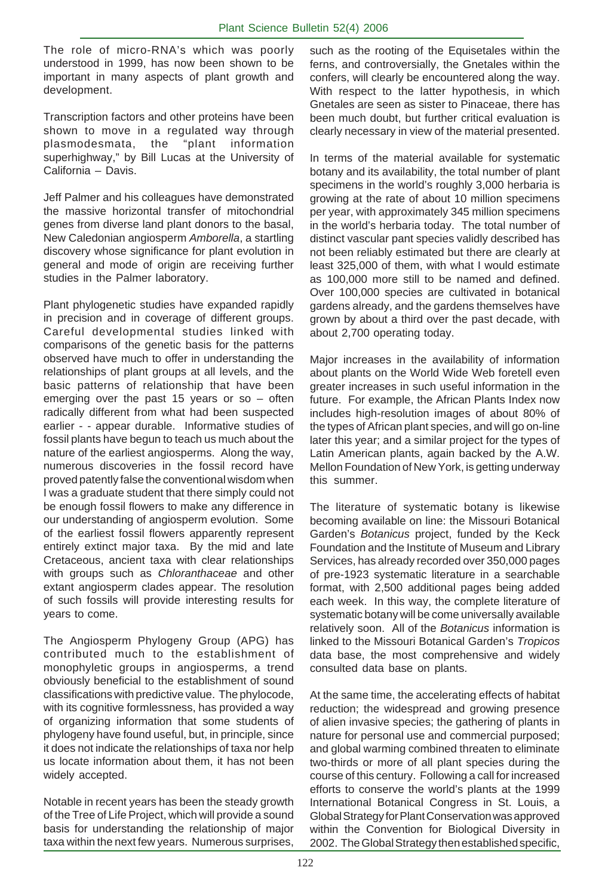The role of micro-RNA's which was poorly understood in 1999, has now been shown to be important in many aspects of plant growth and development.

Transcription factors and other proteins have been shown to move in a regulated way through plasmodesmata, the "plant information superhighway," by Bill Lucas at the University of California – Davis.

Jeff Palmer and his colleagues have demonstrated the massive horizontal transfer of mitochondrial genes from diverse land plant donors to the basal, New Caledonian angiosperm *Amborella*, a startling discovery whose significance for plant evolution in general and mode of origin are receiving further studies in the Palmer laboratory.

Plant phylogenetic studies have expanded rapidly in precision and in coverage of different groups. Careful developmental studies linked with comparisons of the genetic basis for the patterns observed have much to offer in understanding the relationships of plant groups at all levels, and the basic patterns of relationship that have been emerging over the past 15 years or so  $-$  often radically different from what had been suspected earlier - - appear durable. Informative studies of fossil plants have begun to teach us much about the nature of the earliest angiosperms. Along the way, numerous discoveries in the fossil record have proved patently false the conventional wisdom when I was a graduate student that there simply could not be enough fossil flowers to make any difference in our understanding of angiosperm evolution. Some of the earliest fossil flowers apparently represent entirely extinct major taxa. By the mid and late Cretaceous, ancient taxa with clear relationships with groups such as *Chloranthaceae* and other extant angiosperm clades appear. The resolution of such fossils will provide interesting results for years to come.

The Angiosperm Phylogeny Group (APG) has contributed much to the establishment of monophyletic groups in angiosperms, a trend obviously beneficial to the establishment of sound classifications with predictive value. The phylocode, with its cognitive formlessness, has provided a way of organizing information that some students of phylogeny have found useful, but, in principle, since it does not indicate the relationships of taxa nor help us locate information about them, it has not been widely accepted.

Notable in recent years has been the steady growth of the Tree of Life Project, which will provide a sound basis for understanding the relationship of major taxa within the next few years. Numerous surprises,

such as the rooting of the Equisetales within the ferns, and controversially, the Gnetales within the confers, will clearly be encountered along the way. With respect to the latter hypothesis, in which Gnetales are seen as sister to Pinaceae, there has been much doubt, but further critical evaluation is clearly necessary in view of the material presented.

In terms of the material available for systematic botany and its availability, the total number of plant specimens in the world's roughly 3,000 herbaria is growing at the rate of about 10 million specimens per year, with approximately 345 million specimens in the world's herbaria today. The total number of distinct vascular pant species validly described has not been reliably estimated but there are clearly at least 325,000 of them, with what I would estimate as 100,000 more still to be named and defined. Over 100,000 species are cultivated in botanical gardens already, and the gardens themselves have grown by about a third over the past decade, with about 2,700 operating today.

Major increases in the availability of information about plants on the World Wide Web foretell even greater increases in such useful information in the future. For example, the African Plants Index now includes high-resolution images of about 80% of the types of African plant species, and will go on-line later this year; and a similar project for the types of Latin American plants, again backed by the A.W. Mellon Foundation of New York, is getting underway this summer.

The literature of systematic botany is likewise becoming available on line: the Missouri Botanical Garden's *Botanicus* project, funded by the Keck Foundation and the Institute of Museum and Library Services, has already recorded over 350,000 pages of pre-1923 systematic literature in a searchable format, with 2,500 additional pages being added each week. In this way, the complete literature of systematic botany will be come universally available relatively soon. All of the *Botanicus* information is linked to the Missouri Botanical Garden's *Tropicos* data base, the most comprehensive and widely consulted data base on plants.

At the same time, the accelerating effects of habitat reduction; the widespread and growing presence of alien invasive species; the gathering of plants in nature for personal use and commercial purposed; and global warming combined threaten to eliminate two-thirds or more of all plant species during the course of this century. Following a call for increased efforts to conserve the world's plants at the 1999 International Botanical Congress in St. Louis, a Global Strategy for Plant Conservation was approved within the Convention for Biological Diversity in 2002. The Global Strategy then established specific,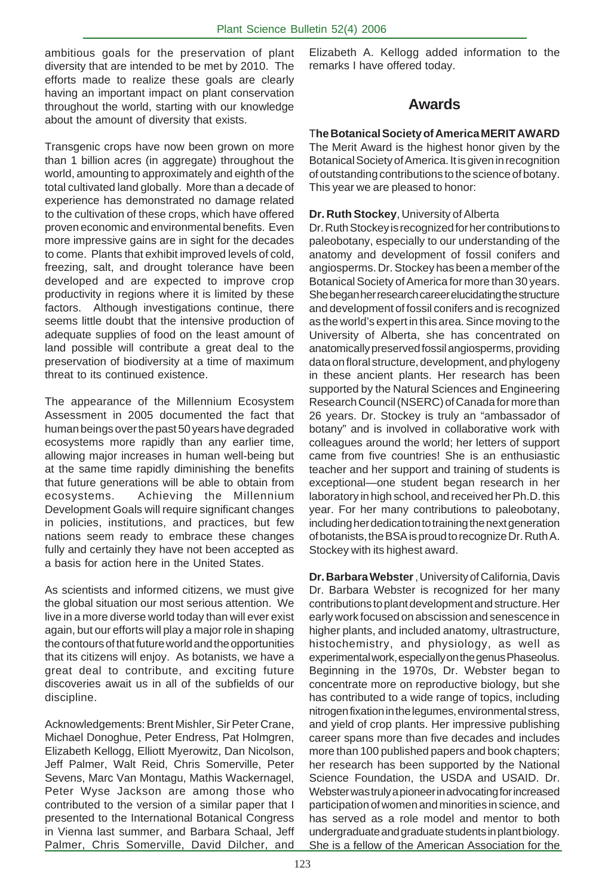ambitious goals for the preservation of plant diversity that are intended to be met by 2010. The efforts made to realize these goals are clearly having an important impact on plant conservation throughout the world, starting with our knowledge about the amount of diversity that exists.

Transgenic crops have now been grown on more than 1 billion acres (in aggregate) throughout the world, amounting to approximately and eighth of the total cultivated land globally. More than a decade of experience has demonstrated no damage related to the cultivation of these crops, which have offered proven economic and environmental benefits. Even more impressive gains are in sight for the decades to come. Plants that exhibit improved levels of cold, freezing, salt, and drought tolerance have been developed and are expected to improve crop productivity in regions where it is limited by these factors. Although investigations continue, there seems little doubt that the intensive production of adequate supplies of food on the least amount of land possible will contribute a great deal to the preservation of biodiversity at a time of maximum threat to its continued existence.

The appearance of the Millennium Ecosystem Assessment in 2005 documented the fact that human beings over the past 50 years have degraded ecosystems more rapidly than any earlier time, allowing major increases in human well-being but at the same time rapidly diminishing the benefits that future generations will be able to obtain from ecosystems. Achieving the Millennium Development Goals will require significant changes in policies, institutions, and practices, but few nations seem ready to embrace these changes fully and certainly they have not been accepted as a basis for action here in the United States.

As scientists and informed citizens, we must give the global situation our most serious attention. We live in a more diverse world today than will ever exist again, but our efforts will play a major role in shaping the contours of that future world and the opportunities that its citizens will enjoy. As botanists, we have a great deal to contribute, and exciting future discoveries await us in all of the subfields of our discipline.

Acknowledgements: Brent Mishler, Sir Peter Crane, Michael Donoghue, Peter Endress, Pat Holmgren, Elizabeth Kellogg, Elliott Myerowitz, Dan Nicolson, Jeff Palmer, Walt Reid, Chris Somerville, Peter Sevens, Marc Van Montagu, Mathis Wackernagel, Peter Wyse Jackson are among those who contributed to the version of a similar paper that I presented to the International Botanical Congress in Vienna last summer, and Barbara Schaal, Jeff Palmer, Chris Somerville, David Dilcher, and Elizabeth A. Kellogg added information to the remarks I have offered today.

## **Awards**

#### T**he Botanical Society of America MERIT AWARD**

The Merit Award is the highest honor given by the Botanical Society of America. It is given in recognition of outstanding contributions to the science of botany. This year we are pleased to honor:

#### **Dr. Ruth Stockey**, University of Alberta

Dr. Ruth Stockey is recognized for her contributions to paleobotany, especially to our understanding of the anatomy and development of fossil conifers and angiosperms. Dr. Stockey has been a member of the Botanical Society of America for more than 30 years. She began her research career elucidating the structure and development of fossil conifers and is recognized as the world's expert in this area. Since moving to the University of Alberta, she has concentrated on anatomically preserved fossil angiosperms, providing data on floral structure, development, and phylogeny in these ancient plants. Her research has been supported by the Natural Sciences and Engineering Research Council (NSERC) of Canada for more than 26 years. Dr. Stockey is truly an "ambassador of botany" and is involved in collaborative work with colleagues around the world; her letters of support came from five countries! She is an enthusiastic teacher and her support and training of students is exceptional—one student began research in her laboratory in high school, and received her Ph.D. this year. For her many contributions to paleobotany, including her dedication to training the next generation of botanists, the BSA is proud to recognize Dr. Ruth A. Stockey with its highest award.

**Dr. Barbara Webster** , University of California, Davis Dr. Barbara Webster is recognized for her many contributions to plant development and structure. Her early work focused on abscission and senescence in higher plants, and included anatomy, ultrastructure, histochemistry, and physiology, as well as experimental work, especially on the genus Phaseolus. Beginning in the 1970s, Dr. Webster began to concentrate more on reproductive biology, but she has contributed to a wide range of topics, including nitrogen fixation in the legumes, environmental stress, and yield of crop plants. Her impressive publishing career spans more than five decades and includes more than 100 published papers and book chapters; her research has been supported by the National Science Foundation, the USDA and USAID. Dr. Webster was truly a pioneer in advocating for increased participation of women and minorities in science, and has served as a role model and mentor to both undergraduate and graduate students in plant biology. She is a fellow of the American Association for the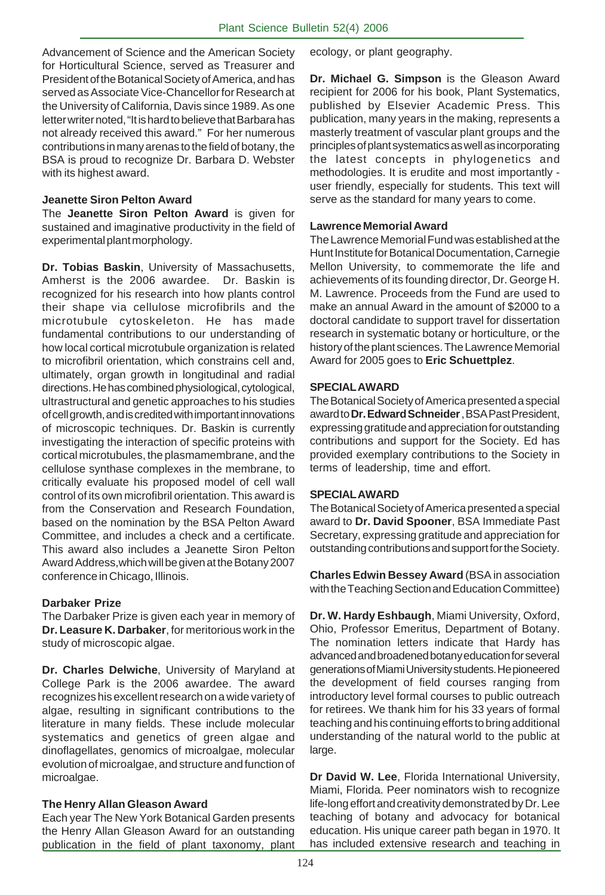Advancement of Science and the American Society for Horticultural Science, served as Treasurer and President of the Botanical Society of America, and has served as Associate Vice-Chancellor for Research at the University of California, Davis since 1989. As one letter writer noted, "It is hard to believe that Barbara has not already received this award." For her numerous contributions in many arenas to the field of botany, the BSA is proud to recognize Dr. Barbara D. Webster with its highest award.

#### **Jeanette Siron Pelton Award**

The **Jeanette Siron Pelton Award** is given for sustained and imaginative productivity in the field of experimental plant morphology.

**Dr. Tobias Baskin**, University of Massachusetts, Amherst is the 2006 awardee. Dr. Baskin is recognized for his research into how plants control their shape via cellulose microfibrils and the microtubule cytoskeleton. He has made fundamental contributions to our understanding of how local cortical microtubule organization is related to microfibril orientation, which constrains cell and, ultimately, organ growth in longitudinal and radial directions. He has combined physiological, cytological, ultrastructural and genetic approaches to his studies of cell growth, and is credited with important innovations of microscopic techniques. Dr. Baskin is currently investigating the interaction of specific proteins with cortical microtubules, the plasmamembrane, and the cellulose synthase complexes in the membrane, to critically evaluate his proposed model of cell wall control of its own microfibril orientation. This award is from the Conservation and Research Foundation, based on the nomination by the BSA Pelton Award Committee, and includes a check and a certificate. This award also includes a Jeanette Siron Pelton Award Address,which will be given at the Botany 2007 conference in Chicago, Illinois.

#### **Darbaker Prize**

The Darbaker Prize is given each year in memory of **Dr. Leasure K. Darbaker**, for meritorious work in the study of microscopic algae.

**Dr. Charles Delwiche**, University of Maryland at College Park is the 2006 awardee. The award recognizes his excellent research on a wide variety of algae, resulting in significant contributions to the literature in many fields. These include molecular systematics and genetics of green algae and dinoflagellates, genomics of microalgae, molecular evolution of microalgae, and structure and function of microalgae.

#### **The Henry Allan Gleason Award**

Each year The New York Botanical Garden presents the Henry Allan Gleason Award for an outstanding publication in the field of plant taxonomy, plant ecology, or plant geography.

**Dr. Michael G. Simpson** is the Gleason Award recipient for 2006 for his book, Plant Systematics, published by Elsevier Academic Press. This publication, many years in the making, represents a masterly treatment of vascular plant groups and the principles of plant systematics as well as incorporating the latest concepts in phylogenetics and methodologies. It is erudite and most importantly user friendly, especially for students. This text will serve as the standard for many years to come.

#### **Lawrence Memorial Award**

The Lawrence Memorial Fund was established at the Hunt Institute for Botanical Documentation, Carnegie Mellon University, to commemorate the life and achievements of its founding director, Dr. George H. M. Lawrence. Proceeds from the Fund are used to make an annual Award in the amount of \$2000 to a doctoral candidate to support travel for dissertation research in systematic botany or horticulture, or the history of the plant sciences. The Lawrence Memorial Award for 2005 goes to **Eric Schuettplez**.

#### **SPECIAL AWARD**

The Botanical Society of America presented a special award to **Dr. Edward Schneider** , BSA Past President, expressing gratitude and appreciation for outstanding contributions and support for the Society. Ed has provided exemplary contributions to the Society in terms of leadership, time and effort.

#### **SPECIAL AWARD**

The Botanical Society of America presented a special award to **Dr. David Spooner**, BSA Immediate Past Secretary, expressing gratitude and appreciation for outstanding contributions and support for the Society.

**Charles Edwin Bessey Award** (BSA in association with the Teaching Section and Education Committee)

**Dr. W. Hardy Eshbaugh**, Miami University, Oxford, Ohio, Professor Emeritus, Department of Botany. The nomination letters indicate that Hardy has advanced and broadened botany education for several generations of Miami University students. He pioneered the development of field courses ranging from introductory level formal courses to public outreach for retirees. We thank him for his 33 years of formal teaching and his continuing efforts to bring additional understanding of the natural world to the public at large.

**Dr David W. Lee**, Florida International University, Miami, Florida. Peer nominators wish to recognize life-long effort and creativity demonstrated by Dr. Lee teaching of botany and advocacy for botanical education. His unique career path began in 1970. It has included extensive research and teaching in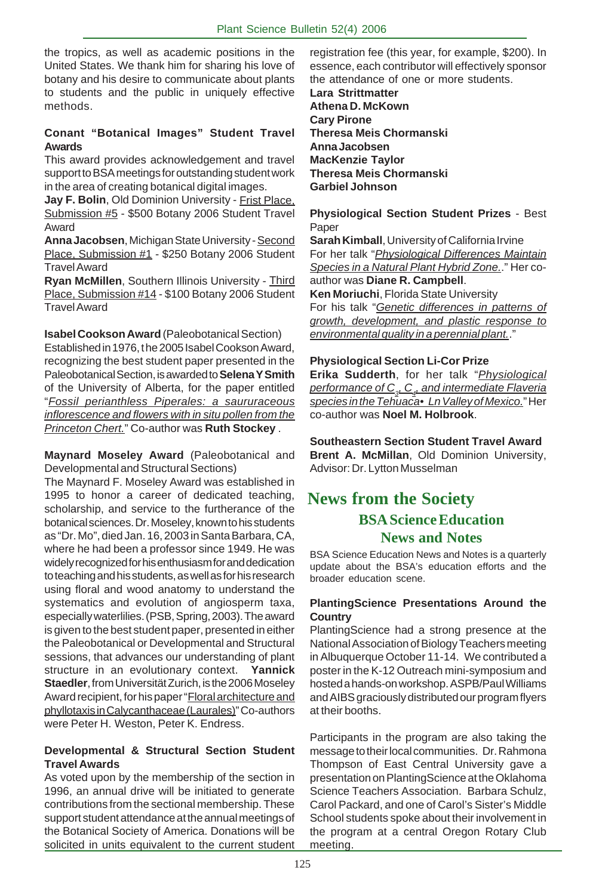the tropics, as well as academic positions in the United States. We thank him for sharing his love of botany and his desire to communicate about plants to students and the public in uniquely effective methods.

#### **Conant "Botanical Images" Student Travel Awards**

This award provides acknowledgement and travel support to BSA meetings for outstanding student work in the area of creating botanical digital images.

Jay F. Bolin, Old Dominion University - Frist Place, Submission #5 - \$500 Botany 2006 Student Travel Award

**Anna Jacobsen**, Michigan State University - Second Place, Submission #1 - \$250 Botany 2006 Student Travel Award

**Ryan McMillen**, Southern Illinois University - Third Place, Submission #14 - \$100 Botany 2006 Student Travel Award

**Isabel Cookson Award** (Paleobotanical Section) Established in 1976, t he 2005 Isabel Cookson Award, recognizing the best student paper presented in the Paleobotanical Section, is awarded to **Selena Y Smith** of the University of Alberta, for the paper entitled "*Fossil perianthless Piperales: a saururaceous inflorescence and flowers with in situ pollen from the Princeton Chert.*" Co-author was **Ruth Stockey** .

**Maynard Moseley Award** (Paleobotanical and Developmental and Structural Sections)

The Maynard F. Moseley Award was established in 1995 to honor a career of dedicated teaching, scholarship, and service to the furtherance of the botanical sciences. Dr. Moseley, known to his students as "Dr. Mo", died Jan. 16, 2003 in Santa Barbara, CA, where he had been a professor since 1949. He was widely recognized for his enthusiasm for and dedication to teaching and his students, as well as for his research using floral and wood anatomy to understand the systematics and evolution of angiosperm taxa, especially waterlilies. (PSB, Spring, 2003). The award is given to the best student paper, presented in either the Paleobotanical or Developmental and Structural sessions, that advances our understanding of plant structure in an evolutionary context. **Yannick Staedler**, from Universität Zurich, is the 2006 Moseley Award recipient, for his paper "Floral architecture and phyllotaxis in Calycanthaceae (Laurales)" Co-authors were Peter H. Weston, Peter K. Endress.

#### **Developmental & Structural Section Student Travel Awards**

As voted upon by the membership of the section in 1996, an annual drive will be initiated to generate contributions from the sectional membership. These support student attendance at the annual meetings of the Botanical Society of America. Donations will be solicited in units equivalent to the current student

registration fee (this year, for example, \$200). In essence, each contributor will effectively sponsor the attendance of one or more students.

**Lara Strittmatter Athena D. McKown Cary Pirone Theresa Meis Chormanski Anna Jacobsen MacKenzie Taylor Theresa Meis Chormanski Garbiel Johnson**

**Physiological Section Student Prizes** - Best Paper

**Sarah Kimball**, University of California Irvine For her talk "*Physiological Differences Maintain Species in a Natural Plant Hybrid Zone.*." Her coauthor was **Diane R. Campbell**.

**Ken Moriuchi**, Florida State University For his talk "*Genetic differences in patterns of growth, development, and plastic response to environmental quality in a perennial plant.*."

#### **Physiological Section Li-Cor Prize**

**Erika Sudderth**, for her talk "*Physiological performance of C3, C4 , and intermediate Flaveria species in the Tehuaca• Ln Valley of Mexico.*" Her co-author was **Noel M. Holbrook**.

**Southeastern Section Student Travel Award Brent A. McMillan**, Old Dominion University, Advisor: Dr. Lytton Musselman

## **News from the Society BSA Science Education News and Notes**

BSA Science Education News and Notes is a quarterly update about the BSA's education efforts and the broader education scene.

#### **PlantingScience Presentations Around the Country**

PlantingScience had a strong presence at the National Association of Biology Teachers meeting in Albuquerque October 11-14. We contributed a poster in the K-12 Outreach mini-symposium and hosted a hands-on workshop. ASPB/Paul Williams and AIBS graciously distributed our program flyers at their booths.

Participants in the program are also taking the message to their local communities. Dr. Rahmona Thompson of East Central University gave a presentation on PlantingScience at the Oklahoma Science Teachers Association. Barbara Schulz, Carol Packard, and one of Carol's Sister's Middle School students spoke about their involvement in the program at a central Oregon Rotary Club meeting.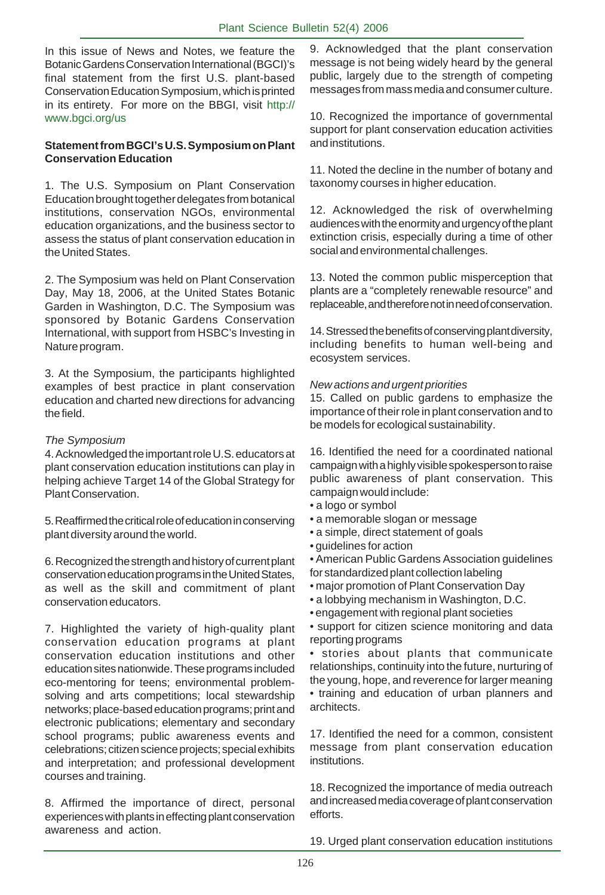In this issue of News and Notes, we feature the Botanic Gardens Conservation International (BGCI)'s final statement from the first U.S. plant-based Conservation Education Symposium, which is printed in its entirety. For more on the BBGI, visit http:// www.bgci.org/us

#### **Statement from BGCI's U.S. Symposium on Plant Conservation Education**

1. The U.S. Symposium on Plant Conservation Education brought together delegates from botanical institutions, conservation NGOs, environmental education organizations, and the business sector to assess the status of plant conservation education in the United States.

2. The Symposium was held on Plant Conservation Day, May 18, 2006, at the United States Botanic Garden in Washington, D.C. The Symposium was sponsored by Botanic Gardens Conservation International, with support from HSBC's Investing in Nature program.

3. At the Symposium, the participants highlighted examples of best practice in plant conservation education and charted new directions for advancing the field.

#### *The Symposium*

4. Acknowledged the important role U.S. educators at plant conservation education institutions can play in helping achieve Target 14 of the Global Strategy for Plant Conservation.

5. Reaffirmed the critical role of education in conserving plant diversity around the world.

6. Recognized the strength and history of current plant conservation education programs in the United States, as well as the skill and commitment of plant conservation educators.

7. Highlighted the variety of high-quality plant conservation education programs at plant conservation education institutions and other education sites nationwide. These programs included eco-mentoring for teens; environmental problemsolving and arts competitions; local stewardship networks; place-based education programs; print and electronic publications; elementary and secondary school programs; public awareness events and celebrations; citizen science projects; special exhibits and interpretation; and professional development courses and training.

8. Affirmed the importance of direct, personal experiences with plants in effecting plant conservation awareness and action.

9. Acknowledged that the plant conservation message is not being widely heard by the general public, largely due to the strength of competing messages from mass media and consumer culture.

10. Recognized the importance of governmental support for plant conservation education activities and institutions.

11. Noted the decline in the number of botany and taxonomy courses in higher education.

12. Acknowledged the risk of overwhelming audiences with the enormity and urgency of the plant extinction crisis, especially during a time of other social and environmental challenges.

13. Noted the common public misperception that plants are a "completely renewable resource" and replaceable, and therefore not in need of conservation.

14. Stressed the benefits of conserving plant diversity, including benefits to human well-being and ecosystem services.

#### *New actions and urgent priorities*

15. Called on public gardens to emphasize the importance of their role in plant conservation and to be models for ecological sustainability.

16. Identified the need for a coordinated national campaign with a highly visible spokesperson to raise public awareness of plant conservation. This campaign would include:

- a logo or symbol
- a memorable slogan or message
- a simple, direct statement of goals
- guidelines for action

• American Public Gardens Association guidelines for standardized plant collection labeling

- major promotion of Plant Conservation Day
- a lobbying mechanism in Washington, D.C.
- engagement with regional plant societies
- support for citizen science monitoring and data reporting programs

• stories about plants that communicate relationships, continuity into the future, nurturing of the young, hope, and reverence for larger meaning • training and education of urban planners and

architects.

17. Identified the need for a common, consistent message from plant conservation education institutions.

18. Recognized the importance of media outreach and increased media coverage of plant conservation efforts.

19. Urged plant conservation education institutions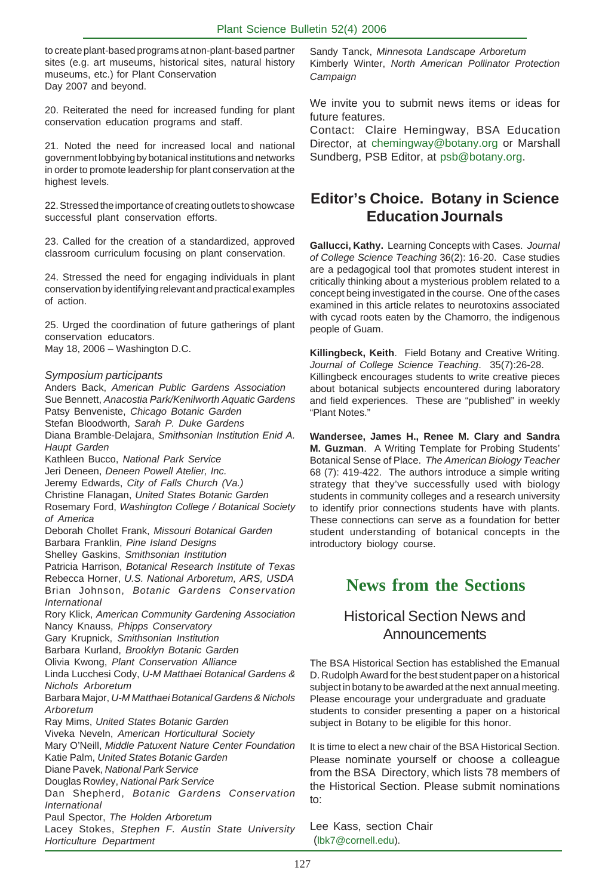to create plant-based programs at non-plant-based partner sites (e.g. art museums, historical sites, natural history museums, etc.) for Plant Conservation Day 2007 and beyond.

20. Reiterated the need for increased funding for plant conservation education programs and staff.

21. Noted the need for increased local and national government lobbying by botanical institutions and networks in order to promote leadership for plant conservation at the highest levels.

22. Stressed the importance of creating outlets to showcase successful plant conservation efforts.

23. Called for the creation of a standardized, approved classroom curriculum focusing on plant conservation.

24. Stressed the need for engaging individuals in plant conservation by identifying relevant and practical examples of action.

25. Urged the coordination of future gatherings of plant conservation educators. May 18, 2006 – Washington D.C.

#### *Symposium participants*

Anders Back, *American Public Gardens Association* Sue Bennett, *Anacostia Park/Kenilworth Aquatic Gardens* Patsy Benveniste, *Chicago Botanic Garden* Stefan Bloodworth, *Sarah P. Duke Gardens* Diana Bramble-Delajara, *Smithsonian Institution Enid A. Haupt Garden* Kathleen Bucco, *National Park Service* Jeri Deneen, *Deneen Powell Atelier, Inc.* Jeremy Edwards, *City of Falls Church (Va.)* Christine Flanagan, *United States Botanic Garden* Rosemary Ford, *Washington College / Botanical Society of America* Deborah Chollet Frank, *Missouri Botanical Garden* Barbara Franklin, *Pine Island Designs* Shelley Gaskins, *Smithsonian Institution* Patricia Harrison, *Botanical Research Institute of Texas* Rebecca Horner, *U.S. National Arboretum, ARS, USDA* Brian Johnson, *Botanic Gardens Conservation International* Rory Klick, *American Community Gardening Association* Nancy Knauss, *Phipps Conservatory* Gary Krupnick, *Smithsonian Institution* Barbara Kurland, *Brooklyn Botanic Garden* Olivia Kwong, *Plant Conservation Alliance* Linda Lucchesi Cody, *U-M Matthaei Botanical Gardens & Nichols Arboretum* Barbara Major, *U-M Matthaei Botanical Gardens & Nichols Arboretum* Ray Mims, *United States Botanic Garden* Viveka Neveln, *American Horticultural Society* Mary O'Neill, *Middle Patuxent Nature Center Foundation* Katie Palm, *United States Botanic Garden* Diane Pavek, *National Park Service* Douglas Rowley, *National Park Service* Dan Shepherd, *Botanic Gardens Conservation International* Paul Spector, *The Holden Arboretum* Lacey Stokes, *Stephen F. Austin State University Horticulture Department*

Sandy Tanck, *Minnesota Landscape Arboretum* Kimberly Winter, *North American Pollinator Protection Campaign*

We invite you to submit news items or ideas for future features.

Contact: Claire Hemingway, BSA Education Director, at chemingway@botany.org or Marshall Sundberg, PSB Editor, at psb@botany.org.

## **Editor's Choice. Botany in Science Education Journals**

**Gallucci, Kathy.** Learning Concepts with Cases. *Journal of College Science Teaching* 36(2): 16-20. Case studies are a pedagogical tool that promotes student interest in critically thinking about a mysterious problem related to a concept being investigated in the course. One of the cases examined in this article relates to neurotoxins associated with cycad roots eaten by the Chamorro, the indigenous people of Guam.

**Killingbeck, Keith**. Field Botany and Creative Writing. *Journal of College Science Teaching*. 35(7):26-28. Killingbeck encourages students to write creative pieces about botanical subjects encountered during laboratory and field experiences. These are "published" in weekly "Plant Notes."

**Wandersee, James H., Renee M. Clary and Sandra M. Guzman**. A Writing Template for Probing Students' Botanical Sense of Place. *The American Biology Teacher* 68 (7): 419-422. The authors introduce a simple writing strategy that they've successfully used with biology students in community colleges and a research university to identify prior connections students have with plants. These connections can serve as a foundation for better student understanding of botanical concepts in the introductory biology course.

## **News from the Sections**

### Historical Section News and Announcements

The BSA Historical Section has established the Emanual D. Rudolph Award for the best student paper on a historical subject in botany to be awarded at the next annual meeting. Please encourage your undergraduate and graduate students to consider presenting a paper on a historical subject in Botany to be eligible for this honor.

It is time to elect a new chair of the BSA Historical Section. Please nominate yourself or choose a colleague from the BSA Directory, which lists 78 members of the Historical Section. Please submit nominations to:

Lee Kass, section Chair (lbk7@cornell.edu).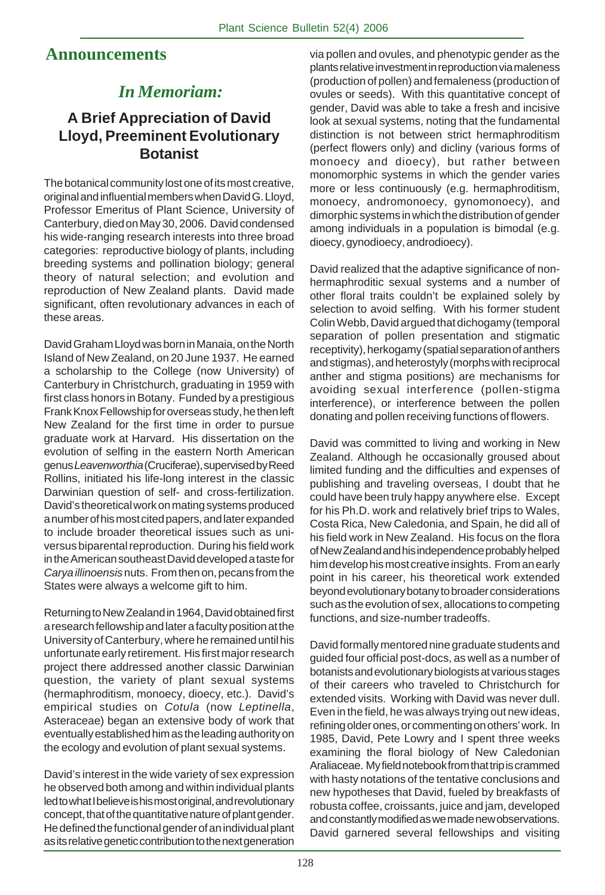## **Announcements**

# *In Memoriam:*

## **A Brief Appreciation of David Lloyd, Preeminent Evolutionary Botanist**

The botanical community lost one of its most creative, original and influential members when David G. Lloyd, Professor Emeritus of Plant Science, University of Canterbury, died on May 30, 2006. David condensed his wide-ranging research interests into three broad categories: reproductive biology of plants, including breeding systems and pollination biology; general theory of natural selection; and evolution and reproduction of New Zealand plants. David made significant, often revolutionary advances in each of these areas.

David Graham Lloyd was born in Manaia, on the North Island of New Zealand, on 20 June 1937. He earned a scholarship to the College (now University) of Canterbury in Christchurch, graduating in 1959 with first class honors in Botany. Funded by a prestigious Frank Knox Fellowship for overseas study, he then left New Zealand for the first time in order to pursue graduate work at Harvard. His dissertation on the evolution of selfing in the eastern North American genus *Leavenworthia* (Cruciferae), supervised by Reed Rollins, initiated his life-long interest in the classic Darwinian question of self- and cross-fertilization. David's theoretical work on mating systems produced a number of his most cited papers, and later expanded to include broader theoretical issues such as universus biparental reproduction. During his field work in the American southeast David developed a taste for *Carya illinoensis* nuts. From then on, pecans from the States were always a welcome gift to him.

Returning to New Zealand in 1964, David obtained first a research fellowship and later a faculty position at the University of Canterbury, where he remained until his unfortunate early retirement. His first major research project there addressed another classic Darwinian question, the variety of plant sexual systems (hermaphroditism, monoecy, dioecy, etc.). David's empirical studies on *Cotula* (now *Leptinella*, Asteraceae) began an extensive body of work that eventually established him as the leading authority on the ecology and evolution of plant sexual systems.

David's interest in the wide variety of sex expression he observed both among and within individual plants led to what I believe is his most original, and revolutionary concept, that of the quantitative nature of plant gender. He defined the functional gender of an individual plant as its relative genetic contribution to the next generation via pollen and ovules, and phenotypic gender as the plants relative investment in reproduction via maleness (production of pollen) and femaleness (production of ovules or seeds). With this quantitative concept of gender, David was able to take a fresh and incisive look at sexual systems, noting that the fundamental distinction is not between strict hermaphroditism (perfect flowers only) and dicliny (various forms of monoecy and dioecy), but rather between monomorphic systems in which the gender varies more or less continuously (e.g. hermaphroditism, monoecy, andromonoecy, gynomonoecy), and dimorphic systems in which the distribution of gender among individuals in a population is bimodal (e.g. dioecy, gynodioecy, androdioecy).

David realized that the adaptive significance of nonhermaphroditic sexual systems and a number of other floral traits couldn't be explained solely by selection to avoid selfing. With his former student Colin Webb, David argued that dichogamy (temporal separation of pollen presentation and stigmatic receptivity), herkogamy (spatial separation of anthers and stigmas), and heterostyly (morphs with reciprocal anther and stigma positions) are mechanisms for avoiding sexual interference (pollen-stigma interference), or interference between the pollen donating and pollen receiving functions of flowers.

David was committed to living and working in New Zealand. Although he occasionally groused about limited funding and the difficulties and expenses of publishing and traveling overseas, I doubt that he could have been truly happy anywhere else. Except for his Ph.D. work and relatively brief trips to Wales, Costa Rica, New Caledonia, and Spain, he did all of his field work in New Zealand. His focus on the flora of New Zealand and his independence probably helped him develop his most creative insights. From an early point in his career, his theoretical work extended beyond evolutionary botany to broader considerations such as the evolution of sex, allocations to competing functions, and size-number tradeoffs.

David formally mentored nine graduate students and guided four official post-docs, as well as a number of botanists and evolutionary biologists at various stages of their careers who traveled to Christchurch for extended visits. Working with David was never dull. Even in the field, he was always trying out new ideas, refining older ones, or commenting on others' work. In 1985, David, Pete Lowry and I spent three weeks examining the floral biology of New Caledonian Araliaceae. My field notebook from that trip is crammed with hasty notations of the tentative conclusions and new hypotheses that David, fueled by breakfasts of robusta coffee, croissants, juice and jam, developed and constantly modified as we made new observations. David garnered several fellowships and visiting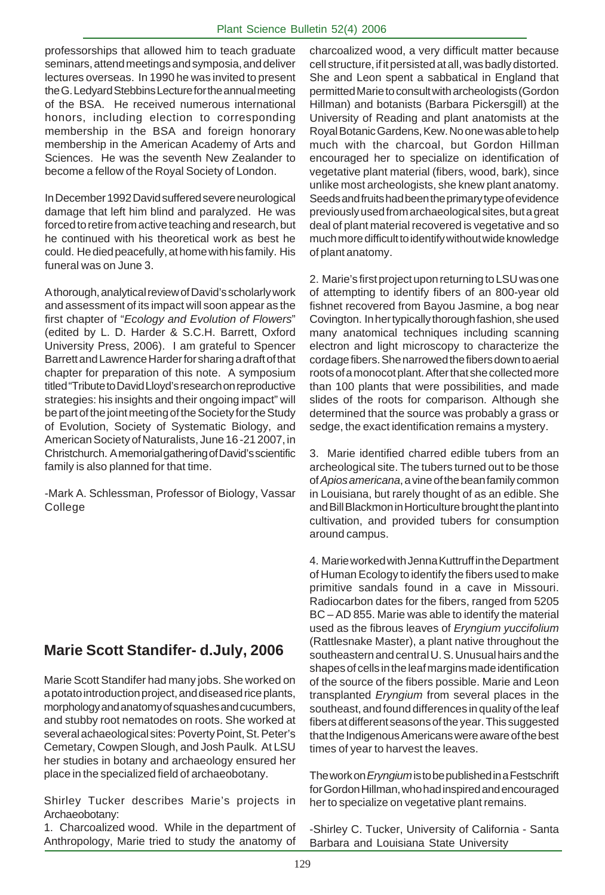professorships that allowed him to teach graduate seminars, attend meetings and symposia, and deliver lectures overseas. In 1990 he was invited to present the G. Ledyard Stebbins Lecture for the annual meeting of the BSA. He received numerous international honors, including election to corresponding membership in the BSA and foreign honorary membership in the American Academy of Arts and Sciences. He was the seventh New Zealander to become a fellow of the Royal Society of London.

In December 1992 David suffered severe neurological damage that left him blind and paralyzed. He was forced to retire from active teaching and research, but he continued with his theoretical work as best he could. He died peacefully, at home with his family. His funeral was on June 3.

A thorough, analytical review of David's scholarly work and assessment of its impact will soon appear as the first chapter of "*Ecology and Evolution of Flowers*" (edited by L. D. Harder & S.C.H. Barrett, Oxford University Press, 2006). I am grateful to Spencer Barrett and Lawrence Harder for sharing a draft of that chapter for preparation of this note. A symposium titled "Tribute to David Lloyd's research on reproductive strategies: his insights and their ongoing impact" will be part of the joint meeting of the Society for the Study of Evolution, Society of Systematic Biology, and American Society of Naturalists, June 16 -21 2007, in Christchurch. A memorial gathering of David's scientific family is also planned for that time.

-Mark A. Schlessman, Professor of Biology, Vassar **College** 

## **Marie Scott Standifer- d.July, 2006**

Marie Scott Standifer had many jobs. She worked on a potato introduction project, and diseased rice plants, morphology and anatomy of squashes and cucumbers, and stubby root nematodes on roots. She worked at several achaeological sites: Poverty Point, St. Peter's Cemetary, Cowpen Slough, and Josh Paulk. At LSU her studies in botany and archaeology ensured her place in the specialized field of archaeobotany.

Shirley Tucker describes Marie's projects in Archaeobotany:

1. Charcoalized wood. While in the department of Anthropology, Marie tried to study the anatomy of charcoalized wood, a very difficult matter because cell structure, if it persisted at all, was badly distorted. She and Leon spent a sabbatical in England that permitted Marie to consult with archeologists (Gordon Hillman) and botanists (Barbara Pickersgill) at the University of Reading and plant anatomists at the Royal Botanic Gardens, Kew. No one was able to help much with the charcoal, but Gordon Hillman encouraged her to specialize on identification of vegetative plant material (fibers, wood, bark), since unlike most archeologists, she knew plant anatomy. Seeds and fruits had been the primary type of evidence previously used from archaeological sites, but a great deal of plant material recovered is vegetative and so much more difficult to identify without wide knowledge of plant anatomy.

2. Marie's first project upon returning to LSU was one of attempting to identify fibers of an 800-year old fishnet recovered from Bayou Jasmine, a bog near Covington. In her typically thorough fashion, she used many anatomical techniques including scanning electron and light microscopy to characterize the cordage fibers. She narrowed the fibers down to aerial roots of a monocot plant. After that she collected more than 100 plants that were possibilities, and made slides of the roots for comparison. Although she determined that the source was probably a grass or sedge, the exact identification remains a mystery.

3. Marie identified charred edible tubers from an archeological site. The tubers turned out to be those of *Apios americana*, a vine of the bean family common in Louisiana, but rarely thought of as an edible. She and Bill Blackmon in Horticulture brought the plant into cultivation, and provided tubers for consumption around campus.

4. Marie worked with Jenna Kuttruff in the Department of Human Ecology to identify the fibers used to make primitive sandals found in a cave in Missouri. Radiocarbon dates for the fibers, ranged from 5205 BC – AD 855. Marie was able to identify the material used as the fibrous leaves of *Eryngium yuccifolium* (Rattlesnake Master), a plant native throughout the southeastern and central U. S. Unusual hairs and the shapes of cells in the leaf margins made identification of the source of the fibers possible. Marie and Leon transplanted *Eryngium* from several places in the southeast, and found differences in quality of the leaf fibers at different seasons of the year. This suggested that the Indigenous Americans were aware of the best times of year to harvest the leaves.

The work on *Eryngium* is to be published in a Festschrift for Gordon Hillman, who had inspired and encouraged her to specialize on vegetative plant remains.

-Shirley C. Tucker, University of California - Santa Barbara and Louisiana State University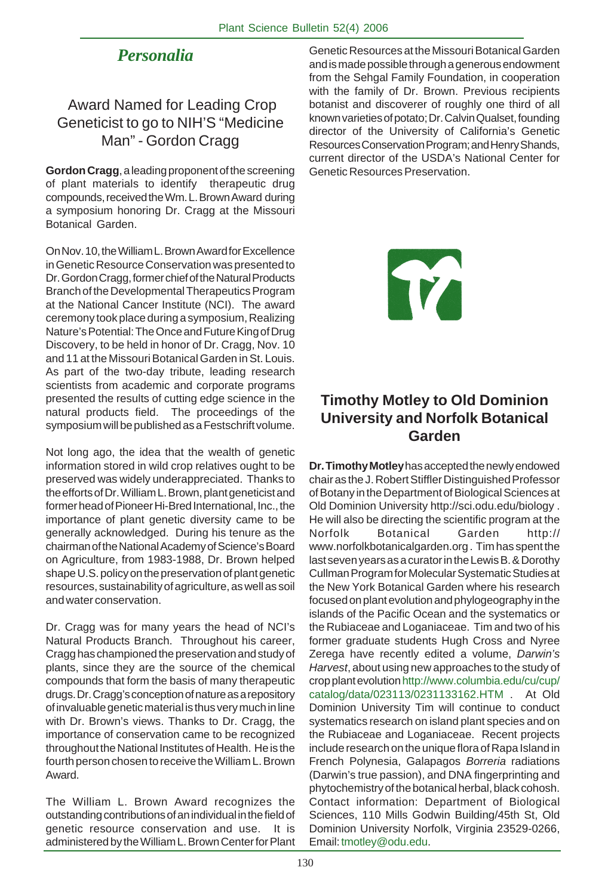## *Personalia*

## Award Named for Leading Crop Geneticist to go to NIH'S "Medicine Man" - Gordon Cragg

**Gordon Cragg**, a leading proponent of the screening of plant materials to identify therapeutic drug compounds, received the Wm. L. Brown Award during a symposium honoring Dr. Cragg at the Missouri Botanical Garden.

On Nov. 10, the William L. Brown Award for Excellence in Genetic Resource Conservation was presented to Dr. Gordon Cragg, former chief of the Natural Products Branch of the Developmental Therapeutics Program at the National Cancer Institute (NCI). The award ceremony took place during a symposium, Realizing Nature's Potential: The Once and Future King of Drug Discovery, to be held in honor of Dr. Cragg, Nov. 10 and 11 at the Missouri Botanical Garden in St. Louis. As part of the two-day tribute, leading research scientists from academic and corporate programs presented the results of cutting edge science in the natural products field. The proceedings of the symposium will be published as a Festschrift volume.

Not long ago, the idea that the wealth of genetic information stored in wild crop relatives ought to be preserved was widely underappreciated. Thanks to the efforts of Dr. William L. Brown, plant geneticist and former head of Pioneer Hi-Bred International, Inc., the importance of plant genetic diversity came to be generally acknowledged. During his tenure as the chairman of the National Academy of Science's Board on Agriculture, from 1983-1988, Dr. Brown helped shape U.S. policy on the preservation of plant genetic resources, sustainability of agriculture, as well as soil and water conservation.

Dr. Cragg was for many years the head of NCI's Natural Products Branch. Throughout his career, Cragg has championed the preservation and study of plants, since they are the source of the chemical compounds that form the basis of many therapeutic drugs. Dr. Cragg's conception of nature as a repository of invaluable genetic material is thus very much in line with Dr. Brown's views. Thanks to Dr. Cragg, the importance of conservation came to be recognized throughout the National Institutes of Health. He is the fourth person chosen to receive the William L. Brown Award.

The William L. Brown Award recognizes the outstanding contributions of an individual in the field of genetic resource conservation and use. It is administered by the William L. Brown Center for Plant

Genetic Resources at the Missouri Botanical Garden and is made possible through a generous endowment from the Sehgal Family Foundation, in cooperation with the family of Dr. Brown. Previous recipients botanist and discoverer of roughly one third of all known varieties of potato; Dr. Calvin Qualset, founding director of the University of California's Genetic Resources Conservation Program; and Henry Shands, current director of the USDA's National Center for Genetic Resources Preservation.



## **Timothy Motley to Old Dominion University and Norfolk Botanical Garden**

**Dr. Timothy Motley** has accepted the newly endowed chair as the J. Robert Stiffler Distinguished Professor of Botany in the Department of Biological Sciences at Old Dominion University http://sci.odu.edu/biology . He will also be directing the scientific program at the Norfolk Botanical Garden http:// www.norfolkbotanicalgarden.org . Tim has spent the last seven years as a curator in the Lewis B. & Dorothy Cullman Program for Molecular Systematic Studies at the New York Botanical Garden where his research focused on plant evolution and phylogeography in the islands of the Pacific Ocean and the systematics or the Rubiaceae and Loganiaceae. Tim and two of his former graduate students Hugh Cross and Nyree Zerega have recently edited a volume, *Darwin's Harvest*, about using new approaches to the study of crop plant evolution http://www.columbia.edu/cu/cup/ catalog/data/023113/0231133162.HTM . At Old Dominion University Tim will continue to conduct systematics research on island plant species and on the Rubiaceae and Loganiaceae. Recent projects include research on the unique flora of Rapa Island in French Polynesia, Galapagos *Borreria* radiations (Darwin's true passion), and DNA fingerprinting and phytochemistry of the botanical herbal, black cohosh. Contact information: Department of Biological Sciences, 110 Mills Godwin Building/45th St, Old Dominion University Norfolk, Virginia 23529-0266, Email: tmotley@odu.edu.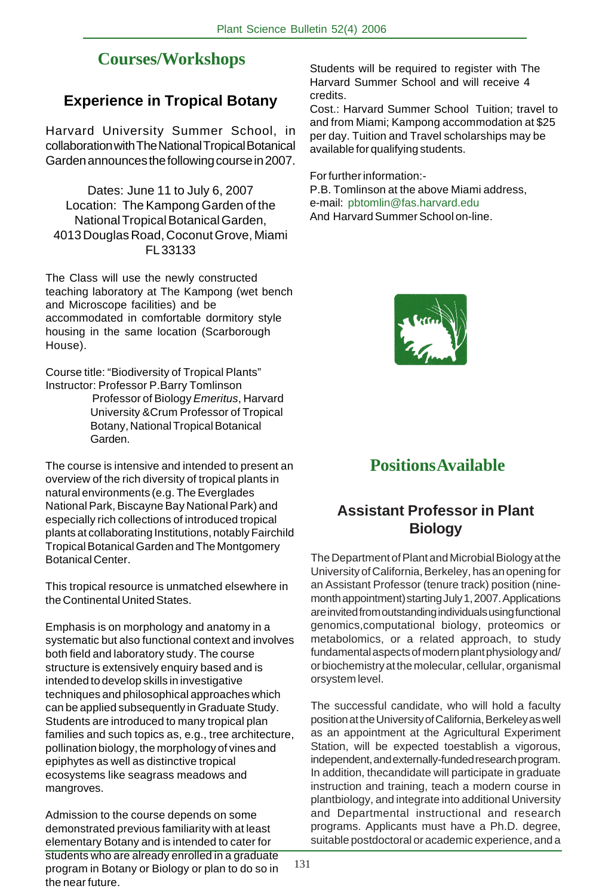# **Courses/Workshops**

## **Experience in Tropical Botany**

Harvard University Summer School, in collaboration with The National Tropical Botanical Garden announces the following course in 2007.

Dates: June 11 to July 6, 2007 Location: The Kampong Garden of the National Tropical Botanical Garden, 4013 Douglas Road, Coconut Grove, Miami FL 33133

The Class will use the newly constructed teaching laboratory at The Kampong (wet bench and Microscope facilities) and be accommodated in comfortable dormitory style housing in the same location (Scarborough House).

Course title: "Biodiversity of Tropical Plants" Instructor: Professor P.Barry Tomlinson Professor of Biology *Emeritus*, Harvard University &Crum Professor of Tropical Botany, National Tropical Botanical Garden.

The course is intensive and intended to present an overview of the rich diversity of tropical plants in natural environments (e.g. The Everglades National Park, Biscayne Bay National Park) and especially rich collections of introduced tropical plants at collaborating Institutions, notably Fairchild Tropical Botanical Garden and The Montgomery Botanical Center.

This tropical resource is unmatched elsewhere in the Continental United States.

Emphasis is on morphology and anatomy in a systematic but also functional context and involves both field and laboratory study. The course structure is extensively enquiry based and is intended to develop skills in investigative techniques and philosophical approaches which can be applied subsequently in Graduate Study. Students are introduced to many tropical plan families and such topics as, e.g., tree architecture, pollination biology, the morphology of vines and epiphytes as well as distinctive tropical ecosystems like seagrass meadows and mangroves.

Admission to the course depends on some demonstrated previous familiarity with at least elementary Botany and is intended to cater for students who are already enrolled in a graduate program in Botany or Biology or plan to do so in the near future.

Students will be required to register with The Harvard Summer School and will receive 4 credits.

Cost.: Harvard Summer School Tuition; travel to and from Miami; Kampong accommodation at \$25 per day. Tuition and Travel scholarships may be available for qualifying students.

For further information:- P.B. Tomlinson at the above Miami address, e-mail: pbtomlin@fas.harvard.edu And Harvard Summer School on-line.



# **Positions Available**

## **Assistant Professor in Plant Biology**

The Department of Plant and Microbial Biology at the University of California, Berkeley, has an opening for an Assistant Professor (tenure track) position (ninemonth appointment) starting July 1, 2007. Applications are invited from outstanding individuals using functional genomics,computational biology, proteomics or metabolomics, or a related approach, to study fundamental aspects of modern plant physiology and/ or biochemistry at the molecular, cellular, organismal orsystem level.

The successful candidate, who will hold a faculty position at the University of California, Berkeley as well as an appointment at the Agricultural Experiment Station, will be expected toestablish a vigorous, independent, and externally-funded research program. In addition, thecandidate will participate in graduate instruction and training, teach a modern course in plantbiology, and integrate into additional University and Departmental instructional and research programs. Applicants must have a Ph.D. degree, suitable postdoctoral or academic experience, and a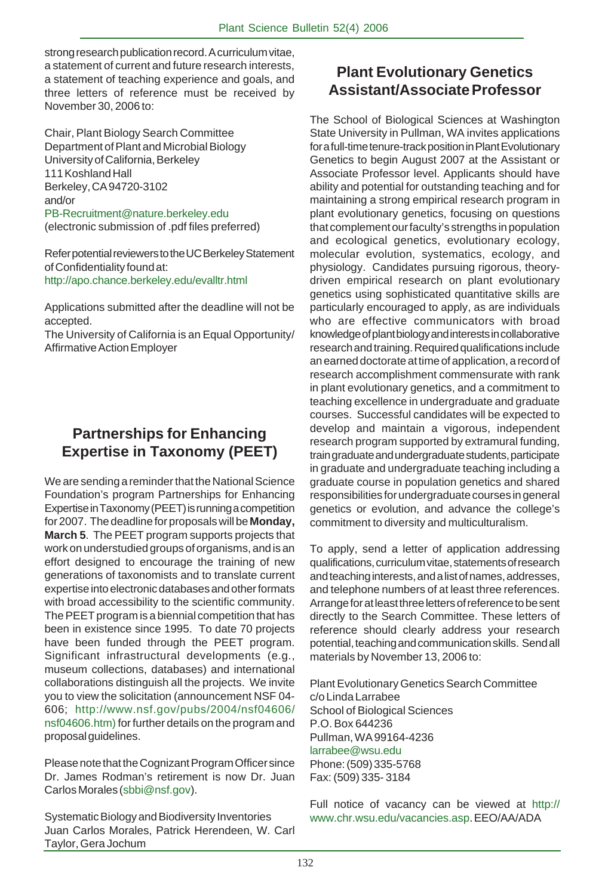strong research publication record. A curriculum vitae, a statement of current and future research interests, a statement of teaching experience and goals, and three letters of reference must be received by November 30, 2006 to:

Chair, Plant Biology Search Committee Department of Plant and Microbial Biology University of California, Berkeley 111 Koshland Hall Berkeley, CA 94720-3102 and/or PB-Recruitment@nature.berkeley.edu (electronic submission of .pdf files preferred)

Refer potential reviewers to the UC Berkeley Statement of Confidentiality found at: http://apo.chance.berkeley.edu/evalltr.html

Applications submitted after the deadline will not be accepted.

The University of California is an Equal Opportunity/ Affirmative Action Employer

## **Partnerships for Enhancing Expertise in Taxonomy (PEET)**

We are sending a reminder that the National Science Foundation's program Partnerships for Enhancing Expertise in Taxonomy (PEET) is running a competition for 2007. The deadline for proposals will be **Monday, March 5**. The PEET program supports projects that work on understudied groups of organisms, and is an effort designed to encourage the training of new generations of taxonomists and to translate current expertise into electronic databases and other formats with broad accessibility to the scientific community. The PEET program is a biennial competition that has been in existence since 1995. To date 70 projects have been funded through the PEET program. Significant infrastructural developments (e.g., museum collections, databases) and international collaborations distinguish all the projects. We invite you to view the solicitation (announcement NSF 04- 606; http://www.nsf.gov/pubs/2004/nsf04606/ nsf04606.htm) for further details on the program and proposal guidelines.

Please note that the Cognizant Program Officer since Dr. James Rodman's retirement is now Dr. Juan Carlos Morales (sbbi@nsf.gov).

Systematic Biology and Biodiversity Inventories Juan Carlos Morales, Patrick Herendeen, W. Carl Taylor, Gera Jochum

## **Plant Evolutionary Genetics Assistant/Associate Professor**

The School of Biological Sciences at Washington State University in Pullman, WA invites applications for a full-time tenure-track position in Plant Evolutionary Genetics to begin August 2007 at the Assistant or Associate Professor level. Applicants should have ability and potential for outstanding teaching and for maintaining a strong empirical research program in plant evolutionary genetics, focusing on questions that complement our faculty's strengths in population and ecological genetics, evolutionary ecology, molecular evolution, systematics, ecology, and physiology. Candidates pursuing rigorous, theorydriven empirical research on plant evolutionary genetics using sophisticated quantitative skills are particularly encouraged to apply, as are individuals who are effective communicators with broad knowledge of plant biology and interests in collaborative research and training. Required qualifications include an earned doctorate at time of application, a record of research accomplishment commensurate with rank in plant evolutionary genetics, and a commitment to teaching excellence in undergraduate and graduate courses. Successful candidates will be expected to develop and maintain a vigorous, independent research program supported by extramural funding, train graduate and undergraduate students, participate in graduate and undergraduate teaching including a graduate course in population genetics and shared responsibilities for undergraduate courses in general genetics or evolution, and advance the college's commitment to diversity and multiculturalism.

To apply, send a letter of application addressing qualifications, curriculum vitae, statements of research and teaching interests, and a list of names, addresses, and telephone numbers of at least three references. Arrange for at least three letters of reference to be sent directly to the Search Committee. These letters of reference should clearly address your research potential, teaching and communication skills. Send all materials by November 13, 2006 to:

Plant Evolutionary Genetics Search Committee c/o Linda Larrabee School of Biological Sciences P.O. Box 644236 Pullman, WA 99164-4236 larrabee@wsu.edu Phone: (509) 335-5768 Fax: (509) 335- 3184

Full notice of vacancy can be viewed at http:// www.chr.wsu.edu/vacancies.asp. EEO/AA/ADA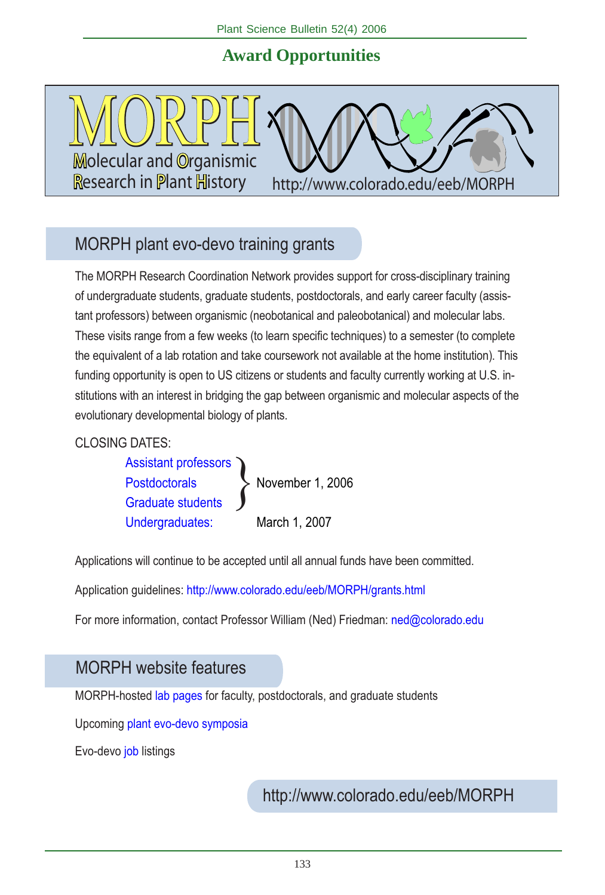# **Award Opportunities**

Research in Plant History http://www.colorado.edu/eeb/MORPH

# MORPH plant evo-devo training grants

MORPH

**Molecular and Organismic** 

The MORPH Research Coordination Network provides support for cross-disciplinary training of undergraduate students, graduate students, postdoctorals, and early career faculty (assistant professors) between organismic (neobotanical and paleobotanical) and molecular labs. These visits range from a few weeks (to learn specific techniques) to a semester (to complete the equivalent of a lab rotation and take coursework not available at the home institution). This funding opportunity is open to US citizens or students and faculty currently working at U.S. institutions with an interest in bridging the gap between organismic and molecular aspects of the evolutionary developmental biology of plants.

#### CLOSING DATES:

Assistant professors Postdoctorals > November 1, 2006 Graduate students Undergraduates: March 1, 2007 }

Applications will continue to be accepted until all annual funds have been committed.

Application guidelines: http://www.colorado.edu/eeb/MORPH/grants.html

For more information, contact Professor William (Ned) Friedman: ned@colorado.edu

## MORPH website features

MORPH-hosted lab pages for faculty, postdoctorals, and graduate students

Upcoming plant evo-devo symposia

Evo-devo job listings

http://www.colorado.edu/eeb/MORPH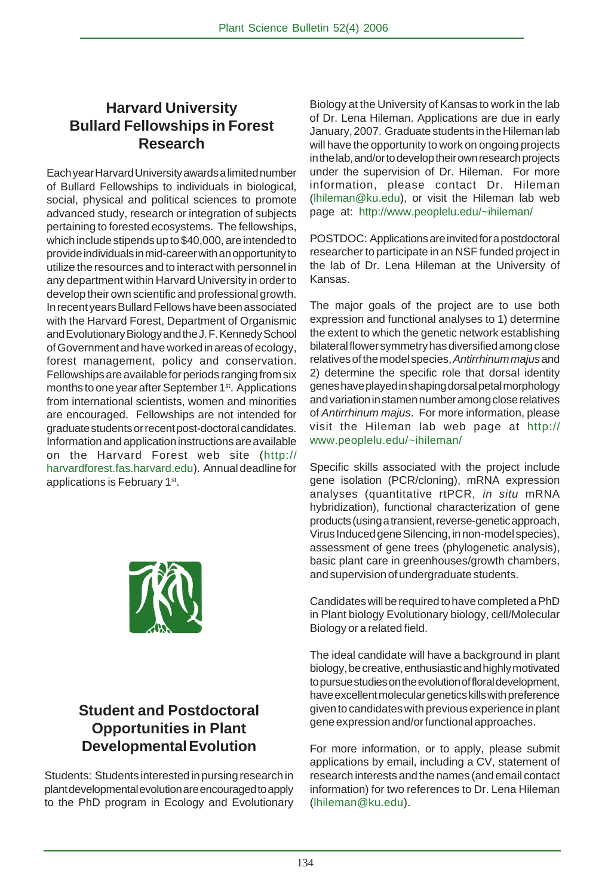## **Harvard University Bullard Fellowships in Forest Research**

Each year Harvard University awards a limited number of Bullard Fellowships to individuals in biological, social, physical and political sciences to promote advanced study, research or integration of subjects pertaining to forested ecosystems. The fellowships, which include stipends up to \$40,000, are intended to provide individuals in mid-career with an opportunity to utilize the resources and to interact with personnel in any department within Harvard University in order to develop their own scientific and professional growth. In recent years Bullard Fellows have been associated with the Harvard Forest, Department of Organismic and Evolutionary Biology and the J. F. Kennedy School of Government and have worked in areas of ecology, forest management, policy and conservation. Fellowships are available for periods ranging from six months to one year after September 1<sup>st</sup>. Applications from international scientists, women and minorities are encouraged. Fellowships are not intended for graduate students or recent post-doctoral candidates. Information and application instructions are available on the Harvard Forest web site (http:// harvardforest.fas.harvard.edu). Annual deadline for applications is February 1<sup>st</sup>.



## **Student and Postdoctoral Opportunities in Plant Developmental Evolution**

Students: Students interested in pursing research in plant developmental evolution are encouraged to apply to the PhD program in Ecology and Evolutionary

Biology at the University of Kansas to work in the lab of Dr. Lena Hileman. Applications are due in early January, 2007. Graduate students in the Hileman lab will have the opportunity to work on ongoing projects in the lab, and/or to develop their own research projects under the supervision of Dr. Hileman. For more information, please contact Dr. Hileman (lhileman@ku.edu), or visit the Hileman lab web page at: http://www.peoplelu.edu/~ihileman/

POSTDOC: Applications are invited for a postdoctoral researcher to participate in an NSF funded project in the lab of Dr. Lena Hileman at the University of Kansas.

The major goals of the project are to use both expression and functional analyses to 1) determine the extent to which the genetic network establishing bilateral flower symmetry has diversified among close relatives of the model species, *Antirrhinum majus* and 2) determine the specific role that dorsal identity genes have played in shaping dorsal petal morphology and variation in stamen number among close relatives of *Antirrhinum majus*. For more information, please visit the Hileman lab web page at http:// www.peoplelu.edu/~ihileman/

Specific skills associated with the project include gene isolation (PCR/cloning), mRNA expression analyses (quantitative rtPCR, *in situ* mRNA hybridization), functional characterization of gene products (using a transient, reverse-genetic approach, Virus Induced gene Silencing, in non-model species), assessment of gene trees (phylogenetic analysis), basic plant care in greenhouses/growth chambers, and supervision of undergraduate students.

Candidates will be required to have completed a PhD in Plant biology Evolutionary biology, cell/Molecular Biology or a related field.

The ideal candidate will have a background in plant biology, be creative, enthusiastic and highly motivated to pursue studies on the evolution of floral development, have excellent molecular genetics kills with preference given to candidates with previous experience in plant gene expression and/or functional approaches.

For more information, or to apply, please submit applications by email, including a CV, statement of research interests and the names (and email contact information) for two references to Dr. Lena Hileman (lhileman@ku.edu).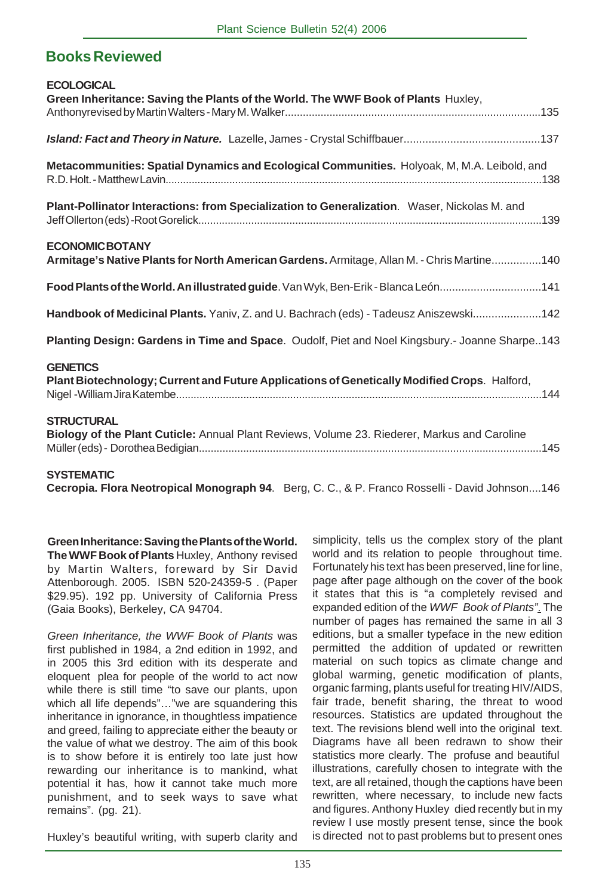| <b>ECOLOGICAL</b><br>Green Inheritance: Saving the Plants of the World. The WWF Book of Plants Huxley,                |
|-----------------------------------------------------------------------------------------------------------------------|
|                                                                                                                       |
| Metacommunities: Spatial Dynamics and Ecological Communities. Holyoak, M, M.A. Leibold, and                           |
| Plant-Pollinator Interactions: from Specialization to Generalization. Waser, Nickolas M. and                          |
| <b>ECONOMIC BOTANY</b><br>Armitage's Native Plants for North American Gardens. Armitage, Allan M. - Chris Martine 140 |
| Food Plants of the World. An illustrated quide. Van Wyk, Ben-Erik - Blanca León141                                    |
| Handbook of Medicinal Plants. Yaniv, Z. and U. Bachrach (eds) - Tadeusz Aniszewski142                                 |
| Planting Design: Gardens in Time and Space. Oudolf, Piet and Noel Kingsbury.- Joanne Sharpe143                        |
| <b>GENETICS</b><br>Plant Biotechnology; Current and Future Applications of Genetically Modified Crops. Halford,       |
| <b>STRUCTURAL</b><br>Biology of the Plant Cuticle: Annual Plant Reviews, Volume 23. Riederer, Markus and Caroline     |
| <b>SYSTEMATIC</b>                                                                                                     |

**Cecropia. Flora Neotropical Monograph 94**. Berg, C. C., & P. Franco Rosselli - David Johnson....146

**Green Inheritance: Saving the Plants of the World. The WWF Book of Plants** Huxley, Anthony revised by Martin Walters, foreward by Sir David Attenborough. 2005. ISBN 520-24359-5 . (Paper \$29.95). 192 pp. University of California Press (Gaia Books), Berkeley, CA 94704.

*Green Inheritance, the WWF Book of Plants* was first published in 1984, a 2nd edition in 1992, and in 2005 this 3rd edition with its desperate and eloquent plea for people of the world to act now while there is still time "to save our plants, upon which all life depends"…"we are squandering this inheritance in ignorance, in thoughtless impatience and greed, failing to appreciate either the beauty or the value of what we destroy. The aim of this book is to show before it is entirely too late just how rewarding our inheritance is to mankind, what potential it has, how it cannot take much more punishment, and to seek ways to save what remains". (pg. 21).

simplicity, tells us the complex story of the plant world and its relation to people throughout time. Fortunately his text has been preserved, line for line, page after page although on the cover of the book it states that this is "a completely revised and expanded edition of the *WWF Book of Plants"*. The number of pages has remained the same in all 3 editions, but a smaller typeface in the new edition permitted the addition of updated or rewritten material on such topics as climate change and global warming, genetic modification of plants, organic farming, plants useful for treating HIV/AIDS, fair trade, benefit sharing, the threat to wood resources. Statistics are updated throughout the text. The revisions blend well into the original text. Diagrams have all been redrawn to show their statistics more clearly. The profuse and beautiful illustrations, carefully chosen to integrate with the text, are all retained, though the captions have been rewritten, where necessary, to include new facts and figures. Anthony Huxley died recently but in my review I use mostly present tense, since the book is directed not to past problems but to present ones

Huxley's beautiful writing, with superb clarity and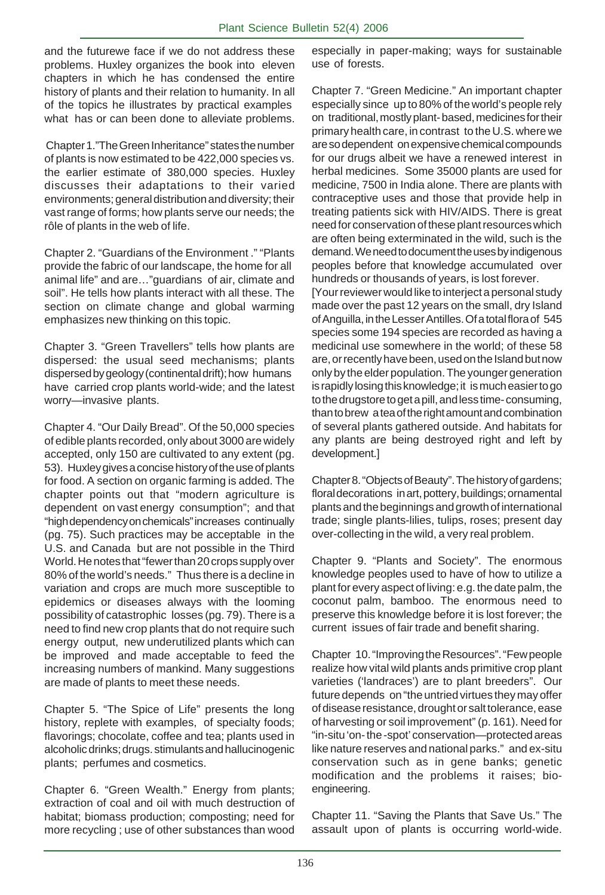and the futurewe face if we do not address these problems. Huxley organizes the book into eleven chapters in which he has condensed the entire history of plants and their relation to humanity. In all of the topics he illustrates by practical examples what has or can been done to alleviate problems.

 Chapter 1."The Green Inheritance" states the number of plants is now estimated to be 422,000 species vs. the earlier estimate of 380,000 species. Huxley discusses their adaptations to their varied environments; general distribution and diversity; their vast range of forms; how plants serve our needs; the rôle of plants in the web of life.

Chapter 2. "Guardians of the Environment ." "Plants provide the fabric of our landscape, the home for all animal life" and are…"guardians of air, climate and soil". He tells how plants interact with all these. The section on climate change and global warming emphasizes new thinking on this topic.

Chapter 3. "Green Travellers" tells how plants are dispersed: the usual seed mechanisms; plants dispersed by geology (continental drift); how humans have carried crop plants world-wide; and the latest worry—invasive plants.

Chapter 4. "Our Daily Bread". Of the 50,000 species of edible plants recorded, only about 3000 are widely accepted, only 150 are cultivated to any extent (pg. 53). Huxley gives a concise history of the use of plants for food. A section on organic farming is added. The chapter points out that "modern agriculture is dependent on vast energy consumption"; and that "high dependency on chemicals" increases continually (pg. 75). Such practices may be acceptable in the U.S. and Canada but are not possible in the Third World. He notes that "fewer than 20 crops supply over 80% of the world's needs." Thus there is a decline in variation and crops are much more susceptible to epidemics or diseases always with the looming possibility of catastrophic losses (pg. 79). There is a need to find new crop plants that do not require such energy output, new underutilized plants which can be improved and made acceptable to feed the increasing numbers of mankind. Many suggestions are made of plants to meet these needs.

Chapter 5. "The Spice of Life" presents the long history, replete with examples, of specialty foods; flavorings; chocolate, coffee and tea; plants used in alcoholic drinks; drugs. stimulants and hallucinogenic plants; perfumes and cosmetics.

Chapter 6. "Green Wealth." Energy from plants; extraction of coal and oil with much destruction of habitat; biomass production; composting; need for more recycling ; use of other substances than wood

especially in paper-making; ways for sustainable use of forests.

Chapter 7. "Green Medicine." An important chapter especially since up to 80% of the world's people rely on traditional, mostly plant- based, medicines for their primary health care, in contrast to the U.S. where we are so dependent on expensive chemical compounds for our drugs albeit we have a renewed interest in herbal medicines. Some 35000 plants are used for medicine, 7500 in India alone. There are plants with contraceptive uses and those that provide help in treating patients sick with HIV/AIDS. There is great need for conservation of these plant resources which are often being exterminated in the wild, such is the demand. We need to document the uses by indigenous peoples before that knowledge accumulated over hundreds or thousands of years, is lost forever.

[Your reviewer would like to interject a personal study made over the past 12 years on the small, dry Island of Anguilla, in the Lesser Antilles. Of a total flora of 545 species some 194 species are recorded as having a medicinal use somewhere in the world; of these 58 are, or recently have been, used on the Island but now only by the elder population. The younger generation is rapidly losing this knowledge; it is much easier to go to the drugstore to get a pill, and less time- consuming, than to brew a tea of the right amount and combination of several plants gathered outside. And habitats for any plants are being destroyed right and left by development.]

Chapter 8. "Objects of Beauty". The history of gardens; floral decorations in art, pottery, buildings; ornamental plants and the beginnings and growth of international trade; single plants-lilies, tulips, roses; present day over-collecting in the wild, a very real problem.

Chapter 9. "Plants and Society". The enormous knowledge peoples used to have of how to utilize a plant for every aspect of living: e.g. the date palm, the coconut palm, bamboo. The enormous need to preserve this knowledge before it is lost forever; the current issues of fair trade and benefit sharing.

Chapter 10. "Improving the Resources". "Few people realize how vital wild plants ands primitive crop plant varieties ('landraces') are to plant breeders". Our future depends on "the untried virtues they may offer of disease resistance, drought or salt tolerance, ease of harvesting or soil improvement" (p. 161). Need for "in-situ 'on- the -spot' conservation—protected areas like nature reserves and national parks." and ex-situ conservation such as in gene banks; genetic modification and the problems it raises; bioengineering.

Chapter 11. "Saving the Plants that Save Us." The assault upon of plants is occurring world-wide.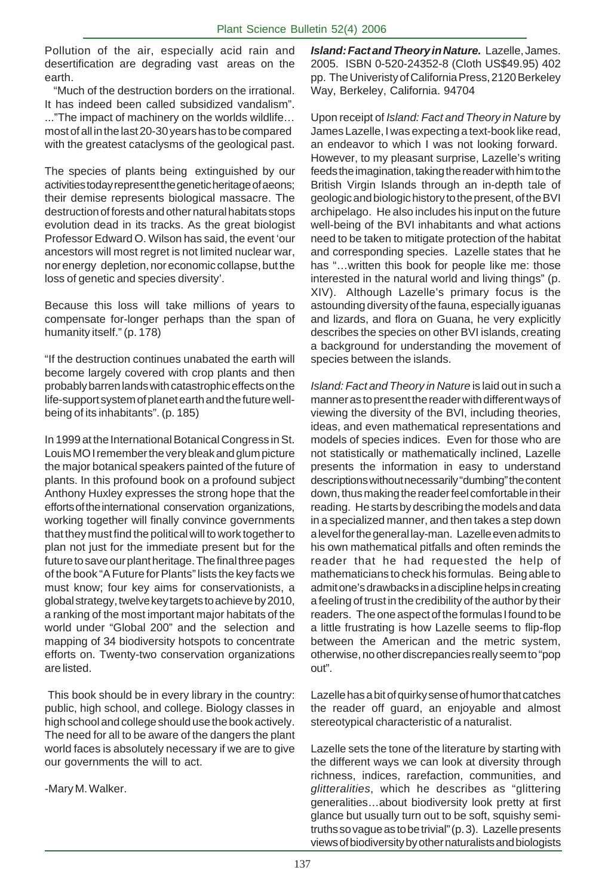Pollution of the air, especially acid rain and desertification are degrading vast areas on the earth.

 "Much of the destruction borders on the irrational. It has indeed been called subsidized vandalism". ..."The impact of machinery on the worlds wildlife… most of all in the last 20-30 years has to be compared with the greatest cataclysms of the geological past.

The species of plants being extinguished by our activities today represent the genetic heritage of aeons; their demise represents biological massacre. The destruction of forests and other natural habitats stops evolution dead in its tracks. As the great biologist Professor Edward O. Wilson has said, the event 'our ancestors will most regret is not limited nuclear war, nor energy depletion, nor economic collapse, but the loss of genetic and species diversity'.

Because this loss will take millions of years to compensate for-longer perhaps than the span of humanity itself." (p. 178)

"If the destruction continues unabated the earth will become largely covered with crop plants and then probably barren lands with catastrophic effects on the life-support system of planet earth and the future wellbeing of its inhabitants". (p. 185)

In 1999 at the International Botanical Congress in St. Louis MO I remember the very bleak and glum picture the major botanical speakers painted of the future of plants. In this profound book on a profound subject Anthony Huxley expresses the strong hope that the efforts of the international conservation organizations, working together will finally convince governments that they must find the political will to work together to plan not just for the immediate present but for the future to save our plant heritage. The final three pages of the book "A Future for Plants" lists the key facts we must know; four key aims for conservationists, a global strategy, twelve key targets to achieve by 2010, a ranking of the most important major habitats of the world under "Global 200" and the selection and mapping of 34 biodiversity hotspots to concentrate efforts on. Twenty-two conservation organizations are listed.

 This book should be in every library in the country: public, high school, and college. Biology classes in high school and college should use the book actively. The need for all to be aware of the dangers the plant world faces is absolutely necessary if we are to give our governments the will to act.

-Mary M. Walker.

*Island: Fact and Theory in Nature.* Lazelle, James. 2005. ISBN 0-520-24352-8 (Cloth US\$49.95) 402 pp. The Univeristy of California Press, 2120 Berkeley Way, Berkeley, California. 94704

Upon receipt of *Island: Fact and Theory in Nature* by James Lazelle, I was expecting a text-book like read, an endeavor to which I was not looking forward. However, to my pleasant surprise, Lazelle's writing feeds the imagination, taking the reader with him to the British Virgin Islands through an in-depth tale of geologic and biologic history to the present, of the BVI archipelago. He also includes his input on the future well-being of the BVI inhabitants and what actions need to be taken to mitigate protection of the habitat and corresponding species. Lazelle states that he has "…written this book for people like me: those interested in the natural world and living things" (p. XIV). Although Lazelle's primary focus is the astounding diversity of the fauna, especially iguanas and lizards, and flora on Guana, he very explicitly describes the species on other BVI islands, creating a background for understanding the movement of species between the islands.

*Island: Fact and Theory in Nature* is laid out in such a manner as to present the reader with different ways of viewing the diversity of the BVI, including theories, ideas, and even mathematical representations and models of species indices. Even for those who are not statistically or mathematically inclined, Lazelle presents the information in easy to understand descriptions without necessarily "dumbing" the content down, thus making the reader feel comfortable in their reading. He starts by describing the models and data in a specialized manner, and then takes a step down a level for the general lay-man. Lazelle even admits to his own mathematical pitfalls and often reminds the reader that he had requested the help of mathematicians to check his formulas. Being able to admit one's drawbacks in a discipline helps in creating a feeling of trust in the credibility of the author by their readers. The one aspect of the formulas I found to be a little frustrating is how Lazelle seems to flip-flop between the American and the metric system, otherwise, no other discrepancies really seem to "pop out".

Lazelle has a bit of quirky sense of humor that catches the reader off guard, an enjoyable and almost stereotypical characteristic of a naturalist.

Lazelle sets the tone of the literature by starting with the different ways we can look at diversity through richness, indices, rarefaction, communities, and *glitteralities*, which he describes as "glittering generalities…about biodiversity look pretty at first glance but usually turn out to be soft, squishy semitruths so vague as to be trivial" (p. 3). Lazelle presents views of biodiversity by other naturalists and biologists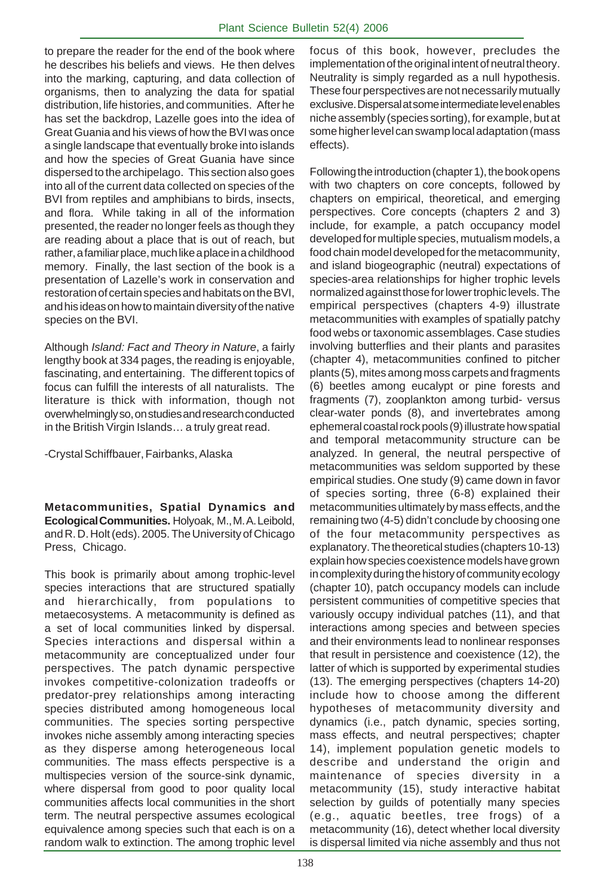to prepare the reader for the end of the book where he describes his beliefs and views. He then delves into the marking, capturing, and data collection of organisms, then to analyzing the data for spatial distribution, life histories, and communities. After he has set the backdrop, Lazelle goes into the idea of Great Guania and his views of how the BVI was once a single landscape that eventually broke into islands and how the species of Great Guania have since dispersed to the archipelago. This section also goes into all of the current data collected on species of the BVI from reptiles and amphibians to birds, insects, and flora. While taking in all of the information presented, the reader no longer feels as though they are reading about a place that is out of reach, but rather, a familiar place, much like a place in a childhood memory. Finally, the last section of the book is a presentation of Lazelle's work in conservation and restoration of certain species and habitats on the BVI, and his ideas on how to maintain diversity of the native species on the BVI.

Although *Island: Fact and Theory in Nature*, a fairly lengthy book at 334 pages, the reading is enjoyable, fascinating, and entertaining. The different topics of focus can fulfill the interests of all naturalists. The literature is thick with information, though not overwhelmingly so, on studies and research conducted in the British Virgin Islands… a truly great read.

-Crystal Schiffbauer, Fairbanks, Alaska

**Metacommunities, Spatial Dynamics and Ecological Communities.** Holyoak, M., M. A. Leibold, and R. D. Holt (eds). 2005. The University of Chicago Press, Chicago.

This book is primarily about among trophic-level species interactions that are structured spatially and hierarchically, from populations to metaecosystems. A metacommunity is defined as a set of local communities linked by dispersal. Species interactions and dispersal within a metacommunity are conceptualized under four perspectives. The patch dynamic perspective invokes competitive-colonization tradeoffs or predator-prey relationships among interacting species distributed among homogeneous local communities. The species sorting perspective invokes niche assembly among interacting species as they disperse among heterogeneous local communities. The mass effects perspective is a multispecies version of the source-sink dynamic, where dispersal from good to poor quality local communities affects local communities in the short term. The neutral perspective assumes ecological equivalence among species such that each is on a random walk to extinction. The among trophic level

focus of this book, however, precludes the implementation of the original intent of neutral theory. Neutrality is simply regarded as a null hypothesis. These four perspectives are not necessarily mutually exclusive. Dispersal at some intermediate level enables niche assembly (species sorting), for example, but at some higher level can swamp local adaptation (mass effects).

Following the introduction (chapter 1), the book opens with two chapters on core concepts, followed by chapters on empirical, theoretical, and emerging perspectives. Core concepts (chapters 2 and 3) include, for example, a patch occupancy model developed for multiple species, mutualism models, a food chain model developed for the metacommunity, and island biogeographic (neutral) expectations of species-area relationships for higher trophic levels normalized against those for lower trophic levels. The empirical perspectives (chapters 4-9) illustrate metacommunities with examples of spatially patchy food webs or taxonomic assemblages. Case studies involving butterflies and their plants and parasites (chapter 4), metacommunities confined to pitcher plants (5), mites among moss carpets and fragments (6) beetles among eucalypt or pine forests and fragments (7), zooplankton among turbid- versus clear-water ponds (8), and invertebrates among ephemeral coastal rock pools (9) illustrate how spatial and temporal metacommunity structure can be analyzed. In general, the neutral perspective of metacommunities was seldom supported by these empirical studies. One study (9) came down in favor of species sorting, three (6-8) explained their metacommunities ultimately by mass effects, and the remaining two (4-5) didn't conclude by choosing one of the four metacommunity perspectives as explanatory. The theoretical studies (chapters 10-13) explain how species coexistence models have grown in complexity during the history of community ecology (chapter 10), patch occupancy models can include persistent communities of competitive species that variously occupy individual patches (11), and that interactions among species and between species and their environments lead to nonlinear responses that result in persistence and coexistence (12), the latter of which is supported by experimental studies (13). The emerging perspectives (chapters 14-20) include how to choose among the different hypotheses of metacommunity diversity and dynamics (i.e., patch dynamic, species sorting, mass effects, and neutral perspectives; chapter 14), implement population genetic models to describe and understand the origin and maintenance of species diversity in a metacommunity (15), study interactive habitat selection by guilds of potentially many species (e.g., aquatic beetles, tree frogs) of a metacommunity (16), detect whether local diversity is dispersal limited via niche assembly and thus not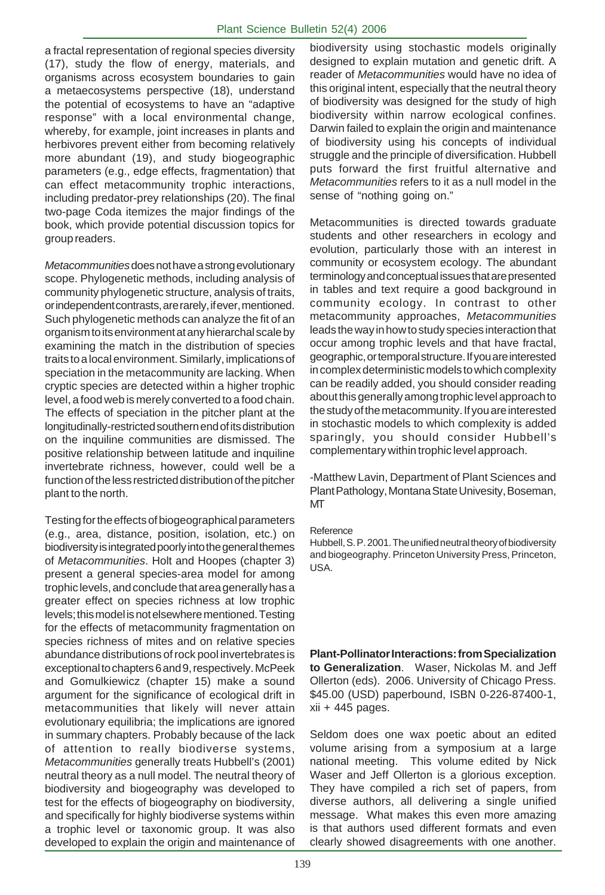a fractal representation of regional species diversity (17), study the flow of energy, materials, and organisms across ecosystem boundaries to gain a metaecosystems perspective (18), understand the potential of ecosystems to have an "adaptive response" with a local environmental change, whereby, for example, joint increases in plants and herbivores prevent either from becoming relatively more abundant (19), and study biogeographic parameters (e.g., edge effects, fragmentation) that can effect metacommunity trophic interactions, including predator-prey relationships (20). The final two-page Coda itemizes the major findings of the book, which provide potential discussion topics for group readers.

*Metacommunities* does not have a strong evolutionary scope. Phylogenetic methods, including analysis of community phylogenetic structure, analysis of traits, or independent contrasts, are rarely, if ever, mentioned. Such phylogenetic methods can analyze the fit of an organism to its environment at any hierarchal scale by examining the match in the distribution of species traits to a local environment. Similarly, implications of speciation in the metacommunity are lacking. When cryptic species are detected within a higher trophic level, a food web is merely converted to a food chain. The effects of speciation in the pitcher plant at the longitudinally-restricted southern end of its distribution on the inquiline communities are dismissed. The positive relationship between latitude and inquiline invertebrate richness, however, could well be a function of the less restricted distribution of the pitcher plant to the north.

Testing for the effects of biogeographical parameters (e.g., area, distance, position, isolation, etc.) on biodiversity is integrated poorly into the general themes of *Metacommunities*. Holt and Hoopes (chapter 3) present a general species-area model for among trophic levels, and conclude that area generally has a greater effect on species richness at low trophic levels; this model is not elsewhere mentioned. Testing for the effects of metacommunity fragmentation on species richness of mites and on relative species abundance distributions of rock pool invertebrates is exceptional to chapters 6 and 9, respectively. McPeek and Gomulkiewicz (chapter 15) make a sound argument for the significance of ecological drift in metacommunities that likely will never attain evolutionary equilibria; the implications are ignored in summary chapters. Probably because of the lack of attention to really biodiverse systems, *Metacommunities* generally treats Hubbell's (2001) neutral theory as a null model. The neutral theory of biodiversity and biogeography was developed to test for the effects of biogeography on biodiversity, and specifically for highly biodiverse systems within a trophic level or taxonomic group. It was also developed to explain the origin and maintenance of

biodiversity using stochastic models originally designed to explain mutation and genetic drift. A reader of *Metacommunities* would have no idea of this original intent, especially that the neutral theory of biodiversity was designed for the study of high biodiversity within narrow ecological confines. Darwin failed to explain the origin and maintenance of biodiversity using his concepts of individual struggle and the principle of diversification. Hubbell puts forward the first fruitful alternative and *Metacommunities* refers to it as a null model in the sense of "nothing going on."

Metacommunities is directed towards graduate students and other researchers in ecology and evolution, particularly those with an interest in community or ecosystem ecology. The abundant terminology and conceptual issues that are presented in tables and text require a good background in community ecology. In contrast to other metacommunity approaches, *Metacommunities* leads the way in how to study species interaction that occur among trophic levels and that have fractal, geographic, or temporal structure. If you are interested in complex deterministic models to which complexity can be readily added, you should consider reading about this generally among trophic level approach to the study of the metacommunity. If you are interested in stochastic models to which complexity is added sparingly, you should consider Hubbell's complementary within trophic level approach.

-Matthew Lavin, Department of Plant Sciences and Plant Pathology, Montana State Univesity, Boseman, MT

#### Reference

Hubbell, S. P. 2001. The unified neutral theory of biodiversity and biogeography. Princeton University Press, Princeton, USA.

**Plant-Pollinator Interactions: from Specialization to Generalization**. Waser, Nickolas M. and Jeff Ollerton (eds). 2006. University of Chicago Press. \$45.00 (USD) paperbound, ISBN 0-226-87400-1,  $xii + 445$  pages.

Seldom does one wax poetic about an edited volume arising from a symposium at a large national meeting. This volume edited by Nick Waser and Jeff Ollerton is a glorious exception. They have compiled a rich set of papers, from diverse authors, all delivering a single unified message. What makes this even more amazing is that authors used different formats and even clearly showed disagreements with one another.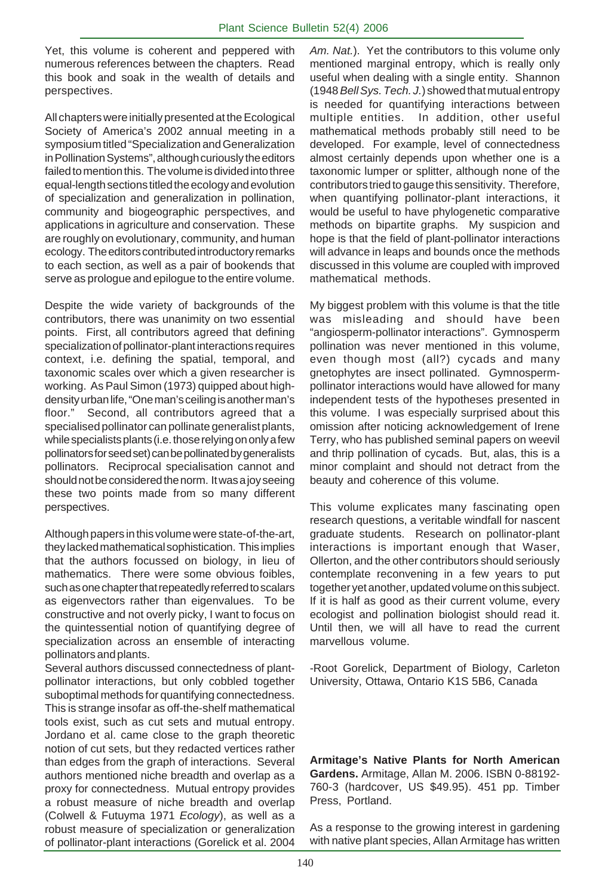Yet, this volume is coherent and peppered with numerous references between the chapters. Read this book and soak in the wealth of details and perspectives.

All chapters were initially presented at the Ecological Society of America's 2002 annual meeting in a symposium titled "Specialization and Generalization in Pollination Systems", although curiously the editors failed to mention this. The volume is divided into three equal-length sections titled the ecology and evolution of specialization and generalization in pollination, community and biogeographic perspectives, and applications in agriculture and conservation. These are roughly on evolutionary, community, and human ecology. The editors contributed introductory remarks to each section, as well as a pair of bookends that serve as prologue and epilogue to the entire volume.

Despite the wide variety of backgrounds of the contributors, there was unanimity on two essential points. First, all contributors agreed that defining specialization of pollinator-plant interactions requires context, i.e. defining the spatial, temporal, and taxonomic scales over which a given researcher is working. As Paul Simon (1973) quipped about highdensity urban life, "One man's ceiling is another man's floor." Second, all contributors agreed that a specialised pollinator can pollinate generalist plants, while specialists plants (i.e. those relying on only a few pollinators for seed set) can be pollinated by generalists pollinators. Reciprocal specialisation cannot and should not be considered the norm. It was a joy seeing these two points made from so many different perspectives.

Although papers in this volume were state-of-the-art, they lacked mathematical sophistication. This implies that the authors focussed on biology, in lieu of mathematics. There were some obvious foibles, such as one chapter that repeatedly referred to scalars as eigenvectors rather than eigenvalues. To be constructive and not overly picky, I want to focus on the quintessential notion of quantifying degree of specialization across an ensemble of interacting pollinators and plants.

Several authors discussed connectedness of plantpollinator interactions, but only cobbled together suboptimal methods for quantifying connectedness. This is strange insofar as off-the-shelf mathematical tools exist, such as cut sets and mutual entropy. Jordano et al. came close to the graph theoretic notion of cut sets, but they redacted vertices rather than edges from the graph of interactions. Several authors mentioned niche breadth and overlap as a proxy for connectedness. Mutual entropy provides a robust measure of niche breadth and overlap (Colwell & Futuyma 1971 *Ecology*), as well as a robust measure of specialization or generalization of pollinator-plant interactions (Gorelick et al. 2004

*Am. Nat.*). Yet the contributors to this volume only mentioned marginal entropy, which is really only useful when dealing with a single entity. Shannon (1948 *Bell Sys. Tech. J.*) showed that mutual entropy is needed for quantifying interactions between multiple entities. In addition, other useful mathematical methods probably still need to be developed. For example, level of connectedness almost certainly depends upon whether one is a taxonomic lumper or splitter, although none of the contributors tried to gauge this sensitivity. Therefore, when quantifying pollinator-plant interactions, it would be useful to have phylogenetic comparative methods on bipartite graphs. My suspicion and hope is that the field of plant-pollinator interactions will advance in leaps and bounds once the methods discussed in this volume are coupled with improved mathematical methods.

My biggest problem with this volume is that the title was misleading and should have been "angiosperm-pollinator interactions". Gymnosperm pollination was never mentioned in this volume, even though most (all?) cycads and many gnetophytes are insect pollinated. Gymnospermpollinator interactions would have allowed for many independent tests of the hypotheses presented in this volume. I was especially surprised about this omission after noticing acknowledgement of Irene Terry, who has published seminal papers on weevil and thrip pollination of cycads. But, alas, this is a minor complaint and should not detract from the beauty and coherence of this volume.

This volume explicates many fascinating open research questions, a veritable windfall for nascent graduate students. Research on pollinator-plant interactions is important enough that Waser, Ollerton, and the other contributors should seriously contemplate reconvening in a few years to put together yet another, updated volume on this subject. If it is half as good as their current volume, every ecologist and pollination biologist should read it. Until then, we will all have to read the current marvellous volume.

-Root Gorelick, Department of Biology, Carleton University, Ottawa, Ontario K1S 5B6, Canada

**Armitage's Native Plants for North American Gardens.** Armitage, Allan M. 2006. ISBN 0-88192- 760-3 (hardcover, US \$49.95). 451 pp. Timber Press, Portland.

As a response to the growing interest in gardening with native plant species, Allan Armitage has written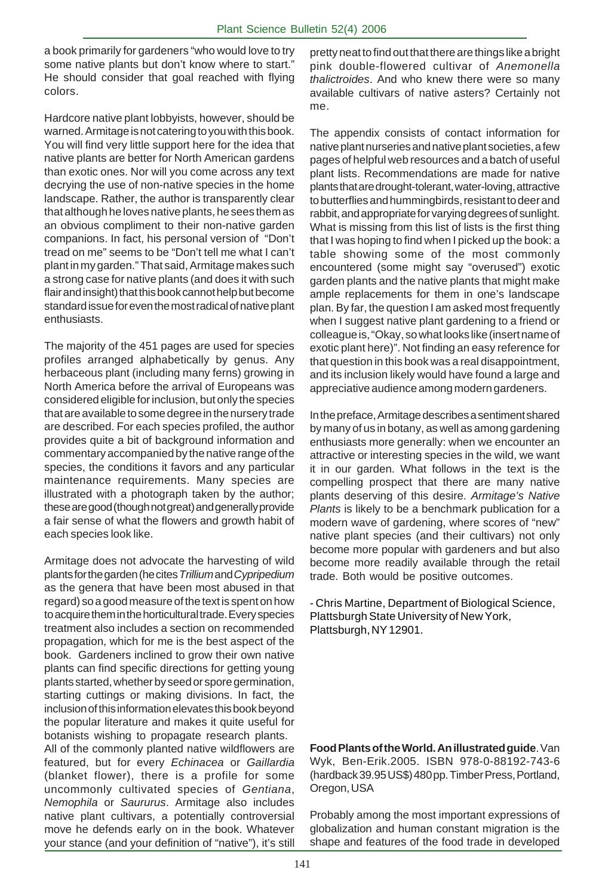a book primarily for gardeners "who would love to try some native plants but don't know where to start." He should consider that goal reached with flying colors.

Hardcore native plant lobbyists, however, should be warned. Armitage is not catering to you with this book. You will find very little support here for the idea that native plants are better for North American gardens than exotic ones. Nor will you come across any text decrying the use of non-native species in the home landscape. Rather, the author is transparently clear that although he loves native plants, he sees them as an obvious compliment to their non-native garden companions. In fact, his personal version of "Don't tread on me" seems to be "Don't tell me what I can't plant in my garden." That said, Armitage makes such a strong case for native plants (and does it with such flair and insight) that this book cannot help but become standard issue for even the most radical of native plant enthusiasts.

The majority of the 451 pages are used for species profiles arranged alphabetically by genus. Any herbaceous plant (including many ferns) growing in North America before the arrival of Europeans was considered eligible for inclusion, but only the species that are available to some degree in the nursery trade are described. For each species profiled, the author provides quite a bit of background information and commentary accompanied by the native range of the species, the conditions it favors and any particular maintenance requirements. Many species are illustrated with a photograph taken by the author; these are good (though not great) and generally provide a fair sense of what the flowers and growth habit of each species look like.

Armitage does not advocate the harvesting of wild plants for the garden (he cites *Trillium* and *Cypripedium* as the genera that have been most abused in that regard) so a good measure of the text is spent on how to acquire them in the horticultural trade. Every species treatment also includes a section on recommended propagation, which for me is the best aspect of the book. Gardeners inclined to grow their own native plants can find specific directions for getting young plants started, whether by seed or spore germination, starting cuttings or making divisions. In fact, the inclusion of this information elevates this book beyond the popular literature and makes it quite useful for botanists wishing to propagate research plants. All of the commonly planted native wildflowers are featured, but for every *Echinacea* or *Gaillardia* (blanket flower), there is a profile for some uncommonly cultivated species of *Gentiana*, *Nemophila* or *Saururus*. Armitage also includes native plant cultivars, a potentially controversial move he defends early on in the book. Whatever

your stance (and your definition of "native"), it's still

pretty neat to find out that there are things like a bright pink double-flowered cultivar of *Anemonella thalictroides*. And who knew there were so many available cultivars of native asters? Certainly not me.

The appendix consists of contact information for native plant nurseries and native plant societies, a few pages of helpful web resources and a batch of useful plant lists. Recommendations are made for native plants that are drought-tolerant, water-loving, attractive to butterflies and hummingbirds, resistant to deer and rabbit, and appropriate for varying degrees of sunlight. What is missing from this list of lists is the first thing that I was hoping to find when I picked up the book: a table showing some of the most commonly encountered (some might say "overused") exotic garden plants and the native plants that might make ample replacements for them in one's landscape plan. By far, the question I am asked most frequently when I suggest native plant gardening to a friend or colleague is, "Okay, so what looks like (insert name of exotic plant here)". Not finding an easy reference for that question in this book was a real disappointment, and its inclusion likely would have found a large and appreciative audience among modern gardeners.

In the preface, Armitage describes a sentiment shared by many of us in botany, as well as among gardening enthusiasts more generally: when we encounter an attractive or interesting species in the wild, we want it in our garden. What follows in the text is the compelling prospect that there are many native plants deserving of this desire. *Armitage's Native Plants* is likely to be a benchmark publication for a modern wave of gardening, where scores of "new" native plant species (and their cultivars) not only become more popular with gardeners and but also become more readily available through the retail trade. Both would be positive outcomes.

- Chris Martine, Department of Biological Science, Plattsburgh State University of New York, Plattsburgh, NY 12901.

**Food Plants of the World. An illustrated guide**. Van Wyk, Ben-Erik.2005. ISBN 978-0-88192-743-6 (hardback 39.95 US\$) 480 pp. Timber Press, Portland, Oregon, USA

Probably among the most important expressions of globalization and human constant migration is the shape and features of the food trade in developed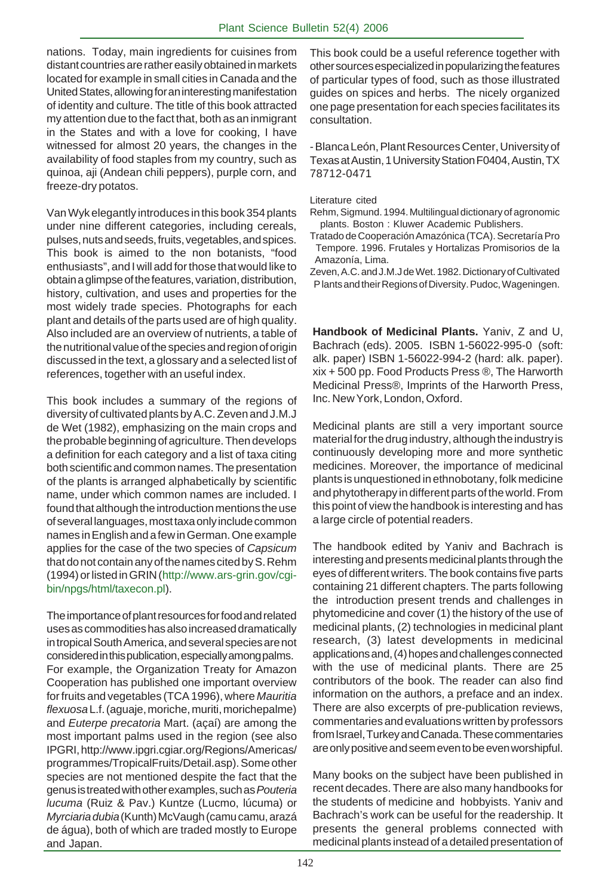nations. Today, main ingredients for cuisines from distant countries are rather easily obtained in markets located for example in small cities in Canada and the United States, allowing for an interesting manifestation of identity and culture. The title of this book attracted my attention due to the fact that, both as an inmigrant in the States and with a love for cooking, I have witnessed for almost 20 years, the changes in the availability of food staples from my country, such as quinoa, aji (Andean chili peppers), purple corn, and freeze-dry potatos.

Van Wyk elegantly introduces in this book 354 plants under nine different categories, including cereals, pulses, nuts and seeds, fruits, vegetables, and spices. This book is aimed to the non botanists, "food enthusiasts", and I will add for those that would like to obtain a glimpse of the features, variation, distribution, history, cultivation, and uses and properties for the most widely trade species. Photographs for each plant and details of the parts used are of high quality. Also included are an overview of nutrients, a table of the nutritional value of the species and region of origin discussed in the text, a glossary and a selected list of references, together with an useful index.

This book includes a summary of the regions of diversity of cultivated plants by A.C. Zeven and J.M.J de Wet (1982), emphasizing on the main crops and the probable beginning of agriculture. Then develops a definition for each category and a list of taxa citing both scientific and common names. The presentation of the plants is arranged alphabetically by scientific name, under which common names are included. I found that although the introduction mentions the use of several languages, most taxa only include common names in English and a few in German. One example applies for the case of the two species of *Capsicum* that do not contain any of the names cited by S. Rehm (1994) or listed in GRIN (http://www.ars-grin.gov/cgibin/npgs/html/taxecon.pl).

The importance of plant resources for food and related uses as commodities has also increased dramatically in tropical South America, and several species are not considered in this publication, especially among palms. For example, the Organization Treaty for Amazon Cooperation has published one important overview for fruits and vegetables (TCA 1996), where *Mauritia flexuosa* L.f. (aguaje, moriche, muriti, morichepalme) and *Euterpe precatoria* Mart. (açaí) are among the most important palms used in the region (see also IPGRI, http://www.ipgri.cgiar.org/Regions/Americas/ programmes/TropicalFruits/Detail.asp). Some other species are not mentioned despite the fact that the genus is treated with other examples, such as *Pouteria lucuma* (Ruiz & Pav.) Kuntze (Lucmo, lúcuma) or *Myrciaria dubia* (Kunth) McVaugh (camu camu, arazá de água), both of which are traded mostly to Europe and Japan.

This book could be a useful reference together with other sources especialized in popularizing the features of particular types of food, such as those illustrated guides on spices and herbs. The nicely organized one page presentation for each species facilitates its consultation.

- Blanca León, Plant Resources Center, University of Texas at Austin, 1 University Station F0404, Austin, TX 78712-0471

#### Literature cited

Rehm, Sigmund. 1994. Multilingual dictionary of agronomic plants. Boston : Kluwer Academic Publishers.

- Tratado de Cooperación Amazónica (TCA). Secretaría Pro Tempore. 1996. Frutales y Hortalizas Promisorios de la Amazonía, Lima.
- Zeven, A.C. and J.M.J de Wet. 1982. Dictionary of Cultivated P lants and their Regions of Diversity. Pudoc, Wageningen.

**Handbook of Medicinal Plants.** Yaniv, Z and U, Bachrach (eds). 2005.ISBN 1-56022-995-0 (soft: alk. paper) ISBN 1-56022-994-2 (hard: alk. paper). xix + 500 pp. Food Products Press ®, The Harworth Medicinal Press®, Imprints of the Harworth Press, Inc. New York, London, Oxford.

Medicinal plants are still a very important source material for the drug industry, although the industry is continuously developing more and more synthetic medicines. Moreover, the importance of medicinal plants is unquestioned in ethnobotany, folk medicine and phytotherapy in different parts of the world. From this point of view the handbook is interesting and has a large circle of potential readers.

The handbook edited by Yaniv and Bachrach is interesting and presents medicinal plants through the eyes of different writers. The book contains five parts containing 21 different chapters. The parts following the introduction present trends and challenges in phytomedicine and cover (1) the history of the use of medicinal plants, (2) technologies in medicinal plant research, (3) latest developments in medicinal applications and, (4) hopes and challenges connected with the use of medicinal plants. There are 25 contributors of the book. The reader can also find information on the authors, a preface and an index. There are also excerpts of pre-publication reviews, commentaries and evaluations written by professors from Israel, Turkey and Canada. These commentaries are only positive and seem even to be even worshipful.

Many books on the subject have been published in recent decades. There are also many handbooks for the students of medicine and hobbyists. Yaniv and Bachrach's work can be useful for the readership. It presents the general problems connected with medicinal plants instead of a detailed presentation of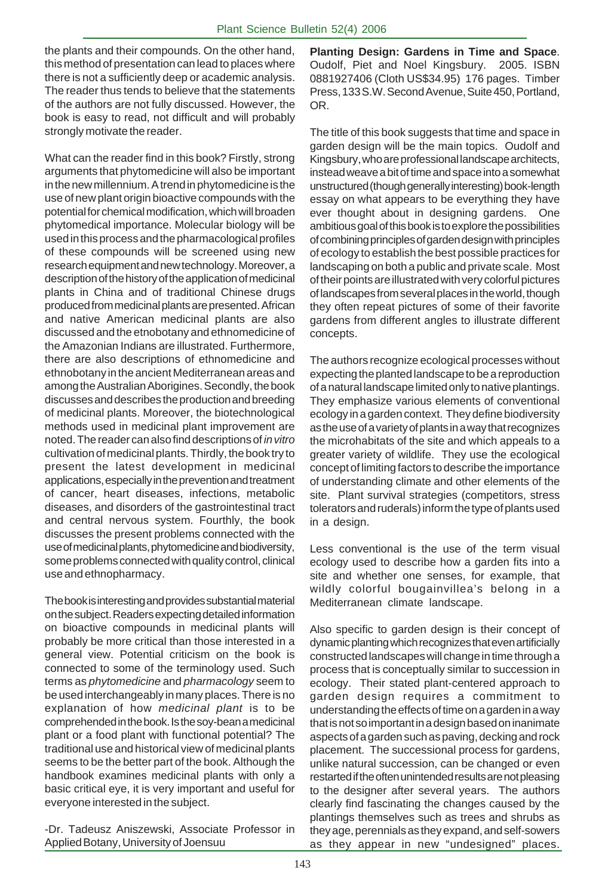the plants and their compounds. On the other hand, this method of presentation can lead to places where there is not a sufficiently deep or academic analysis. The reader thus tends to believe that the statements of the authors are not fully discussed. However, the book is easy to read, not difficult and will probably strongly motivate the reader.

What can the reader find in this book? Firstly, strong arguments that phytomedicine will also be important in the new millennium. A trend in phytomedicine is the use of new plant origin bioactive compounds with the potential for chemical modification, which will broaden phytomedical importance. Molecular biology will be used in this process and the pharmacological profiles of these compounds will be screened using new research equipment and new technology. Moreover, a description of the history of the application of medicinal plants in China and of traditional Chinese drugs produced from medicinal plants are presented. African and native American medicinal plants are also discussed and the etnobotany and ethnomedicine of the Amazonian Indians are illustrated. Furthermore, there are also descriptions of ethnomedicine and ethnobotany in the ancient Mediterranean areas and among the Australian Aborigines. Secondly, the book discusses and describes the production and breeding of medicinal plants. Moreover, the biotechnological methods used in medicinal plant improvement are noted. The reader can also find descriptions of *in vitro* cultivation of medicinal plants. Thirdly, the book try to present the latest development in medicinal applications, especially in the prevention and treatment of cancer, heart diseases, infections, metabolic diseases, and disorders of the gastrointestinal tract and central nervous system. Fourthly, the book discusses the present problems connected with the use of medicinal plants, phytomedicine and biodiversity, some problems connected with quality control, clinical use and ethnopharmacy.

The book is interesting and provides substantial material on the subject. Readers expecting detailed information on bioactive compounds in medicinal plants will probably be more critical than those interested in a general view. Potential criticism on the book is connected to some of the terminology used. Such terms as *phytomedicine* and *pharmacology* seem to be used interchangeably in many places. There is no explanation of how *medicinal plant* is to be comprehended in the book. Is the soy-bean a medicinal plant or a food plant with functional potential? The traditional use and historical view of medicinal plants seems to be the better part of the book. Although the handbook examines medicinal plants with only a basic critical eye, it is very important and useful for everyone interested in the subject.

-Dr. Tadeusz Aniszewski, Associate Professor in Applied Botany, University of Joensuu

**Planting Design: Gardens in Time and Space**. Oudolf, Piet and Noel Kingsbury. 2005. ISBN 0881927406 (Cloth US\$34.95) 176 pages. Timber Press, 133 S.W. Second Avenue, Suite 450, Portland, OR.

The title of this book suggests that time and space in garden design will be the main topics. Oudolf and Kingsbury, who are professional landscape architects, instead weave a bit of time and space into a somewhat unstructured (though generally interesting) book-length essay on what appears to be everything they have ever thought about in designing gardens. One ambitious goal of this book is to explore the possibilities of combining principles of garden design with principles of ecology to establish the best possible practices for landscaping on both a public and private scale. Most of their points are illustrated with very colorful pictures of landscapes from several places in the world, though they often repeat pictures of some of their favorite gardens from different angles to illustrate different concepts.

The authors recognize ecological processes without expecting the planted landscape to be a reproduction of a natural landscape limited only to native plantings. They emphasize various elements of conventional ecology in a garden context. They define biodiversity as the use of a variety of plants in a way that recognizes the microhabitats of the site and which appeals to a greater variety of wildlife. They use the ecological concept of limiting factors to describe the importance of understanding climate and other elements of the site. Plant survival strategies (competitors, stress tolerators and ruderals) inform the type of plants used in a design.

Less conventional is the use of the term visual ecology used to describe how a garden fits into a site and whether one senses, for example, that wildly colorful bougainvillea's belong in a Mediterranean climate landscape.

Also specific to garden design is their concept of dynamic planting which recognizes that even artificially constructed landscapes will change in time through a process that is conceptually similar to succession in ecology. Their stated plant-centered approach to garden design requires a commitment to understanding the effects of time on a garden in a way that is not so important in a design based on inanimate aspects of a garden such as paving, decking and rock placement. The successional process for gardens, unlike natural succession, can be changed or even restarted if the often unintended results are not pleasing to the designer after several years. The authors clearly find fascinating the changes caused by the plantings themselves such as trees and shrubs as they age, perennials as they expand, and self-sowers as they appear in new "undesigned" places.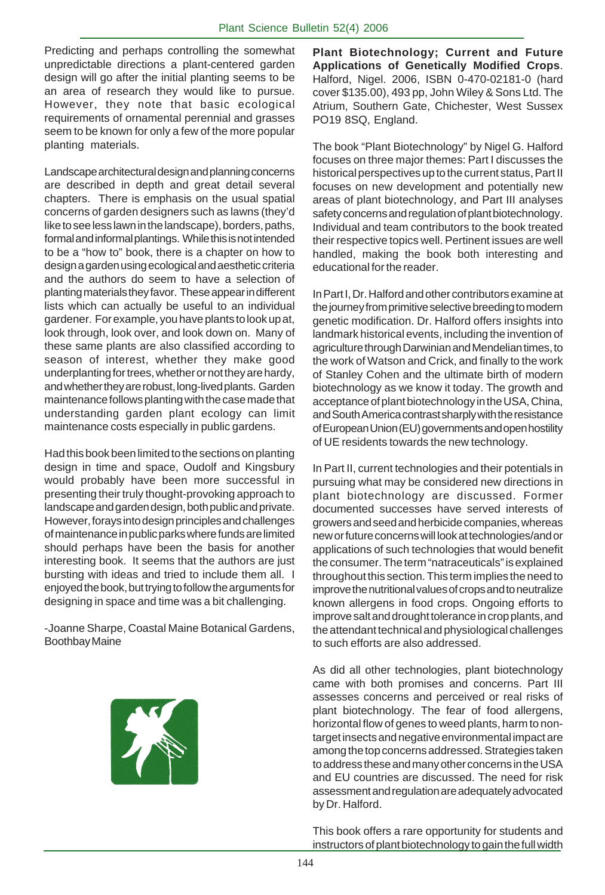Predicting and perhaps controlling the somewhat unpredictable directions a plant-centered garden design will go after the initial planting seems to be an area of research they would like to pursue. However, they note that basic ecological requirements of ornamental perennial and grasses seem to be known for only a few of the more popular planting materials.

Landscape architectural design and planning concerns are described in depth and great detail several chapters. There is emphasis on the usual spatial concerns of garden designers such as lawns (they'd like to see less lawn in the landscape), borders, paths, formal and informal plantings. While this is not intended to be a "how to" book, there is a chapter on how to design a garden using ecological and aesthetic criteria and the authors do seem to have a selection of planting materials they favor. These appear in different lists which can actually be useful to an individual gardener. For example, you have plants to look up at, look through, look over, and look down on. Many of these same plants are also classified according to season of interest, whether they make good underplanting for trees, whether or not they are hardy, and whether they are robust, long-lived plants. Garden maintenance follows planting with the case made that understanding garden plant ecology can limit maintenance costs especially in public gardens.

Had this book been limited to the sections on planting design in time and space, Oudolf and Kingsbury would probably have been more successful in presenting their truly thought-provoking approach to landscape and garden design, both public and private. However, forays into design principles and challenges of maintenance in public parks where funds are limited should perhaps have been the basis for another interesting book. It seems that the authors are just bursting with ideas and tried to include them all. I enjoyed the book, but trying to follow the arguments for designing in space and time was a bit challenging.

-Joanne Sharpe, Coastal Maine Botanical Gardens, Boothbay Maine



**Plant Biotechnology; Current and Future Applications of Genetically Modified Crops**. Halford, Nigel. 2006, ISBN 0-470-02181-0 (hard cover \$135.00), 493 pp, John Wiley & Sons Ltd. The Atrium, Southern Gate, Chichester, West Sussex PO19 8SQ, England.

The book "Plant Biotechnology" by Nigel G. Halford focuses on three major themes: Part I discusses the historical perspectives up to the current status, Part II focuses on new development and potentially new areas of plant biotechnology, and Part III analyses safety concerns and regulation of plant biotechnology. Individual and team contributors to the book treated their respective topics well. Pertinent issues are well handled, making the book both interesting and educational for the reader.

In Part I, Dr. Halford and other contributors examine at the journey from primitive selective breeding to modern genetic modification. Dr. Halford offers insights into landmark historical events, including the invention of agriculture through Darwinian and Mendelian times, to the work of Watson and Crick, and finally to the work of Stanley Cohen and the ultimate birth of modern biotechnology as we know it today. The growth and acceptance of plant biotechnology in the USA, China, and South America contrast sharply with the resistance of European Union (EU) governments and open hostility of UE residents towards the new technology.

In Part II, current technologies and their potentials in pursuing what may be considered new directions in plant biotechnology are discussed. Former documented successes have served interests of growers and seed and herbicide companies, whereas new or future concerns will look at technologies/and or applications of such technologies that would benefit the consumer. The term "natraceuticals" is explained throughout this section. This term implies the need to improve the nutritional values of crops and to neutralize known allergens in food crops. Ongoing efforts to improve salt and drought tolerance in crop plants, and the attendant technical and physiological challenges to such efforts are also addressed.

As did all other technologies, plant biotechnology came with both promises and concerns. Part III assesses concerns and perceived or real risks of plant biotechnology. The fear of food allergens, horizontal flow of genes to weed plants, harm to nontarget insects and negative environmental impact are among the top concerns addressed. Strategies taken to address these and many other concerns in the USA and EU countries are discussed. The need for risk assessment and regulation are adequately advocated by Dr. Halford.

This book offers a rare opportunity for students and instructors of plant biotechnology to gain the full width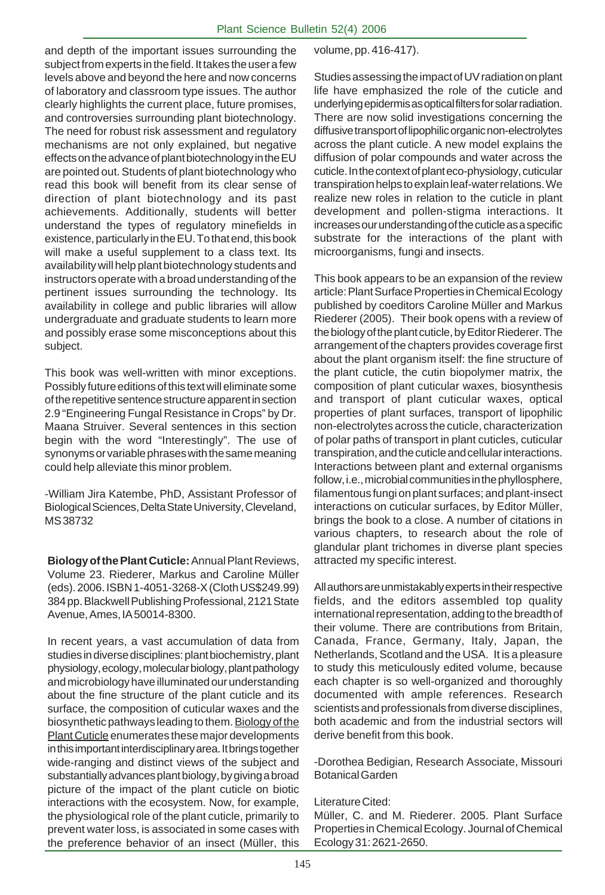and depth of the important issues surrounding the subject from experts in the field. It takes the user a few levels above and beyond the here and now concerns of laboratory and classroom type issues. The author clearly highlights the current place, future promises, and controversies surrounding plant biotechnology. The need for robust risk assessment and regulatory mechanisms are not only explained, but negative effects on the advance of plant biotechnology in the EU are pointed out. Students of plant biotechnology who read this book will benefit from its clear sense of direction of plant biotechnology and its past achievements. Additionally, students will better understand the types of regulatory minefields in existence, particularly in the EU. To that end, this book will make a useful supplement to a class text. Its availability will help plant biotechnology students and instructors operate with a broad understanding of the pertinent issues surrounding the technology. Its availability in college and public libraries will allow undergraduate and graduate students to learn more and possibly erase some misconceptions about this subject.

This book was well-written with minor exceptions. Possibly future editions of this text will eliminate some of the repetitive sentence structure apparent in section 2.9 "Engineering Fungal Resistance in Crops" by Dr. Maana Struiver. Several sentences in this section begin with the word "Interestingly". The use of synonyms or variable phrases with the same meaning could help alleviate this minor problem.

-William Jira Katembe, PhD, Assistant Professor of Biological Sciences, Delta State University, Cleveland, MS 38732

**Biology of the Plant Cuticle:** Annual Plant Reviews, Volume 23. Riederer, Markus and Caroline Müller (eds). 2006. ISBN 1-4051-3268-X (Cloth US\$249.99) 384 pp. Blackwell Publishing Professional, 2121 State Avenue, Ames, IA 50014-8300.

In recent years, a vast accumulation of data from studies in diverse disciplines: plant biochemistry, plant physiology, ecology, molecular biology, plant pathology and microbiology have illuminated our understanding about the fine structure of the plant cuticle and its surface, the composition of cuticular waxes and the biosynthetic pathways leading to them. Biology of the Plant Cuticle enumerates these major developments in this important interdisciplinary area. It brings together wide-ranging and distinct views of the subject and substantially advances plant biology, by giving a broad picture of the impact of the plant cuticle on biotic interactions with the ecosystem. Now, for example, the physiological role of the plant cuticle, primarily to prevent water loss, is associated in some cases with the preference behavior of an insect (Müller, this

volume, pp. 416-417).

Studies assessing the impact of UV radiation on plant life have emphasized the role of the cuticle and underlying epidermis as optical filters for solar radiation. There are now solid investigations concerning the diffusive transport of lipophilic organic non-electrolytes across the plant cuticle. A new model explains the diffusion of polar compounds and water across the cuticle. In the context of plant eco-physiology, cuticular transpiration helps to explain leaf-water relations. We realize new roles in relation to the cuticle in plant development and pollen-stigma interactions. It increases our understanding of the cuticle as a specific substrate for the interactions of the plant with microorganisms, fungi and insects.

This book appears to be an expansion of the review article: Plant Surface Properties in Chemical Ecology published by coeditors Caroline Müller and Markus Riederer (2005). Their book opens with a review of the biology of the plant cuticle, by Editor Riederer. The arrangement of the chapters provides coverage first about the plant organism itself: the fine structure of the plant cuticle, the cutin biopolymer matrix, the composition of plant cuticular waxes, biosynthesis and transport of plant cuticular waxes, optical properties of plant surfaces, transport of lipophilic non-electrolytes across the cuticle, characterization of polar paths of transport in plant cuticles, cuticular transpiration, and the cuticle and cellular interactions. Interactions between plant and external organisms follow, i.e., microbial communities in the phyllosphere, filamentous fungi on plant surfaces; and plant-insect interactions on cuticular surfaces, by Editor Müller, brings the book to a close. A number of citations in various chapters, to research about the role of glandular plant trichomes in diverse plant species attracted my specific interest.

All authors are unmistakably experts in their respective fields, and the editors assembled top quality international representation, adding to the breadth of their volume. There are contributions from Britain, Canada, France, Germany, Italy, Japan, the Netherlands, Scotland and the USA. It is a pleasure to study this meticulously edited volume, because each chapter is so well-organized and thoroughly documented with ample references. Research scientists and professionals from diverse disciplines, both academic and from the industrial sectors will derive benefit from this book.

-Dorothea Bedigian, Research Associate, Missouri Botanical Garden

#### Literature Cited:

Müller, C. and M. Riederer. 2005. Plant Surface Properties in Chemical Ecology. Journal of Chemical Ecology 31: 2621-2650.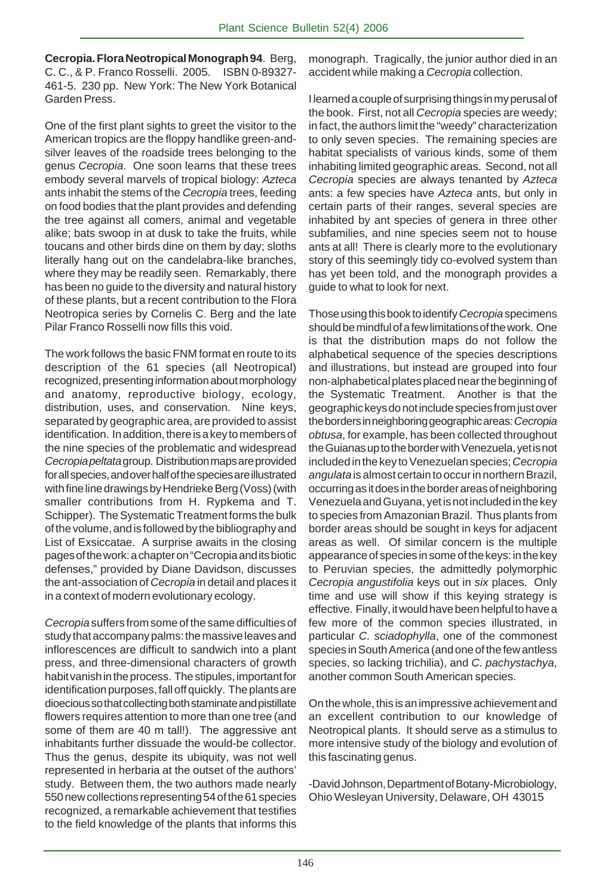**Cecropia. Flora Neotropical Monograph 94**. Berg, C. C., & P. Franco Rosselli. 2005. ISBN 0-89327- 461-5. 230 pp. New York: The New York Botanical Garden Press.

One of the first plant sights to greet the visitor to the American tropics are the floppy handlike green-andsilver leaves of the roadside trees belonging to the genus *Cecropia*. One soon learns that these trees embody several marvels of tropical biology: *Azteca* ants inhabit the stems of the *Cecropia* trees, feeding on food bodies that the plant provides and defending the tree against all comers, animal and vegetable alike; bats swoop in at dusk to take the fruits, while toucans and other birds dine on them by day; sloths literally hang out on the candelabra-like branches, where they may be readily seen. Remarkably, there has been no guide to the diversity and natural history of these plants, but a recent contribution to the Flora Neotropica series by Cornelis C. Berg and the late Pilar Franco Rosselli now fills this void.

The work follows the basic FNM format en route to its description of the 61 species (all Neotropical) recognized, presenting information about morphology and anatomy, reproductive biology, ecology, distribution, uses, and conservation. Nine keys, separated by geographic area, are provided to assist identification. In addition, there is a key to members of the nine species of the problematic and widespread *Cecropia peltata* group. Distribution maps are provided for all species, and over half of the species are illustrated with fine line drawings by Hendrieke Berg (Voss) (with smaller contributions from H. Rypkema and T. Schipper). The Systematic Treatment forms the bulk of the volume, and is followed by the bibliography and List of Exsiccatae. A surprise awaits in the closing pages of the work: a chapter on "Cecropia and its biotic defenses," provided by Diane Davidson, discusses the ant-association of *Cecropia* in detail and places it in a context of modern evolutionary ecology.

*Cecropia* suffers from some of the same difficulties of study that accompany palms: the massive leaves and inflorescences are difficult to sandwich into a plant press, and three-dimensional characters of growth habit vanish in the process. The stipules, important for identification purposes, fall off quickly. The plants are dioecious so that collecting both staminate and pistillate flowers requires attention to more than one tree (and some of them are 40 m tall!). The aggressive ant inhabitants further dissuade the would-be collector. Thus the genus, despite its ubiquity, was not well represented in herbaria at the outset of the authors' study. Between them, the two authors made nearly 550 new collections representing 54 of the 61 species recognized, a remarkable achievement that testifies to the field knowledge of the plants that informs this

monograph. Tragically, the junior author died in an accident while making a *Cecropia* collection.

I learned a couple of surprising things in my perusal of the book. First, not all *Cecropia* species are weedy; in fact, the authors limit the "weedy" characterization to only seven species. The remaining species are habitat specialists of various kinds, some of them inhabiting limited geographic areas. Second, not all *Cecropia* species are always tenanted by *Azteca* ants: a few species have *Azteca* ants, but only in certain parts of their ranges, several species are inhabited by ant species of genera in three other subfamilies, and nine species seem not to house ants at all! There is clearly more to the evolutionary story of this seemingly tidy co-evolved system than has yet been told, and the monograph provides a guide to what to look for next.

Those using this book to identify *Cecropia* specimens should be mindful of a few limitations of the work. One is that the distribution maps do not follow the alphabetical sequence of the species descriptions and illustrations, but instead are grouped into four non-alphabetical plates placed near the beginning of the Systematic Treatment. Another is that the geographic keys do not include species from just over the borders in neighboring geographic areas: *Cecropia obtusa*, for example, has been collected throughout the Guianas up to the border with Venezuela, yet is not included in the key to Venezuelan species; *Cecropia angulata* is almost certain to occur in northern Brazil, occurring as it does in the border areas of neighboring Venezuela and Guyana, yet is not included in the key to species from Amazonian Brazil. Thus plants from border areas should be sought in keys for adjacent areas as well. Of similar concern is the multiple appearance of species in some of the keys: in the key to Peruvian species, the admittedly polymorphic *Cecropia angustifolia* keys out in *six* places. Only time and use will show if this keying strategy is effective. Finally, it would have been helpful to have a few more of the common species illustrated, in particular *C. sciadophylla*, one of the commonest species in South America (and one of the few antless species, so lacking trichilia), and *C. pachystachya*, another common South American species.

On the whole, this is an impressive achievement and an excellent contribution to our knowledge of Neotropical plants. It should serve as a stimulus to more intensive study of the biology and evolution of this fascinating genus.

-David Johnson, Department of Botany-Microbiology, Ohio Wesleyan University, Delaware, OH 43015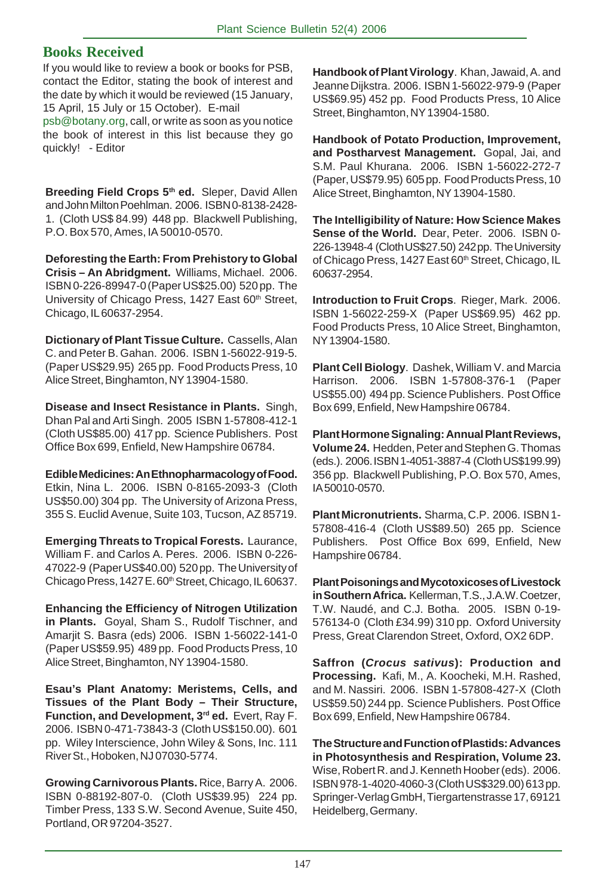### **Books Received**

If you would like to review a book or books for PSB, contact the Editor, stating the book of interest and the date by which it would be reviewed (15 January, 15 April, 15 July or 15 October). E-mail

psb@botany.org, call, or write as soon as you notice the book of interest in this list because they go quickly! - Editor

Breeding Field Crops 5<sup>th</sup> ed. Sleper, David Allen and John Milton Poehlman. 2006. ISBN 0-8138-2428- 1. (Cloth US\$ 84.99) 448 pp. Blackwell Publishing, P.O. Box 570, Ames, IA 50010-0570.

**Deforesting the Earth: From Prehistory to Global Crisis – An Abridgment.** Williams, Michael. 2006. ISBN 0-226-89947-0 (Paper US\$25.00) 520 pp. The University of Chicago Press, 1427 East 60<sup>th</sup> Street, Chicago, IL 60637-2954.

**Dictionary of Plant Tissue Culture.** Cassells, Alan C. and Peter B. Gahan. 2006. ISBN 1-56022-919-5. (Paper US\$29.95) 265 pp. Food Products Press, 10 Alice Street, Binghamton, NY 13904-1580.

**Disease and Insect Resistance in Plants.** Singh, Dhan Pal and Arti Singh. 2005 ISBN 1-57808-412-1 (Cloth US\$85.00) 417 pp. Science Publishers. Post Office Box 699, Enfield, New Hampshire 06784.

**Edible Medicines: An Ethnopharmacology of Food.** Etkin, Nina L. 2006. ISBN 0-8165-2093-3 (Cloth US\$50.00) 304 pp. The University of Arizona Press, 355 S. Euclid Avenue, Suite 103, Tucson, AZ 85719.

**Emerging Threats to Tropical Forests.** Laurance, William F. and Carlos A. Peres. 2006. ISBN 0-226- 47022-9 (Paper US\$40.00) 520 pp. The University of Chicago Press, 1427 E. 60<sup>th</sup> Street, Chicago, IL 60637.

**Enhancing the Efficiency of Nitrogen Utilization in Plants.** Goyal, Sham S., Rudolf Tischner, and Amarjit S. Basra (eds) 2006. ISBN 1-56022-141-0 (Paper US\$59.95) 489 pp. Food Products Press, 10 Alice Street, Binghamton, NY 13904-1580.

**Esau's Plant Anatomy: Meristems, Cells, and Tissues of the Plant Body – Their Structure, Function, and Development, 3rd ed.** Evert, Ray F. 2006. ISBN 0-471-73843-3 (Cloth US\$150.00). 601 pp. Wiley Interscience, John Wiley & Sons, Inc. 111 River St., Hoboken, NJ 07030-5774.

**Growing Carnivorous Plants.** Rice, Barry A. 2006. ISBN 0-88192-807-0. (Cloth US\$39.95) 224 pp. Timber Press, 133 S.W. Second Avenue, Suite 450, Portland, OR 97204-3527.

**Handbook of Plant Virology**. Khan, Jawaid, A. and Jeanne Dijkstra. 2006. ISBN 1-56022-979-9 (Paper US\$69.95) 452 pp. Food Products Press, 10 Alice Street, Binghamton, NY 13904-1580.

**Handbook of Potato Production, Improvement, and Postharvest Management.** Gopal, Jai, and S.M. Paul Khurana. 2006. ISBN 1-56022-272-7 (Paper, US\$79.95) 605 pp. Food Products Press, 10 Alice Street, Binghamton, NY 13904-1580.

**The Intelligibility of Nature: How Science Makes Sense of the World.** Dear, Peter. 2006. ISBN 0- 226-13948-4 (Cloth US\$27.50) 242 pp. The University of Chicago Press, 1427 East 60<sup>th</sup> Street, Chicago, IL 60637-2954.

**Introduction to Fruit Crops**. Rieger, Mark. 2006. ISBN 1-56022-259-X (Paper US\$69.95) 462 pp. Food Products Press, 10 Alice Street, Binghamton, NY 13904-1580.

**Plant Cell Biology**. Dashek, William V. and Marcia Harrison. 2006. ISBN 1-57808-376-1 (Paper US\$55.00) 494 pp. Science Publishers. Post Office Box 699, Enfield, New Hampshire 06784.

**Plant Hormone Signaling: Annual Plant Reviews, Volume 24.** Hedden, Peter and Stephen G. Thomas (eds.). 2006. ISBN 1-4051-3887-4 (Cloth US\$199.99) 356 pp. Blackwell Publishing, P.O. Box 570, Ames, IA 50010-0570.

**Plant Micronutrients.** Sharma, C.P. 2006. ISBN 1- 57808-416-4 (Cloth US\$89.50) 265 pp. Science Publishers. Post Office Box 699, Enfield, New Hampshire 06784.

**Plant Poisonings and Mycotoxicoses of Livestock in Southern Africa.** Kellerman, T.S., J.A.W. Coetzer, T.W. Naudé, and C.J. Botha. 2005. ISBN 0-19- 576134-0 (Cloth £34.99) 310 pp. Oxford University Press, Great Clarendon Street, Oxford, OX2 6DP.

**Saffron (***Crocus sativus***): Production and Processing.** Kafi, M., A. Koocheki, M.H. Rashed, and M. Nassiri. 2006. ISBN 1-57808-427-X (Cloth US\$59.50) 244 pp. Science Publishers. Post Office Box 699, Enfield, New Hampshire 06784.

**The Structure and Function of Plastids: Advances in Photosynthesis and Respiration, Volume 23.** Wise, Robert R. and J. Kenneth Hoober (eds). 2006. ISBN 978-1-4020-4060-3 (Cloth US\$329.00) 613 pp. Springer-Verlag GmbH, Tiergartenstrasse 17, 69121 Heidelberg, Germany.